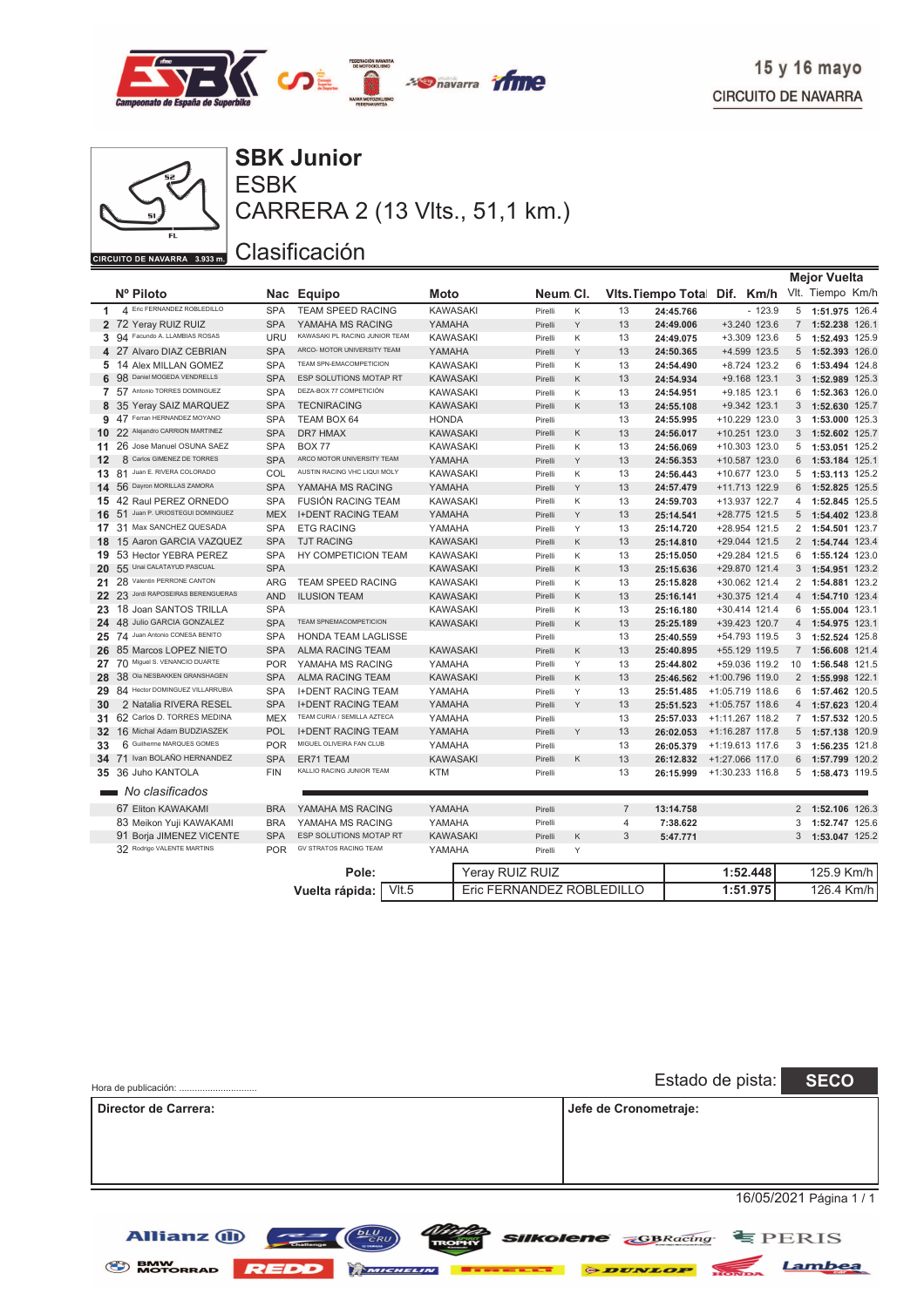



ESBK **SBK Junior** CARRERA 2 (13 Vlts., 51,1 km.)

|                |                                    |                          |            |                                     |                 |                           |   |                |                              |                   |                | <b>Mejor Vuelta</b> |       |
|----------------|------------------------------------|--------------------------|------------|-------------------------------------|-----------------|---------------------------|---|----------------|------------------------------|-------------------|----------------|---------------------|-------|
|                | Nº Piloto                          |                          |            | Nac Equipo                          | Moto            | Neum Cl.                  |   |                | Vits. Tiempo Total Dif. Km/h |                   |                | Vlt. Tiempo Km/h    |       |
| 1              | 4 Eric FERNANDEZ ROBLEDILLO        |                          | <b>SPA</b> | <b>TEAM SPEED RACING</b>            | <b>KAWASAKI</b> | Pirelli                   | Κ | 13             | 24:45.766                    | $-123.9$          | 5              | 1:51.975 126.4      |       |
|                | 2 72 Yeray RUIZ RUIZ               |                          | <b>SPA</b> | YAMAHA MS RACING                    | YAMAHA          | Pirelli                   | Y | 13             | 24:49.006                    | +3.240 123.6      | $7^{\circ}$    | 1:52.238 126.1      |       |
|                | Facundo A. LLAMBIAS ROSAS<br>3 94  |                          | URU        | KAWASAKI PL RACING JUNIOR TEAM      | <b>KAWASAKI</b> | Pirelli                   | K | 13             | 24:49.075                    | +3.309 123.6      |                | 5 1:52.493 125.9    |       |
|                | 4 27 Alvaro DIAZ CEBRIAN           |                          | <b>SPA</b> | ARCO- MOTOR UNIVERSITY TEAM         | YAMAHA          | Pirelli                   | Y | 13             | 24:50.365                    | +4.599 123.5      | 5              | 1:52.393 126.0      |       |
| 5              | 14 Alex MILLAN GOMEZ               |                          | <b>SPA</b> | TEAM SPN-EMACOMPETICION             | <b>KAWASAKI</b> | Pirelli                   | Κ | 13             | 24:54.490                    | +8.724 123.2      | 6              | 1:53.494 124.8      |       |
| 6              | Daniel MOGEDA VENDRELLS<br>98      |                          | <b>SPA</b> | ESP SOLUTIONS MOTAP RT              | <b>KAWASAKI</b> | Pirelli                   | Κ | 13             | 24:54.934                    | +9.168 123.1      | 3              | 1:52.989 125.3      |       |
| $\overline{7}$ | 57 Antonio TORRES DOMINGUEZ        |                          | <b>SPA</b> | DEZA-BOX 77 COMPETICIÓN             | <b>KAWASAKI</b> | Pirelli                   | K | 13             | 24:54.951                    | +9.185 123.1      | 6              | 1:52.363            | 126.0 |
| 8              | 35 Yeray SAIZ MARQUEZ              |                          | <b>SPA</b> | <b>TECNIRACING</b>                  | <b>KAWASAKI</b> | Pirelli                   | K | 13             | 24:55.108                    | +9.342 123.1      | 3 <sup>1</sup> | 1:52.630 125.7      |       |
| 9              | 47 Ferran HERNANDEZ MOYANO         |                          | <b>SPA</b> | TEAM BOX 64                         | <b>HONDA</b>    | Pirelli                   |   | 13             | 24:55.995                    | +10.229 123.0     | 3              | 1:53.000            | 125.3 |
| 10             | 22 Alejandro CARRION MARTINEZ      |                          | <b>SPA</b> | DR7 HMAX                            | <b>KAWASAKI</b> | Pirelli                   | K | 13             | 24:56.017                    | +10.251 123.0     | 3              | 1:52.602 125.7      |       |
| 11             | 26 Jose Manuel OSUNA SAEZ          |                          | <b>SPA</b> | <b>BOX 77</b>                       | <b>KAWASAKI</b> | Pirelli                   | Κ | 13             | 24:56.069                    | +10.303 123.0     | 5              | 1:53.051 125.2      |       |
| 12             | 8 Carlos GIMENEZ DE TORRES         |                          | <b>SPA</b> | ARCO MOTOR UNIVERSITY TEAM          | YAMAHA          | Pirelli                   | Y | 13             | 24:56.353                    | +10.587 123.0     | 6              | 1:53.184 125.1      |       |
|                | 13 81 Juan E. RIVERA COLORADO      |                          | COL        | AUSTIN RACING VHC LIQUI MOLY        | <b>KAWASAKI</b> | Pirelli                   | K | 13             | 24:56.443                    | +10.677 123.0     | 5              | 1:53.113 125.2      |       |
| 14             | 56 Dayron MORILLAS ZAMORA          |                          | <b>SPA</b> | YAMAHA MS RACING                    | YAMAHA          | Pirelli                   | Y | 13             | 24:57.479                    | +11.713 122.9     | 6              | 1:52.825 125.5      |       |
| 15.            | 42 Raul PEREZ ORNEDO               |                          | <b>SPA</b> | <b>FUSIÓN RACING TEAM</b>           | <b>KAWASAKI</b> | Pirelli                   | K | 13             | 24:59.703                    | +13.937 122.7     | $\overline{4}$ | 1:52.845 125.5      |       |
| 16             | 51 Juan P. URIOSTEGUI DOMINGUEZ    |                          | <b>MEX</b> | <b>I+DENT RACING TEAM</b>           | YAMAHA          | Pirelli                   | Y | 13             | 25:14.541                    | +28.775 121.5     | 5              | 1:54.402 123.8      |       |
| 17             | 31 Max SANCHEZ QUESADA             |                          | <b>SPA</b> | <b>ETG RACING</b>                   | YAMAHA          | Pirelli                   | Υ | 13             | 25:14.720                    | +28.954 121.5     | $\overline{2}$ | 1:54.501 123.7      |       |
| 18             |                                    | 15 Aaron GARCIA VAZQUEZ  | <b>SPA</b> | <b>TJT RACING</b>                   | <b>KAWASAKI</b> | Pirelli                   | K | 13             | 25:14.810                    | +29.044 121.5     |                | 2 1:54.744 123.4    |       |
| 19             | 53 Hector YEBRA PEREZ              |                          | <b>SPA</b> | HY COMPETICION TEAM                 | <b>KAWASAKI</b> | Pirelli                   | Κ | 13             | 25:15.050                    | +29.284 121.5     | 6              | 1:55.124 123.0      |       |
| 20             | 55 Unai CALATAYUD PASCUAL          |                          | <b>SPA</b> |                                     | <b>KAWASAKI</b> | Pirelli                   | K | 13             | 25:15.636                    | +29.870 121.4     | 3              | 1:54.951 123.2      |       |
|                | 21 28 Valentin PERRONE CANTON      |                          | <b>ARG</b> | TEAM SPEED RACING                   | <b>KAWASAKI</b> | Pirelli                   | Κ | 13             | 25:15.828                    | +30.062 121.4     |                | 2 1:54.881 123.2    |       |
|                | 22 23 Jordi RAPOSEIRAS BERENGUERAS |                          | <b>AND</b> | <b>ILUSION TEAM</b>                 | <b>KAWASAKI</b> | Pirelli                   | K | 13             | 25:16.141                    | +30.375 121.4     | $\overline{4}$ | 1:54.710 123.4      |       |
| 23             | 18 Joan SANTOS TRILLA              |                          | <b>SPA</b> |                                     | <b>KAWASAKI</b> | Pirelli                   | Κ | 13             | 25:16.180                    | +30.414 121.4     | 6              | 1:55.004 123.1      |       |
| 24             | 48 Julio GARCIA GONZALEZ           |                          | <b>SPA</b> | <b>TEAM SPNEMACOMPETICION</b>       | <b>KAWASAKI</b> | Pirelli                   | K | 13             | 25:25.189                    | +39.423 120.7     | $\overline{4}$ | 1:54.975 123.1      |       |
| 25             | 74 Juan Antonio CONESA BENITO      |                          | <b>SPA</b> | <b>HONDA TEAM LAGLISSE</b>          |                 | Pirelli                   |   | 13             | 25:40.559                    | +54.793 119.5     | 3              | 1:52.524 125.8      |       |
| 26             | 85 Marcos LOPEZ NIETO              |                          | <b>SPA</b> | <b>ALMA RACING TEAM</b>             | <b>KAWASAKI</b> | Pirelli                   | K | 13             | 25:40.895                    | +55.129 119.5     | $7^{\circ}$    | 1:56.608 121.4      |       |
| 27             | 70 Miguel S. VENANCIO DUARTE       |                          | <b>POR</b> | YAMAHA MS RACING                    | YAMAHA          | Pirelli                   | Y | 13             | 25:44.802                    | +59.036 119.2     | 10             | 1:56.548 121.5      |       |
| 28             | 38 Ola NESBAKKEN GRANSHAGEN        |                          | <b>SPA</b> | <b>ALMA RACING TEAM</b>             | <b>KAWASAKI</b> | Pirelli                   | K | 13             | 25:46.562                    | +1:00.796 119.0   | $\overline{2}$ | 1:55.998 122.1      |       |
| 29             | 84 Hector DOMINGUEZ VILLARRUBIA    |                          | <b>SPA</b> | <b>I+DENT RACING TEAM</b>           | YAMAHA          | Pirelli                   | Y | 13             | 25:51.485                    | +1:05.719 118.6   | 6              | 1:57.462 120.5      |       |
| 30             |                                    | 2 Natalia RIVERA RESEL   | <b>SPA</b> | <b>I+DENT RACING TEAM</b>           | YAMAHA          | Pirelli                   | Υ | 13             | 25:51.523                    | +1:05.757 118.6   | $\overline{4}$ | 1:57.623            | 120.4 |
| 31             | 62 Carlos D. TORRES MEDINA         |                          | <b>MEX</b> | TEAM CURIA / SEMILLA AZTECA         | YAMAHA          | Pirelli                   |   | 13             | 25:57.033                    | +1:11.267 118.2   | $7^{\circ}$    | 1:57.532 120.5      |       |
| 32             | 16 Michal Adam BUDZIASZEK          |                          | <b>POL</b> | <b>I+DENT RACING TEAM</b>           | YAMAHA          | Pirelli                   | Y | 13             | 26:02.053                    | +1:16.287 117.8   | 5              | 1:57.138 120.9      |       |
| 33             | Guilherme MARQUES GOMES<br>6       |                          | <b>POR</b> | MIGUEL OLIVEIRA FAN CLUB            | YAMAHA          | Pirelli                   |   | 13             | 26:05.379                    | $+1:19.613$ 117.6 | 3              | 1:56.235 121.8      |       |
|                | 34 71 Ivan BOLAÑO HERNANDEZ        |                          | <b>SPA</b> | ER71 TEAM                           | <b>KAWASAKI</b> | Pirelli                   | Κ | 13             | 26:12.832                    | +1:27.066 117.0   | 6              | 1:57.799 120.2      |       |
|                | 35 36 Juho KANTOLA                 |                          | <b>FIN</b> | KALLIO RACING JUNIOR TEAM           | <b>KTM</b>      | Pirelli                   |   | 13             | 26:15.999                    | +1:30.233 116.8   | 5              | 1:58.473 119.5      |       |
|                | No clasificados                    |                          |            |                                     |                 |                           |   |                |                              |                   |                |                     |       |
|                |                                    |                          |            |                                     |                 |                           |   |                |                              |                   |                |                     |       |
|                | 67 Eliton KAWAKAMI                 |                          | <b>BRA</b> | YAMAHA MS RACING                    | YAMAHA          | Pirelli                   |   | $\overline{7}$ | 13:14.758                    |                   | $2^{\circ}$    | 1:52.106 126.3      |       |
|                | 83 Meikon Yuji KAWAKAMI            |                          | <b>BRA</b> | YAMAHA MS RACING                    | YAMAHA          | Pirelli                   |   | $\overline{4}$ | 7:38.622                     |                   | 3              | 1:52.747 125.6      |       |
|                |                                    | 91 Borja JIMENEZ VICENTE | <b>SPA</b> | ESP SOLUTIONS MOTAP RT              | <b>KAWASAKI</b> | Pirelli                   | Κ | 3              | 5:47.771                     |                   | 3 <sup>1</sup> | 1:53.047 125.2      |       |
|                | 32 Rodrigo VALENTE MARTINS         |                          | <b>POR</b> | <b>GV STRATOS RACING TEAM</b>       | YAMAHA          | Pirelli                   | Υ |                |                              |                   |                |                     |       |
|                |                                    |                          |            | Pole:                               |                 | Yeray RUIZ RUIZ           |   |                |                              | 1:52.448          |                | 125.9 Km/h          |       |
|                |                                    |                          |            | V <sub>II.5</sub><br>Vuelta rápida: |                 | Eric FERNANDEZ ROBLEDILLO |   |                |                              | 1:51.975          |                | 126.4 Km/h          |       |

| Hora de publicación: |                                                            |              |                                          | Estado de pista: | <b>SECO</b>             |
|----------------------|------------------------------------------------------------|--------------|------------------------------------------|------------------|-------------------------|
| Director de Carrera: |                                                            |              | Jefe de Cronometraje:                    |                  |                         |
|                      |                                                            |              |                                          |                  |                         |
|                      |                                                            |              |                                          |                  |                         |
|                      |                                                            |              |                                          |                  | 16/05/2021 Página 1 / 1 |
| <b>Allianz (II)</b>  | <b>DLU</b><br>CRU<br>$\overline{\phantom{a}}$<br>Challenge | <b>TROPH</b> | <b>Silkolene <i>GBRacing</i> E</b> PERIS |                  |                         |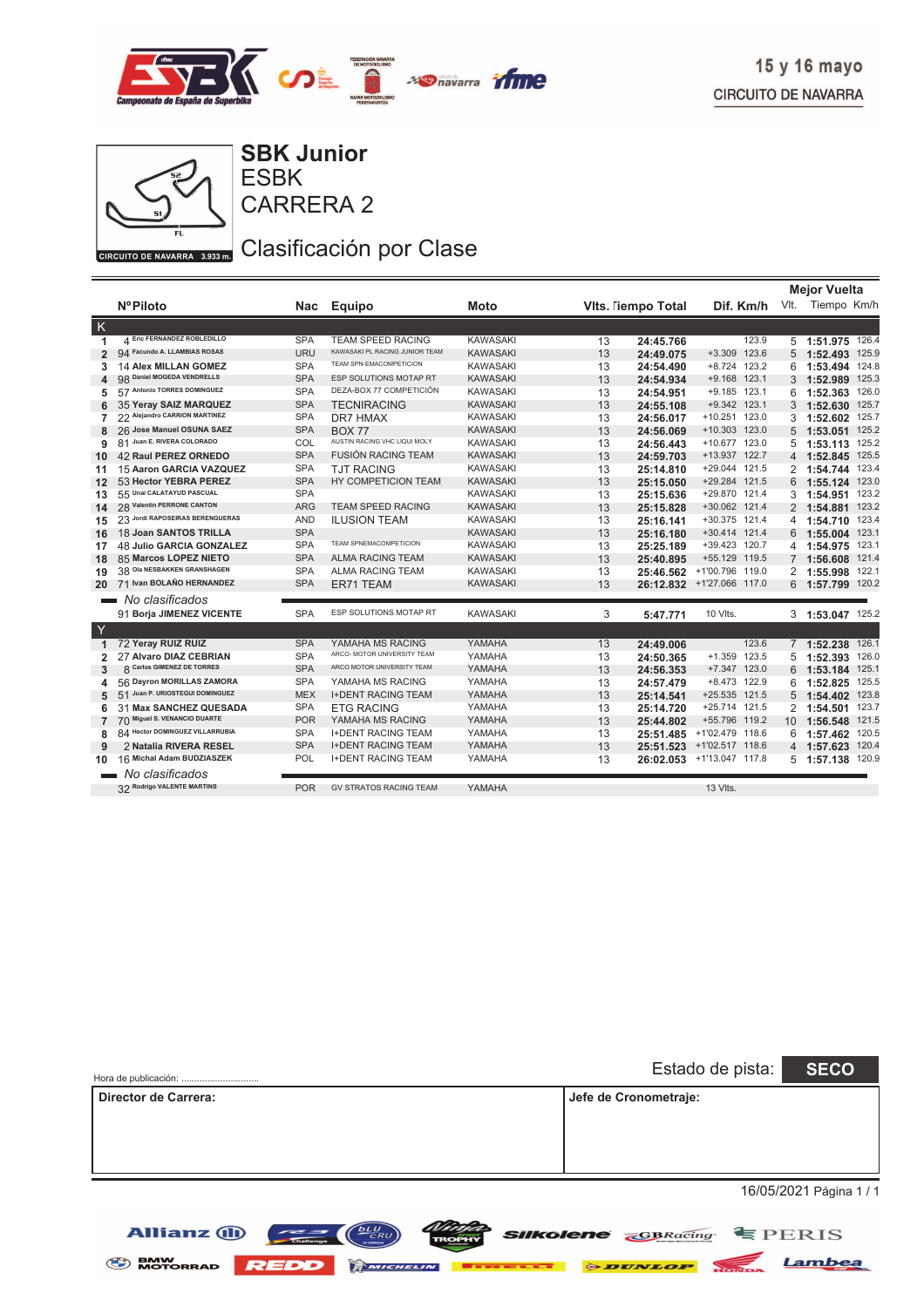

**Mejor Vuelta**



**Allianz (ii)** 

CARRERA 2 ESBK **SBK Junior**

Clasificación por Clase

|                |                                 |            |                                |                 |    |                   |                 |             | mejor vuelta      |
|----------------|---------------------------------|------------|--------------------------------|-----------------|----|-------------------|-----------------|-------------|-------------------|
|                | <b>NºPiloto</b>                 |            | Nac Equipo                     | Moto            |    | Vits. lempo Total | Dif. Km/h       |             | Vlt. Tiempo Km/h  |
| K              |                                 |            |                                |                 |    |                   |                 |             |                   |
| 1              | A Eric FERNANDEZ ROBLEDILLO     | <b>SPA</b> | <b>TEAM SPEED RACING</b>       | <b>KAWASAKI</b> | 13 | 24:45.766         | 123.9           |             | 5 1:51.975 126.4  |
| $\overline{2}$ | 94 Facundo A. LLAMBIAS ROSAS    | <b>URU</b> | KAWASAKI PL RACING JUNIOR TEAM | <b>KAWASAKI</b> | 13 | 24:49.075         | +3.309 123.6    | 5           | 1:52.493 125.9    |
| 3              | 14 Alex MILLAN GOMEZ            | <b>SPA</b> | TEAM SPN-EMACOMPETICION        | <b>KAWASAKI</b> | 13 | 24:54.490         | +8.724 123.2    | 6           | 1:53.494 124.8    |
| 4              | 98 Daniel MOGEDA VENDRELLS      | <b>SPA</b> | ESP SOLUTIONS MOTAP RT         | <b>KAWASAKI</b> | 13 | 24:54.934         | $+9.168$ 123.1  |             | 3 1:52.989 125.3  |
| 5              | 57 Antonio TORRES DOMINGUEZ     | <b>SPA</b> | DEZA-BOX 77 COMPETICIÓN        | <b>KAWASAKI</b> | 13 | 24:54.951         | +9.185 123.1    | 6           | 1:52.363 126.0    |
|                | 35 Yeray SAIZ MARQUEZ           | <b>SPA</b> | <b>TECNIRACING</b>             | <b>KAWASAKI</b> | 13 | 24:55.108         | +9.342 123.1    |             | 3 1:52.630 125.7  |
| 7              | 22 Alejandro CARRION MARTINEZ   | <b>SPA</b> | DR7 HMAX                       | <b>KAWASAKI</b> | 13 | 24:56.017         | +10.251 123.0   |             | 3 1:52.602 125.7  |
| 8              | 26 Jose Manuel OSUNA SAEZ       | <b>SPA</b> | <b>BOX 77</b>                  | <b>KAWASAKI</b> | 13 | 24:56.069         | +10.303 123.0   |             | 5 1:53.051 125.2  |
| 9              | 81 Juan E. RIVERA COLORADO      | COL        | AUSTIN RACING VHC LIQUI MOLY   | <b>KAWASAKI</b> | 13 | 24:56.443         | +10.677 123.0   |             | 5 1:53.113 125.2  |
| 10             | <b>42 Raul PEREZ ORNEDO</b>     | <b>SPA</b> | <b>FUSIÓN RACING TEAM</b>      | <b>KAWASAKI</b> | 13 | 24:59.703         | +13.937 122.7   |             | 4 1:52.845 125.5  |
| 11             | 15 Aaron GARCIA VAZQUEZ         | <b>SPA</b> | <b>TJT RACING</b>              | <b>KAWASAKI</b> | 13 | 25:14.810         | +29.044 121.5   | 2           | 1:54.744 123.4    |
| 12             | 53 Hector YEBRA PEREZ           | <b>SPA</b> | HY COMPETICION TEAM            | <b>KAWASAKI</b> | 13 | 25:15.050         | +29.284 121.5   |             | 6 1:55.124 123.0  |
| 13             | 55 Unai CALATAYUD PASCUAL       | <b>SPA</b> |                                | <b>KAWASAKI</b> | 13 | 25:15.636         | +29.870 121.4   |             | 3 1:54.951 123.2  |
| 14             | 28 Valentin PERRONE CANTON      | <b>ARG</b> | <b>TEAM SPEED RACING</b>       | <b>KAWASAKI</b> | 13 | 25:15.828         | +30.062 121.4   |             | 2 1:54.881 123.2  |
| 15             | 23 Jordi RAPOSEIRAS BERENGUERAS | <b>AND</b> | <b>ILUSION TEAM</b>            | <b>KAWASAKI</b> | 13 | 25:16.141         | +30.375 121.4   | 4           | 1:54.710 123.4    |
| 16             | 18 Joan SANTOS TRILLA           | <b>SPA</b> |                                | <b>KAWASAKI</b> | 13 | 25:16.180         | +30.414 121.4   |             | 6 1:55.004 123.1  |
| 17             | <b>48 Julio GARCIA GONZALEZ</b> | <b>SPA</b> | TEAM SPNEMACOMPETICION         | <b>KAWASAKI</b> | 13 | 25:25.189         | +39.423 120.7   |             | 4 1:54.975 123.1  |
| 18             | 85 Marcos LOPEZ NIETO           | <b>SPA</b> | <b>ALMA RACING TEAM</b>        | <b>KAWASAKI</b> | 13 | 25:40.895         | +55.129 119.5   |             | 7 1:56.608 121.4  |
| 19             | 38 Ola NESBAKKEN GRANSHAGEN     | <b>SPA</b> | <b>ALMA RACING TEAM</b>        | <b>KAWASAKI</b> | 13 | 25:46.562         | +1'00.796 119.0 |             | 2 1:55.998 122.1  |
| 20             | 71 Ivan BOLAÑO HERNANDEZ        | <b>SPA</b> | ER71 TEAM                      | <b>KAWASAKI</b> | 13 | 26:12.832         | +1'27.066 117.0 |             | 6 1:57.799 120.2  |
|                | No clasificados                 |            |                                |                 |    |                   |                 |             |                   |
|                | 91 Borja JIMENEZ VICENTE        | <b>SPA</b> | ESP SOLUTIONS MOTAP RT         | <b>KAWASAKI</b> | 3  | 5:47.771          | 10 VIts.        |             | 3 1:53.047 125.2  |
| $\mathsf{Y}$   |                                 |            |                                |                 |    |                   |                 |             |                   |
| $\mathbf{1}$   | 72 Yeray RUIZ RUIZ              | <b>SPA</b> | YAMAHA MS RACING               | YAMAHA          | 13 | 24:49.006         | 123.6           | $7^{\circ}$ | 1:52.238 126.1    |
| 2              | 27 Alvaro DIAZ CEBRIAN          | <b>SPA</b> | ARCO- MOTOR UNIVERSITY TEAM    | YAMAHA          | 13 | 24:50.365         | +1.359 123.5    |             | 5 1:52.393 126.0  |
| 3              | 8 Carlos GIMENEZ DE TORRES      | <b>SPA</b> | ARCO MOTOR UNIVERSITY TEAM     | YAMAHA          | 13 | 24:56.353         | +7.347 123.0    | 6           | 1:53.184 125.1    |
| 4              | 56 Dayron MORILLAS ZAMORA       | <b>SPA</b> | YAMAHA MS RACING               | YAMAHA          | 13 | 24:57.479         | +8.473 122.9    | 6           | 1:52.825 125.5    |
| 5              | 51 Juan P. URIOSTEGUI DOMINGUEZ | <b>MEX</b> | <b>I+DENT RACING TEAM</b>      | YAMAHA          | 13 | 25:14.541         | +25.535 121.5   |             | 5 1:54.402 123.8  |
| 6              | 31 Max SANCHEZ QUESADA          | <b>SPA</b> | <b>ETG RACING</b>              | YAMAHA          | 13 | 25:14.720         | +25.714 121.5   |             | 2 1:54.501 123.7  |
| $\overline{7}$ | 70 Miguel S. VENANCIO DUARTE    | <b>POR</b> | YAMAHA MS RACING               | YAMAHA          | 13 | 25:44.802         | +55.796 119.2   |             | 10 1:56.548 121.5 |
| 8              | 84 Hector DOMINGUEZ VILLARRUBIA | <b>SPA</b> | <b>I+DENT RACING TEAM</b>      | YAMAHA          | 13 | 25:51.485         | +1'02.479 118.6 | 6           | 1:57.462 120.5    |
| 9              | 2 Natalia RIVERA RESEL          | <b>SPA</b> | <b>I+DENT RACING TEAM</b>      | YAMAHA          | 13 | 25:51.523         | +1'02.517 118.6 | 4           | 1:57.623 120.4    |
| 10             | 16 Michal Adam BUDZIASZEK       | POL        | <b>I+DENT RACING TEAM</b>      | YAMAHA          | 13 | 26:02.053         | +1'13.047 117.8 |             | 5 1:57.138 120.9  |
|                | No clasificados                 |            |                                |                 |    |                   |                 |             |                   |
|                | 32 Rodrigo VALENTE MARTINS      | <b>POR</b> | <b>GV STRATOS RACING TEAM</b>  | YAMAHA          |    |                   | 13 VIts.        |             |                   |

| Hora de publicación: | Estado de pista:      | <b>SECO</b>                                                                                                                                                                                                                                                                                                                              |
|----------------------|-----------------------|------------------------------------------------------------------------------------------------------------------------------------------------------------------------------------------------------------------------------------------------------------------------------------------------------------------------------------------|
| Director de Carrera: | Jefe de Cronometraje: |                                                                                                                                                                                                                                                                                                                                          |
|                      |                       | $\cdot$ $\sim$ $\cdot$ $\sim$ $\sim$ $\sim$ $\cdot$ $\sim$ $\cdot$ $\sim$ $\cdot$ $\sim$ $\cdot$ $\sim$ $\cdot$ $\sim$ $\cdot$ $\sim$ $\cdot$ $\sim$ $\cdot$ $\sim$ $\cdot$ $\sim$ $\cdot$ $\sim$ $\cdot$ $\sim$ $\cdot$ $\sim$ $\cdot$ $\sim$ $\cdot$ $\sim$ $\cdot$ $\sim$ $\cdot$ $\sim$ $\cdot$ $\sim$ $\cdot$ $\sim$ $\cdot$ $\sim$ |

**SENW MOTORRAD REDD MICHELIN Execute PDUNLOP** 

16/05/2021 Página 1 / 1

Lambea

**SIIKolene GBRacing** EPERIS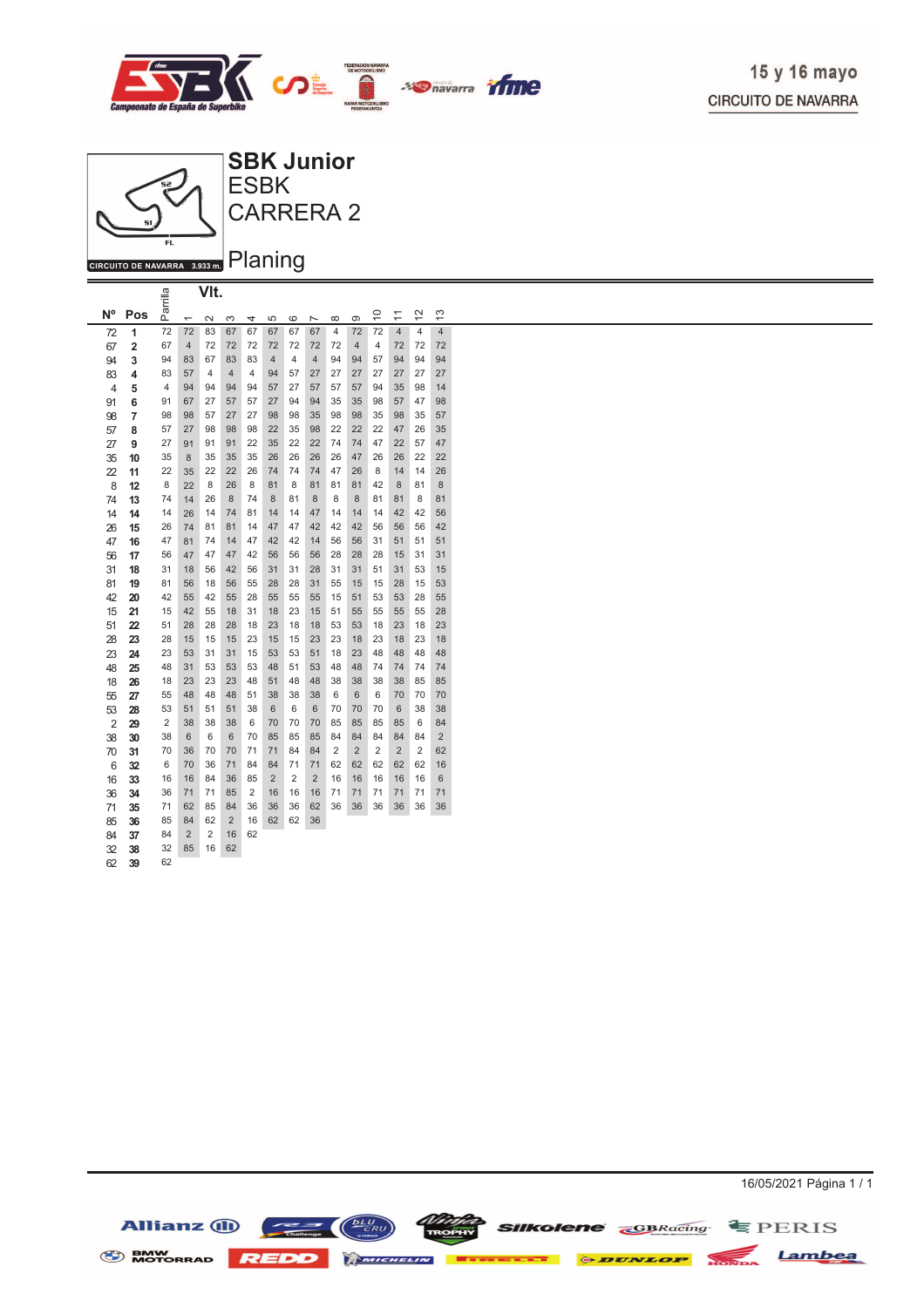



|                |                         | arrilla                 |                          | VIt.           |                |                |                |                |                |                |                |                 |                |                         |                |
|----------------|-------------------------|-------------------------|--------------------------|----------------|----------------|----------------|----------------|----------------|----------------|----------------|----------------|-----------------|----------------|-------------------------|----------------|
| N <sup>o</sup> | Pos                     | ௳                       | $\overline{\phantom{0}}$ | $\sim$         | 3              | 4              | 5              | 6              | $\overline{ }$ | $\infty$       | တ              | $\widetilde{=}$ | ≒              | $\frac{2}{3}$           | 13             |
| 72             | 1                       | 72                      | 72                       | 83             | 67             | 67             | 67             | 67             | 67             | $\overline{4}$ | 72             | 72              | $\overline{4}$ | $\overline{\mathbf{4}}$ | $\overline{4}$ |
| 67             | $\overline{\mathbf{c}}$ | 67                      | 4                        | 72             | 72             | 72             | 72             | 72             | 72             | 72             | 4              | 4               | 72             | 72                      | 72             |
| 94             | 3                       | 94                      | 83                       | 67             | 83             | 83             | 4              | 4              | $\overline{4}$ | 94             | 94             | 57              | 94             | 94                      | 94             |
| 83             | 4                       | 83                      | 57                       | 4              | $\overline{4}$ | 4              | 94             | 57             | 27             | 27             | 27             | 27              | 27             | 27                      | 27             |
| 4              | 5                       | 4                       | 94                       | 94             | 94             | 94             | 57             | 27             | 57             | 57             | 57             | 94              | 35             | 98                      | 14             |
| 91             | 6                       | 91                      | 67                       | 27             | 57             | 57             | 27             | 94             | 94             | 35             | 35             | 98              | 57             | 47                      | 98             |
| 98             | 7                       | 98                      | 98                       | 57             | 27             | 27             | 98             | 98             | 35             | 98             | 98             | 35              | 98             | 35                      | 57             |
| 57             | 8                       | 57                      | 27                       | 98             | 98             | 98             | 22             | 35             | 98             | 22             | 22             | 22              | 47             | 26                      | 35             |
| 27             | 9                       | 27                      | 91                       | 91             | 91             | 22             | 35             | 22             | 22             | 74             | 74             | 47              | 22             | 57                      | 47             |
| 35             | 10                      | 35                      | 8                        | 35             | 35             | 35             | 26             | 26             | 26             | 26             | 47             | 26              | 26             | 22                      | 22             |
| 22             | 11                      | 22                      | 35                       | 22             | 22             | 26             | 74             | 74             | 74             | 47             | 26             | 8               | 14             | 14                      | 26             |
| 8              | 12                      | 8                       | 22                       | 8              | 26             | 8              | 81             | 8              | 81             | 81             | 81             | 42              | 8              | 81                      | 8              |
| 74             | 13                      | 74                      | 14                       | 26             | 8              | 74             | 8              | 81             | 8              | 8              | 8              | 81              | 81             | 8                       | 81             |
| 14             | 14                      | 14                      | 26                       | 14             | 74             | 81             | 14             | 14             | 47             | 14             | 14             | 14              | 42             | 42                      | 56             |
| 26             | 15                      | 26                      | 74                       | 81             | 81             | 14             | 47             | 47             | 42             | 42             | 42             | 56              | 56             | 56                      | 42             |
| 47             | 16                      | 47                      | 81                       | 74             | 14             | 47             | 42             | 42             | 14             | 56             | 56             | 31              | 51             | 51                      | 51             |
| 56             | 17                      | 56                      | 47                       | 47             | 47             | 42             | 56             | 56             | 56             | 28             | 28             | 28              | 15             | 31                      | 31             |
| 31             | 18                      | 31                      | 18                       | 56             | 42             | 56             | 31             | 31             | 28             | 31             | 31             | 51              | 31             | 53                      | 15             |
| 81             | 19                      | 81                      | 56                       | 18             | 56             | 55             | 28             | 28             | 31             | 55             | 15             | 15              | 28             | 15                      | 53             |
| 42             | 20                      | 42                      | 55                       | 42             | 55             | 28             | 55             | 55             | 55             | 15             | 51             | 53              | 53             | 28                      | 55             |
| 15             | 21                      | 15                      | 42                       | 55             | 18             | 31             | 18             | 23             | 15             | 51             | 55             | 55              | 55             | 55                      | 28             |
| 51             | 22                      | 51                      | 28                       | 28             | 28             | 18             | 23             | 18             | 18             | 53             | 53             | 18              | 23             | 18                      | 23             |
| 28             | 23                      | 28                      | 15                       | 15             | 15             | 23             | 15             | 15             | 23             | 23             | 18             | 23              | 18             | 23                      | 18             |
| 23             | 24                      | 23                      | 53                       | 31             | 31             | 15             | 53             | 53             | 51             | 18             | 23             | 48              | 48             | 48                      | 48             |
| 48             | 25                      | 48                      | 31                       | 53             | 53             | 53             | 48             | 51             | 53             | 48             | 48             | 74              | 74             | 74                      | 74             |
| 18             | 26                      | 18                      | 23                       | 23             | 23             | 48             | 51             | 48             | 48             | 38             | 38             | 38              | 38             | 85                      | 85             |
| 55             | 27                      | 55                      | 48                       | 48             | 48             | 51             | 38             | 38             | 38             | 6              | 6              | 6               | 70             | 70                      | 70             |
| 53             | 28                      | 53                      | 51                       | 51             | 51             | 38             | 6              | 6              | 6              | 70             | 70             | 70              | 6              | 38                      | 38             |
| $\overline{2}$ | 29                      | $\overline{\mathbf{c}}$ | 38                       | 38             | 38             | 6              | 70             | 70             | 70             | 85             | 85             | 85              | 85             | 6                       | 84             |
| 38             | 30                      | 38                      | 6                        | 6              | 6              | 70             | 85             | 85             | 85             | 84             | 84             | 84              | 84             | 84                      | $\overline{2}$ |
| 70             | 31                      | 70                      | 36                       | 70             | 70             | 71             | 71             | 84             | 84             | $\overline{2}$ | $\overline{2}$ | $\overline{2}$  | $\overline{2}$ | $\overline{2}$          | 62             |
| 6              | 32                      | 6                       | 70                       | 36             | 71             | 84             | 84             | 71             | 71             | 62             | 62             | 62              | 62             | 62                      | 16             |
| 16             | 33                      | 16                      | 16                       | 84             | 36             | 85             | $\overline{2}$ | $\overline{2}$ | $\overline{2}$ | 16             | 16             | 16              | 16             | 16                      | 6              |
| 36             | 34                      | 36                      | 71                       | 71             | 85             | $\overline{2}$ | 16             | 16             | 16             | 71             | 71             | 71              | 71             | 71                      | 71             |
| 71             | 35                      | 71                      | 62                       | 85             | 84             | 36             | 36             | 36             | 62             | 36             | 36             | 36              | 36             | 36                      | 36             |
| 85             | 36                      | 85                      | 84                       | 62             | $\overline{2}$ | 16             | 62             | 62             | 36             |                |                |                 |                |                         |                |
| 84             | 37                      | 84                      | $\overline{2}$           | $\overline{2}$ | 16             | 62             |                |                |                |                |                |                 |                |                         |                |
| 32             | 38                      | 32                      | 85                       | 16             | 62             |                |                |                |                |                |                |                 |                |                         |                |
| 62             | 39                      | 62                      |                          |                |                |                |                |                |                |                |                |                 |                |                         |                |

**SIIKOlene CBRacing** SPERIS Allianz (I) BMW MOTORRAD REDD MMCHELIN **BERKELLE & DUNLOP** NOTION Lambea

16/05/2021 Página 1 / 1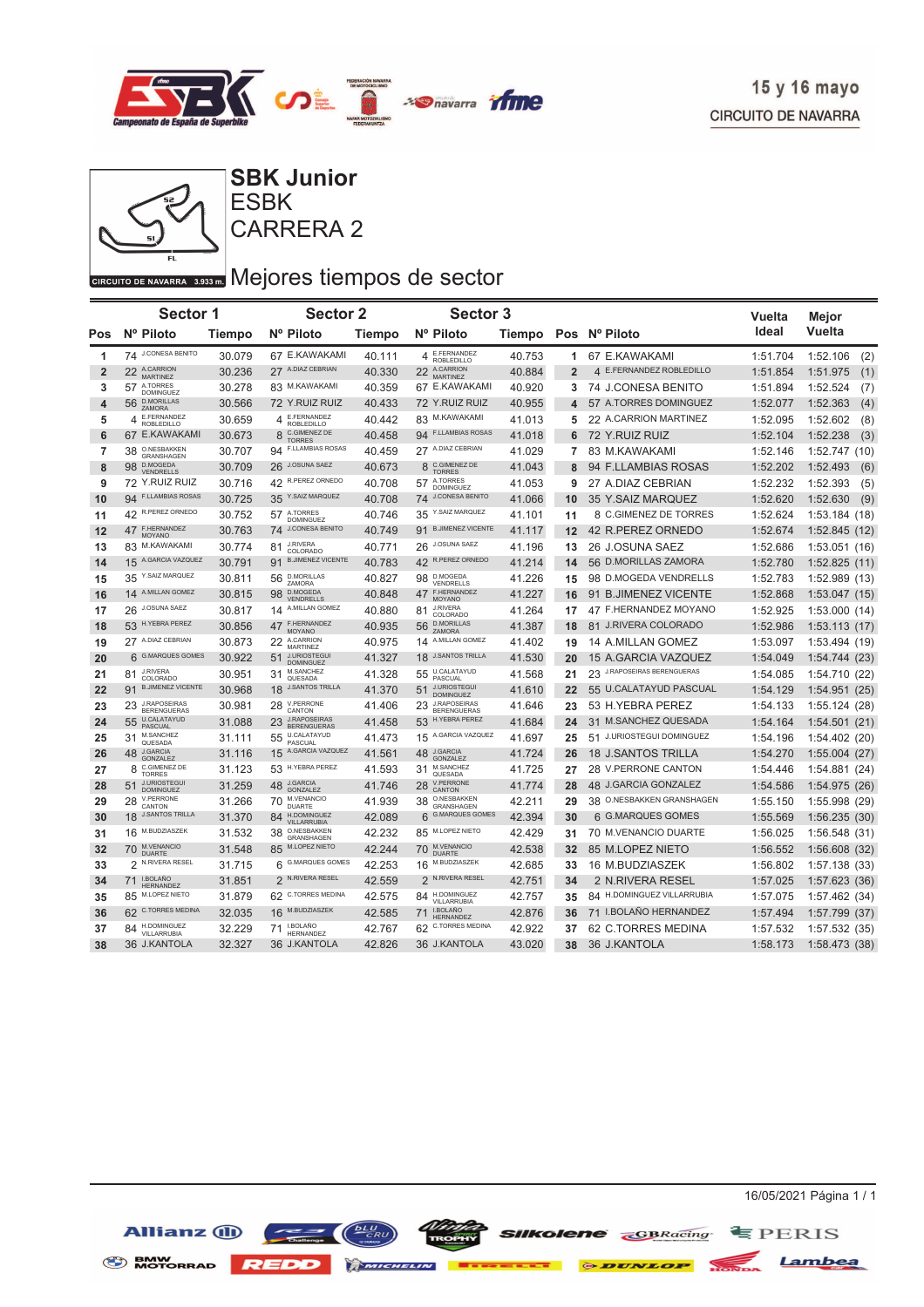



## CARRERA 2 ESBK **SBK Junior**

# GIRCUITO DE NAVARRA 3.933 DI Mejores tiempos de sector

|                | Sector 1                                 |        | <b>Sector 2</b>                                 |               | <b>Sector 3</b>                                 |        |                |                             | <b>Vuelta</b> | Mejor            |
|----------------|------------------------------------------|--------|-------------------------------------------------|---------------|-------------------------------------------------|--------|----------------|-----------------------------|---------------|------------------|
| <b>Pos</b>     | Nº Piloto                                | Tiempo | Nº Piloto                                       | <b>Tiempo</b> | Nº Piloto                                       |        |                | Tiempo Pos Nº Piloto        | Ideal         | Vuelta           |
| 1              | 74 J.CONESA BENITO                       | 30.079 | 67 E.KAWAKAMI                                   | 40.111        | E.FERNANDEZ<br>4<br>ROBLEDILLO                  | 40.753 | 1              | 67 E.KAWAKAMI               | 1:51.704      | 1:52.106<br>(2)  |
| $\overline{2}$ | 22 A.CARRION<br><b>MARTINEZ</b>          | 30.236 | 27 A.DIAZ CEBRIAN                               | 40.330        | 22 A.CARRION<br><b>MARTINEZ</b>                 | 40.884 | $\overline{2}$ | 4 E.FERNANDEZ ROBLEDILLO    | 1:51.854      | (1)<br>1:51.975  |
| 3              | A.TORRES<br>57<br>DOMINGUEZ              | 30.278 | 83 M.KAWAKAMI                                   | 40.359        | 67 E.KAWAKAMI                                   | 40.920 | 3              | 74 J.CONESA BENITO          | 1:51.894      | 1:52.524<br>(7)  |
| 4              | <b>D.MORILLAS</b><br>56<br>ZAMORA        | 30.566 | 72 Y.RUIZ RUIZ                                  | 40.433        | 72 Y.RUIZ RUIZ                                  | 40.955 | 4              | 57 A.TORRES DOMINGUEZ       | 1:52.077      | 1:52.363<br>(4)  |
| 5              | E.FERNANDEZ<br>4<br><b>ROBLEDILLO</b>    | 30.659 | E.FERNANDEZ<br>4<br><b>ROBLEDILLO</b>           | 40.442        | 83 M.KAWAKAMI                                   | 41.013 | 5              | 22 A.CARRION MARTINEZ       | 1:52.095      | 1:52.602<br>(8)  |
| 6              | 67 E.KAWAKAMI                            | 30.673 | C.GIMENEZ DE<br>8<br><b>TORRES</b>              | 40.458        | 94 F.LLAMBIAS ROSAS                             | 41.018 | 6              | 72 Y.RUIZ RUIZ              | 1:52.104      | (3)<br>1:52.238  |
| $\overline{7}$ | O.NESBAKKEN<br>38<br>GRANSHAGEN          | 30.707 | <b>F.LLAMBIAS ROSAS</b><br>94                   | 40.459        | 27 A.DIAZ CEBRIAN                               | 41.029 | $\overline{7}$ | 83 M.KAWAKAMI               | 1:52.146      | 1:52.747 (10)    |
| 8              | D.MOGEDA<br>98<br><b>VENDRELLS</b>       | 30.709 | 26 J.OSUNA SAEZ                                 | 40.673        | C.GIMENEZ DE<br>8<br><b>TORRES</b>              | 41.043 | 8              | 94 F.LLAMBIAS ROSAS         | 1:52.202      | 1:52.493<br>(6)  |
| 9              | 72 Y.RUIZ RUIZ                           | 30.716 | 42 R.PEREZ ORNEDO                               | 40.708        | 57 A.TORRES<br>DOMINGUEZ                        | 41.053 | 9              | 27 A.DIAZ CEBRIAN           | 1:52.232      | 1:52.393<br>(5)  |
| 10             | 94 F.LLAMBIAS ROSAS                      | 30.725 | 35 Y.SAIZ MARQUEZ                               | 40.708        | 74 J.CONESA BENITO                              | 41.066 | 10             | 35 Y.SAIZ MARQUEZ           | 1:52.620      | 1:52.630<br>(9)  |
| 11             | 42 R.PEREZ ORNEDO                        | 30.752 | 57 ATORRES<br><b>DOMINGUEZ</b>                  | 40.746        | 35 Y.SAIZ MARQUEZ                               | 41.101 | 11             | 8 C.GIMENEZ DE TORRES       | 1:52.624      | 1:53.184 (18)    |
| 12             | 47 F.HERNANDEZ<br>MOYANO                 | 30.763 | <b>J.CONESA BENITO</b><br>74                    | 40.749        | 91 B.JIMENEZ VICENTE                            | 41.117 | 12             | 42 R.PEREZ ORNEDO           | 1:52.674      | 1:52.845(12)     |
| 13             | 83 M.KAWAKAMI                            | 30.774 | <b>J.RIVERA</b><br>81<br>COLORADO               | 40.771        | 26 J.OSUNA SAEZ                                 | 41.196 | 13             | 26 J.OSUNA SAEZ             | 1:52.686      | 1:53.051(16)     |
| 14             | 15 A.GARCIA VAZQUEZ                      | 30.791 | <b>B.JIMENEZ VICENTE</b><br>91                  | 40.783        | R.PEREZ ORNEDO<br>42                            | 41.214 | 14             | 56 D.MORILLAS ZAMORA        | 1:52.780      | 1:52.825(11)     |
| 15             | 35 Y.SAIZ MARQUEZ                        | 30.811 | <b>D.MORILLAS</b><br>56<br>ZAMORA               | 40.827        | 98 D.MOGEDA<br>VENDRELLS                        | 41.226 | 15             | 98 D.MOGEDA VENDRELLS       | 1:52.783      | 1:52.989(13)     |
| 16             | 14 A.MILLAN GOMEZ                        | 30.815 | <b>D.MOGEDA</b><br>98<br>VENDRELLS              | 40.848        | F.HERNANDEZ<br>47<br>MOYANO                     | 41.227 | 16             | 91 B.JIMENEZ VICENTE        | 1:52.868      | 1:53.047(15)     |
| 17             | 26 J.OSUNA SAEZ                          | 30.817 | 14 A.MILLAN GOMEZ                               | 40.880        | <b>J.RIVERA</b><br>81<br>COLORADO               | 41.264 | 17             | 47 F.HERNANDEZ MOYANO       | 1:52.925      | 1:53.000(14)     |
| 18             | 53 H.YEBRA PEREZ                         | 30.856 | F.HERNANDEZ<br>47<br><b>MOYANO</b>              | 40.935        | <b>D.MORILLAS</b><br>56<br>ZAMORA               | 41.387 | 18             | 81 J.RIVERA COLORADO        | 1:52.986      | 1:53.113(17)     |
| 19             | 27 A.DIAZ CEBRIAN                        | 30.873 | A.CARRION<br>22<br><b>MARTINEZ</b>              | 40.975        | A.MILLAN GOMEZ<br>14                            | 41.402 | 19             | 14 A.MILLAN GOMEZ           | 1:53.097      | 1:53.494 (19)    |
| 20             | 6 G.MARQUES GOMES                        | 30.922 | <b>J.URIOSTEGUI</b><br>51<br><b>DOMINGUEZ</b>   | 41.327        | <b>J.SANTOS TRILLA</b><br>18                    | 41.530 | 20             | 15 A.GARCIA VAZQUEZ         | 1:54.049      | 1:54.744(23)     |
| 21             | <b>J.RIVERA</b><br>81<br>COLORADO        | 30.951 | M.SANCHEZ<br>31<br>QUESADA                      | 41.328        | 55 U.CALATAYUD<br>PASCUAL                       | 41.568 | 21             | 23 J.RAPOSEIRAS BERENGUERAS | 1:54.085      | 1:54.710 (22)    |
| 22             | <b>B.JIMENEZ VICENTE</b><br>91           | 30.968 | <b>J.SANTOS TRILLA</b><br>18                    | 41.370        | <b>J.URIOSTEGUI</b><br>51<br><b>DOMINGUEZ</b>   | 41.610 | 22             | 55 U.CALATAYUD PASCUAL      | 1:54.129      | 1:54.951(25)     |
| 23             | 23 J.RAPOSEIRAS<br><b>BERENGUERAS</b>    | 30.981 | 28 V.PERRONE<br>CANTON                          | 41.406        | <b>J.RAPOSEIRAS</b><br>23<br><b>BERENGUERAS</b> | 41.646 | 23             | 53 H.YEBRA PEREZ            | 1:54.133      | 1:55.124(28)     |
| 24             | 55 U.CALATAYUD<br>PASCUAL                | 31.088 | <b>J.RAPOSEIRAS</b><br>23<br><b>BERENGUERAS</b> | 41.458        | H.YEBRA PEREZ<br>53                             | 41.684 | 24             | 31 M.SANCHEZ QUESADA        | 1:54.164      | 1:54.501(21)     |
| 25             | M.SANCHEZ<br>31<br>QUESADA               | 31.111 | 55 U.CALATAYUD<br>PASCUAL                       | 41.473        | 15 A.GARCIA VAZQUEZ                             | 41.697 | 25             | 51 J.URIOSTEGUI DOMINGUEZ   | 1:54.196      | 1:54.402 (20)    |
| 26             | <b>J.GARCIA</b><br>48<br><b>GONZALEZ</b> | 31.116 | A.GARCIA VAZQUEZ<br>15                          | 41.561        | <b>J.GARCIA</b><br>48<br>GONZALEZ               | 41.724 | 26             | <b>18 J.SANTOS TRILLA</b>   | 1:54.270      | 1:55.004(27)     |
| 27             | C.GIMENEZ DE<br>8<br><b>TORRES</b>       | 31.123 | 53 H.YEBRA PEREZ                                | 41.593        | M.SANCHEZ<br>31<br>QUESADA                      | 41.725 | 27             | 28 V.PERRONE CANTON         | 1:54.446      | 1:54.881(24)     |
| 28             | J.URIOSTEGUI<br>51<br><b>DOMINGUEZ</b>   | 31.259 | 48 J.GARCIA<br>GONZALEZ                         | 41.746        | <b>V.PERRONE</b><br>28<br>CANTON                | 41.774 | 28             | 48 J.GARCIA GONZALEZ        | 1:54.586      | 1:54.975<br>(26) |
| 29             | 28 V.PERRONE<br>CANTON                   | 31.266 | M.VENANCIO<br>70<br><b>DUARTE</b>               | 41.939        | O.NESBAKKEN<br>38<br>GRANSHAGEN                 | 42.211 | 29             | 38 O.NESBAKKEN GRANSHAGEN   | 1:55.150      | 1:55.998 (29)    |
| 30             | 18 J.SANTOS TRILLA                       | 31.370 | H.DOMINGUEZ<br>84<br>VII I ARRUBIA              | 42.089        | <b>G.MARQUES GOMES</b><br>6                     | 42.394 | 30             | 6 G.MARQUES GOMES           | 1:55.569      | 1:56.235(30)     |
| 31             | 16 M.BUDZIASZEK                          | 31.532 | O.NESBAKKEN<br>38<br>GRANSHAGEN                 | 42.232        | 85 M.LOPEZ NIETO                                | 42.429 | 31             | 70 M.VENANCIO DUARTE        | 1:56.025      | 1:56.548(31)     |
| 32             | 70 M.VENANCIO<br><b>DUARTE</b>           | 31.548 | M.LOPEZ NIETO<br>85                             | 42.244        | M.VENANCIO<br>70<br><b>DUARTE</b>               | 42.538 | 32             | 85 M.LOPEZ NIETO            | 1:56.552      | 1:56.608(32)     |
| 33             | 2 N.RIVERA RESEL                         | 31.715 | 6 G.MARQUES GOMES                               | 42.253        | M.BUDZIASZEK<br>16                              | 42.685 | 33             | 16 M.BUDZIASZEK             | 1:56.802      | 1:57.138(33)     |
| 34             | 71 I.BOLAÑO<br>HERNANDEZ                 | 31.851 | 2 N.RIVERA RESEL                                | 42.559        | 2 N.RIVERA RESEL                                | 42.751 | 34             | 2 N.RIVERA RESEL            | 1:57.025      | 1:57.623(36)     |
| 35             | 85 M.LOPEZ NIETO                         | 31.879 | 62 C.TORRES MEDINA                              | 42.575        | H.DOMINGUEZ<br>84<br>VILLARRUBIA                | 42.757 | 35             | 84 H.DOMINGUEZ VILLARRUBIA  | 1:57.075      | 1:57.462(34)     |
| 36             | 62 C.TORRES MEDINA                       | 32.035 | 16 M.BUDZIASZEK                                 | 42.585        | I.BOLAÑO<br>71<br><b>HFRNANDF7</b>              | 42.876 | 36             | 71 I.BOLAÑO HERNANDEZ       | 1:57.494      | 1:57.799 (37)    |
| 37             | 84 H.DOMINGUEZ<br>VILLARRUBIA            | 32.229 | 71 <b>I.BOLAÑO</b><br>HERNANDEZ                 | 42.767        | C.TORRES MEDINA<br>62                           | 42.922 | 37             | 62 C.TORRES MEDINA          | 1:57.532      | 1:57.532(35)     |
| 38             | 36 J.KANTOLA                             | 32.327 | 36 J.KANTOLA                                    | 42.826        | 36 J.KANTOLA                                    | 43.020 | 38             | 36 J.KANTOLA                | 1:58.173      | 1:58.473(38)     |

**SENW MOTORRAD REDD Extends 6 DUNLOP** 



Lambea

**SIIKOlene GBRacing** EPERIS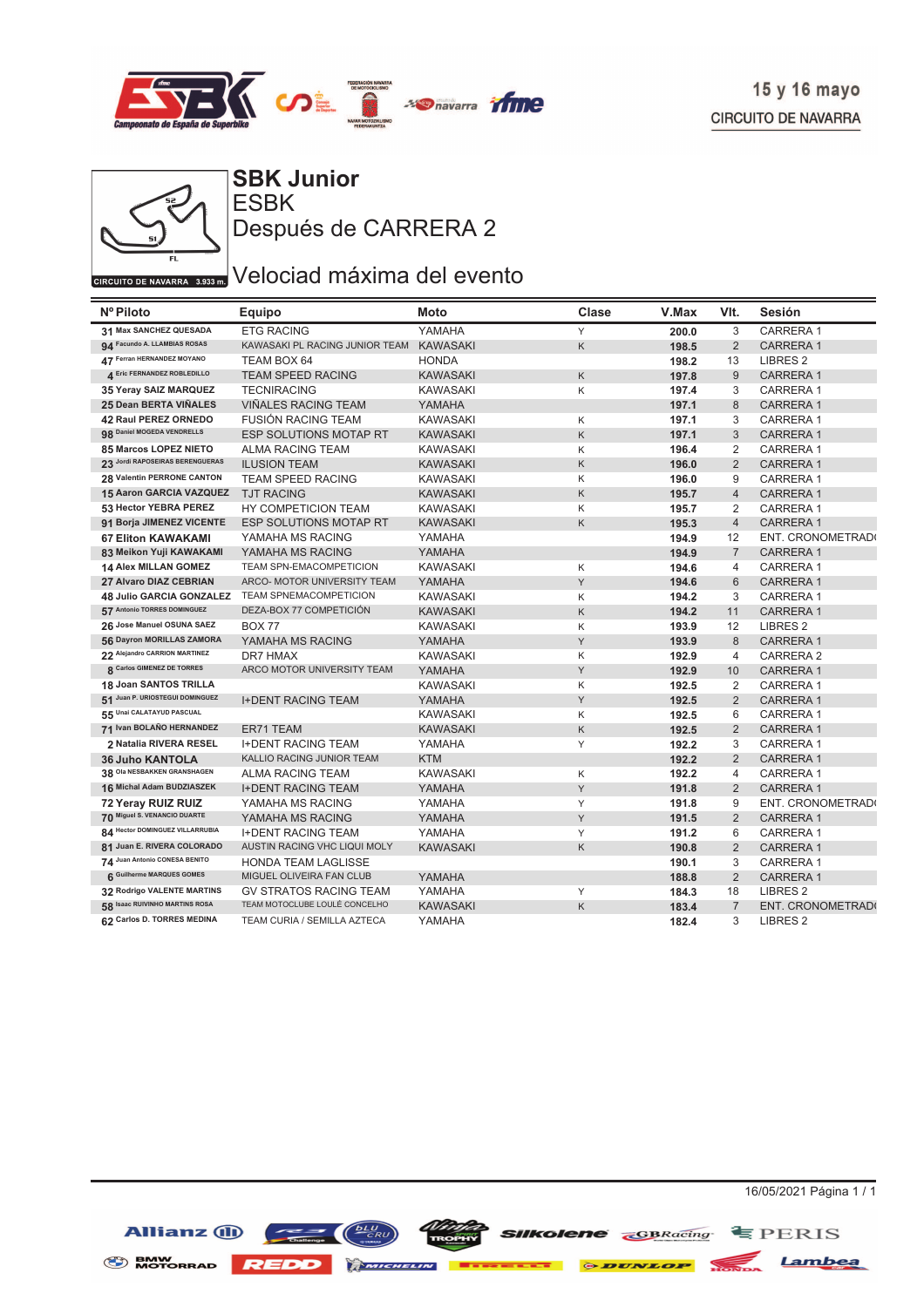



**ESBK SBK Junior** Después de CARRERA 2

# $\overline{C_{\text{CIRCUITO DE NAVARRA} \rightarrow 3933 m}}$ Velociad máxima del evento

| Nº Piloto                       | Equipo                         | Moto            | Clase | V.Max | VIt.           | Sesión              |
|---------------------------------|--------------------------------|-----------------|-------|-------|----------------|---------------------|
| 31 Max SANCHEZ QUESADA          | <b>ETG RACING</b>              | YAMAHA          | Y     | 200.0 | 3              | CARRERA 1           |
| 94 Facundo A. LLAMBIAS ROSAS    | KAWASAKI PL RACING JUNIOR TEAM | <b>KAWASAKI</b> | K     | 198.5 | 2              | <b>CARRERA1</b>     |
| 47 Ferran HERNANDEZ MOYANO      | TEAM BOX 64                    | <b>HONDA</b>    |       | 198.2 | 13             | LIBRES <sub>2</sub> |
| 4 Eric FERNANDEZ ROBLEDILLO     | <b>TEAM SPEED RACING</b>       | <b>KAWASAKI</b> | K     | 197.8 | $9$            | <b>CARRERA1</b>     |
| 35 Yeray SAIZ MARQUEZ           | <b>TECNIRACING</b>             | <b>KAWASAKI</b> | Κ     | 197.4 | 3              | <b>CARRERA1</b>     |
| 25 Dean BERTA VIÑALES           | VIÑALES RACING TEAM            | YAMAHA          |       | 197.1 | $\,8\,$        | <b>CARRERA1</b>     |
| 42 Raul PEREZ ORNEDO            | <b>FUSIÓN RACING TEAM</b>      | <b>KAWASAKI</b> | Κ     | 197.1 | 3              | <b>CARRERA1</b>     |
| 98 Daniel MOGEDA VENDRELLS      | ESP SOLUTIONS MOTAP RT         | <b>KAWASAKI</b> | K     | 197.1 | 3              | <b>CARRERA1</b>     |
| 85 Marcos LOPEZ NIETO           | ALMA RACING TEAM               | KAWASAKI        | Κ     | 196.4 | 2              | <b>CARRERA1</b>     |
| 23 Jordi RAPOSEIRAS BERENGUERAS | <b>ILUSION TEAM</b>            | <b>KAWASAKI</b> | K     | 196.0 | $\overline{2}$ | <b>CARRERA1</b>     |
| 28 Valentin PERRONE CANTON      | TEAM SPEED RACING              | <b>KAWASAKI</b> | Κ     | 196.0 | 9              | <b>CARRERA1</b>     |
| 15 Aaron GARCIA VAZQUEZ         | <b>TJT RACING</b>              | <b>KAWASAKI</b> | K     | 195.7 | $\overline{4}$ | <b>CARRERA1</b>     |
| 53 Hector YEBRA PEREZ           | HY COMPETICION TEAM            | <b>KAWASAKI</b> | Κ     | 195.7 | 2              | <b>CARRERA1</b>     |
| 91 Borja JIMENEZ VICENTE        | <b>ESP SOLUTIONS MOTAP RT</b>  | <b>KAWASAKI</b> | K     | 195.3 | $\overline{4}$ | <b>CARRERA1</b>     |
| <b>67 Eliton KAWAKAMI</b>       | YAMAHA MS RACING               | YAMAHA          |       | 194.9 | 12             | ENT. CRONOMETRAD(   |
| 83 Meikon Yuji KAWAKAMI         | YAMAHA MS RACING               | YAMAHA          |       | 194.9 | $\overline{7}$ | <b>CARRERA1</b>     |
| <b>14 Alex MILLAN GOMEZ</b>     | <b>TEAM SPN-EMACOMPETICION</b> | <b>KAWASAKI</b> | Κ     | 194.6 | $\overline{4}$ | CARRERA 1           |
| 27 Alvaro DIAZ CEBRIAN          | ARCO- MOTOR UNIVERSITY TEAM    | YAMAHA          | Y     | 194.6 | 6              | <b>CARRERA1</b>     |
| 48 Julio GARCIA GONZALEZ        | <b>TEAM SPNEMACOMPETICION</b>  | <b>KAWASAKI</b> | Κ     | 194.2 | 3              | <b>CARRERA1</b>     |
| 57 Antonio TORRES DOMINGUEZ     | DEZA-BOX 77 COMPETICIÓN        | <b>KAWASAKI</b> | K     | 194.2 | 11             | <b>CARRERA1</b>     |
| 26 Jose Manuel OSUNA SAEZ       | <b>BOX 77</b>                  | <b>KAWASAKI</b> | Κ     | 193.9 | 12             | LIBRES <sub>2</sub> |
| 56 Dayron MORILLAS ZAMORA       | YAMAHA MS RACING               | YAMAHA          | Y     | 193.9 | 8              | <b>CARRERA1</b>     |
| 22 Alejandro CARRION MARTINEZ   | DR7 HMAX                       | <b>KAWASAKI</b> | Κ     | 192.9 | $\overline{4}$ | CARRERA 2           |
| 8 Carlos GIMENEZ DE TORRES      | ARCO MOTOR UNIVERSITY TEAM     | YAMAHA          | Y     | 192.9 | 10             | <b>CARRERA1</b>     |
| 18 Joan SANTOS TRILLA           |                                | <b>KAWASAKI</b> | К     | 192.5 | 2              | <b>CARRERA1</b>     |
| 51 Juan P. URIOSTEGUI DOMINGUEZ | <b>I+DENT RACING TEAM</b>      | YAMAHA          | Y     | 192.5 | 2              | <b>CARRERA1</b>     |
| 55 Unai CALATAYUD PASCUAL       |                                | <b>KAWASAKI</b> | Κ     | 192.5 | 6              | <b>CARRERA1</b>     |
| 71 Ivan BOLAÑO HERNANDEZ        | ER71 TEAM                      | <b>KAWASAKI</b> | K     | 192.5 | $\overline{2}$ | <b>CARRERA1</b>     |
| 2 Natalia RIVERA RESEL          | <b>I+DENT RACING TEAM</b>      | YAMAHA          | Υ     | 192.2 | 3              | <b>CARRERA1</b>     |
| <b>36 Juho KANTOLA</b>          | KALLIO RACING JUNIOR TEAM      | <b>KTM</b>      |       | 192.2 | $\overline{2}$ | <b>CARRERA1</b>     |
| 38 Ola NESBAKKEN GRANSHAGEN     | <b>ALMA RACING TEAM</b>        | <b>KAWASAKI</b> | Κ     | 192.2 | $\overline{4}$ | CARRERA 1           |
| 16 Michal Adam BUDZIASZEK       | <b>I+DENT RACING TEAM</b>      | YAMAHA          | Υ     | 191.8 | $\overline{2}$ | <b>CARRERA1</b>     |
| 72 Yeray RUIZ RUIZ              | YAMAHA MS RACING               | YAMAHA          | Y     | 191.8 | 9              | ENT. CRONOMETRAD    |
| 70 Miguel S. VENANCIO DUARTE    | YAMAHA MS RACING               | YAMAHA          | Y     | 191.5 | $\overline{2}$ | <b>CARRERA1</b>     |
| 84 Hector DOMINGUEZ VILLARRUBIA | <b>I+DENT RACING TEAM</b>      | YAMAHA          | Y     | 191.2 | 6              | <b>CARRERA1</b>     |
| 81 Juan E. RIVERA COLORADO      | AUSTIN RACING VHC LIQUI MOLY   | <b>KAWASAKI</b> | Κ     | 190.8 | $\overline{2}$ | <b>CARRERA1</b>     |
| 74 Juan Antonio CONESA BENITO   | <b>HONDA TEAM LAGLISSE</b>     |                 |       | 190.1 | 3              | <b>CARRERA1</b>     |
| 6 Guilherme MARQUES GOMES       | MIGUEL OLIVEIRA FAN CLUB       | YAMAHA          |       | 188.8 | 2              | <b>CARRERA1</b>     |
| 32 Rodrigo VALENTE MARTINS      | <b>GV STRATOS RACING TEAM</b>  | YAMAHA          | Y     | 184.3 | 18             | LIBRES <sub>2</sub> |
| 58 Isaac RUIVINHO MARTINS ROSA  | TEAM MOTOCLUBE LOULÉ CONCELHO  | <b>KAWASAKI</b> | K     | 183.4 | $\overline{7}$ | ENT. CRONOMETRAD(   |
| 62 Carlos D. TORRES MEDINA      | TEAM CURIA / SEMILLA AZTECA    | YAMAHA          |       | 182.4 | 3              | LIBRES <sub>2</sub> |

Allianz (ii)

16/05/2021 Página 1 / 1

BMW MOTORRAD REDD MINIMUM **Execute & DUNLOP** NONDA Lambea

**SIIKolene GBRacing** EPERIS

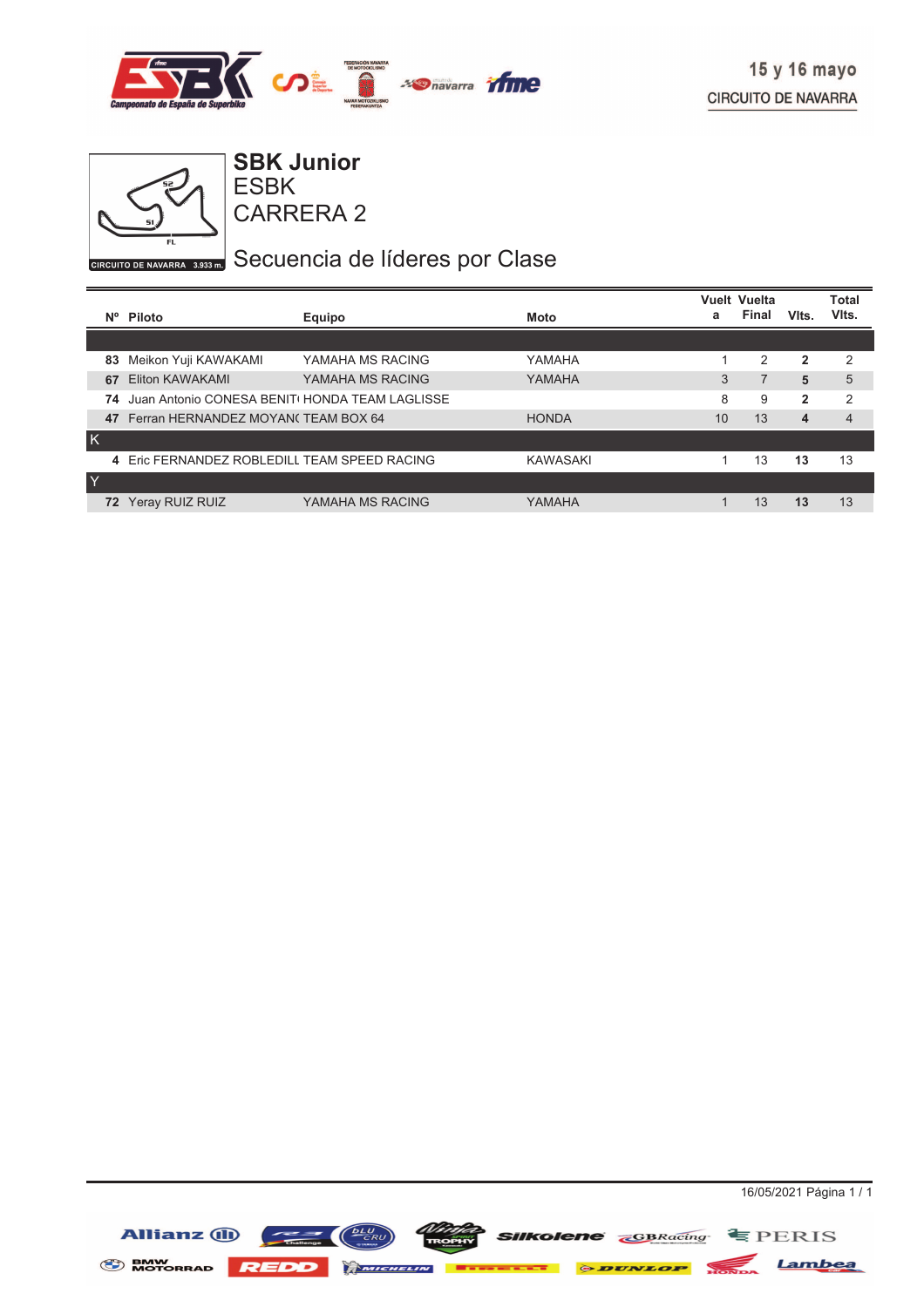



ESBK **SBK Junior**

CARRERA 2

# GIRCUITO DE NAVARRA 8.933 my Secuencia de líderes por Clase

|           |                                                |                  |                 |    | <b>Vuelt Vuelta</b> |                | <b>Total</b>   |
|-----------|------------------------------------------------|------------------|-----------------|----|---------------------|----------------|----------------|
| <b>N°</b> | Piloto                                         | Equipo           | Moto            | а  | <b>Final</b>        | Vits.          | VIts.          |
|           |                                                |                  |                 |    |                     |                |                |
| 83        | Meikon Yuji KAWAKAMI                           | YAMAHA MS RACING | YAMAHA          |    | 2                   | 2              | $\mathcal{P}$  |
| 67        | Eliton KAWAKAMI                                | YAMAHA MS RACING | YAMAHA          | 3  | 7                   | 5              | 5              |
| 74        | Juan Antonio CONESA BENITI HONDA TEAM LAGLISSE |                  |                 | 8  | 9                   | $\overline{2}$ | $\overline{2}$ |
| 47        | Ferran HERNANDEZ MOYAN(TEAM BOX 64             |                  | <b>HONDA</b>    | 10 | 13                  | 4              | $\overline{4}$ |
| K         |                                                |                  |                 |    |                     |                |                |
|           | 4 Eric FERNANDEZ ROBLEDILL TEAM SPEED RACING   |                  | <b>KAWASAKI</b> |    | 13                  | 13             | 13             |
| Y         |                                                |                  |                 |    |                     |                |                |
| 72        | Yeray RUIZ RUIZ                                | YAMAHA MS RACING | YAMAHA          |    | 13                  | 13             | 13             |

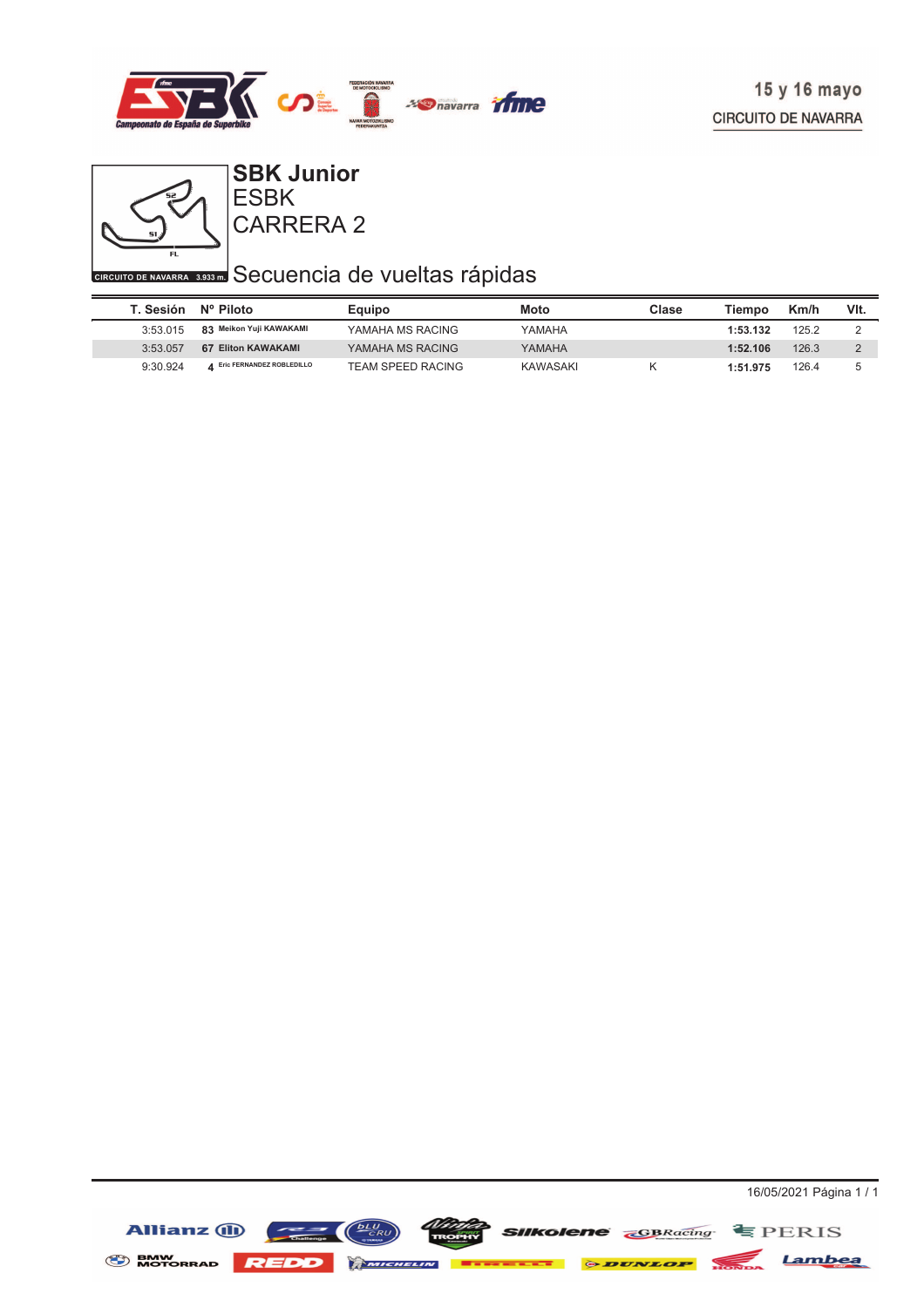



## CARRERA 2 ESBK **SBK Junior**

# **CIRCUITO DE NAVARRA** 3,933 Secuencia de vueltas rápidas

| T. Sesión | Nº Piloto                   | Equipo                   | Moto     | Clase | Tiempo   | Km/h  | VIt. |
|-----------|-----------------------------|--------------------------|----------|-------|----------|-------|------|
| 3:53.015  | 83 Meikon Yuji KAWAKAMI     | YAMAHA MS RACING         | YAMAHA   |       | 1:53.132 | 125.2 |      |
| 3:53.057  | 67 Eliton KAWAKAMI          | YAMAHA MS RACING         | YAMAHA   |       | 1:52.106 | 126.3 |      |
| 9:30.924  | 4 Eric FERNANDEZ ROBLEDILLO | <b>TEAM SPEED RACING</b> | KAWASAKI |       | 1:51.975 | 126.4 | b    |

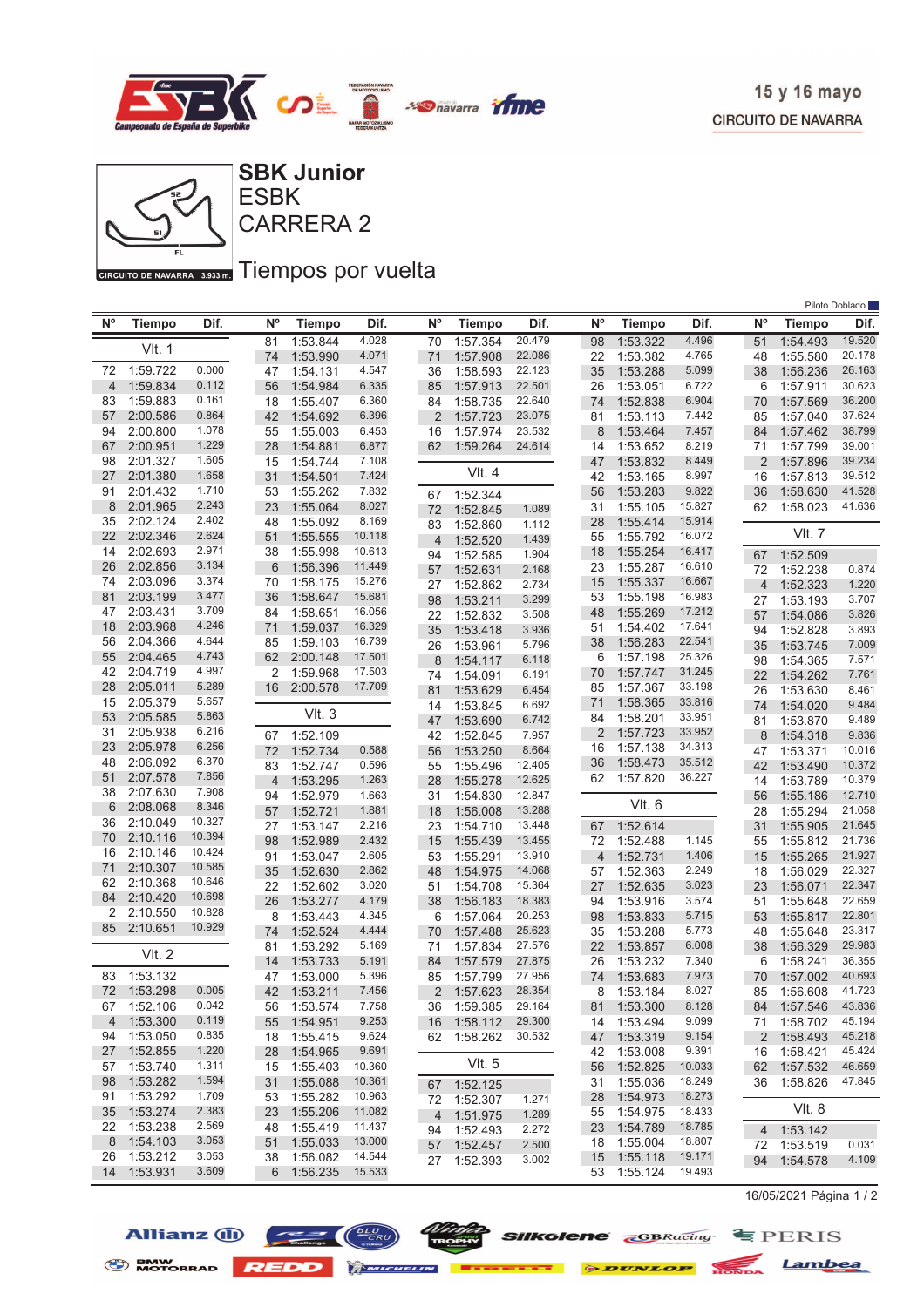



GIRGUITO DE NAVARRA 3.933 mm Tiempos por vuelta

|                |               |        |                |               |        |                |               |        |                |               |        |                |               | Piloto Doblado |
|----------------|---------------|--------|----------------|---------------|--------|----------------|---------------|--------|----------------|---------------|--------|----------------|---------------|----------------|
| <b>N°</b>      | <b>Tiempo</b> | Dif.   | N°             | <b>Tiempo</b> | Dif.   | N <sup>o</sup> | <b>Tiempo</b> | Dif.   | $N^{\circ}$    | <b>Tiempo</b> | Dif.   | $N^{\circ}$    | Tiempo        | Dif.           |
|                |               |        | 81             | 1:53.844      | 4.028  | 70             | 1:57.354      | 20.479 | 98             | 1:53.322      | 4.496  | 51             | 1:54.493      | 19.520         |
|                | <b>VIt. 1</b> |        | 74             | 1:53.990      | 4.071  | 71             | 1:57.908      | 22.086 | 22             | 1:53.382      | 4.765  | 48             | 1:55.580      | 20.178         |
| 72             | 1:59.722      | 0.000  | 47             | 1:54.131      | 4.547  | 36             | 1:58.593      | 22.123 | 35             | 1:53.288      | 5.099  | 38             | 1:56.236      | 26.163         |
| $\overline{4}$ | 1:59.834      | 0.112  | 56             | 1:54.984      | 6.335  | 85             | 1:57.913      | 22.501 | 26             | 1:53.051      | 6.722  | 6              | 1:57.911      | 30.623         |
| 83             | 1:59.883      | 0.161  | 18             | 1:55.407      | 6.360  | 84             | 1:58.735      | 22.640 | 74             | 1:52.838      | 6.904  | 70             | 1:57.569      | 36.200         |
| 57             | 2:00.586      | 0.864  | 42             | 1:54.692      | 6.396  | 2              | 1:57.723      | 23.075 | 81             | 1:53.113      | 7.442  | 85             | 1:57.040      | 37.624         |
| 94             | 2:00.800      | 1.078  | 55             | 1:55.003      | 6.453  | 16             | 1:57.974      | 23.532 | 8              | 1:53.464      | 7.457  | 84             | 1:57.462      | 38.799         |
| 67             | 2:00.951      | 1.229  | 28             | 1:54.881      | 6.877  | 62             | 1:59.264      | 24.614 | 14             | 1:53.652      | 8.219  | 71             | 1:57.799      | 39.001         |
| 98             | 2:01.327      | 1.605  | 15             | 1:54.744      | 7.108  |                |               |        | 47             | 1:53.832      | 8.449  | $\overline{2}$ | 1:57.896      | 39.234         |
| 27             | 2:01.380      | 1.658  | 31             | 1:54.501      | 7.424  |                | <b>VIt. 4</b> |        | 42             | 1:53.165      | 8.997  | 16             | 1:57.813      | 39.512         |
| 91             | 2:01.432      | 1.710  | 53             | 1:55.262      | 7.832  | 67             | 1:52.344      |        | 56             | 1:53.283      | 9.822  | 36             | 1:58.630      | 41.528         |
| 8              | 2:01.965      | 2.243  | 23             | 1:55.064      | 8.027  | 72             | 1:52.845      | 1.089  | 31             | 1:55.105      | 15.827 | 62             | 1:58.023      | 41.636         |
| 35             | 2:02.124      | 2.402  | 48             | 1:55.092      | 8.169  | 83             | 1:52.860      | 1.112  | 28             | 1:55.414      | 15.914 |                |               |                |
| 22             | 2:02.346      | 2.624  | 51             | 1:55.555      | 10.118 | 4              | 1:52.520      | 1.439  | 55             | 1:55.792      | 16.072 |                | <b>VIt. 7</b> |                |
| 14             | 2:02.693      | 2.971  | 38             | 1:55.998      | 10.613 | 94             | 1:52.585      | 1.904  | 18             | 1:55.254      | 16.417 | 67             | 1:52.509      |                |
| 26             | 2:02.856      | 3.134  | 6              | 1:56.396      | 11.449 | 57             | 1:52.631      | 2.168  | 23             | 1:55.287      | 16.610 | 72             | 1:52.238      | 0.874          |
| 74             | 2:03.096      | 3.374  | 70             | 1:58.175      | 15.276 | 27             | 1:52.862      | 2.734  | 15             | 1:55.337      | 16.667 | $\overline{4}$ | 1:52.323      | 1.220          |
| 81             | 2:03.199      | 3.477  | 36             | 1:58.647      | 15.681 | 98             | 1:53.211      | 3.299  | 53             | 1:55.198      | 16.983 | 27             | 1:53.193      | 3.707          |
| 47             | 2:03.431      | 3.709  | 84             | 1:58.651      | 16.056 | 22             | 1:52.832      | 3.508  | 48             | 1:55.269      | 17.212 | 57             | 1:54.086      | 3.826          |
| 18             | 2:03.968      | 4.246  | 71             | 1:59.037      | 16.329 | 35             | 1:53.418      | 3.936  | 51             | 1:54.402      | 17.641 | 94             | 1:52.828      | 3.893          |
| 56             | 2:04.366      | 4.644  | 85             | 1:59.103      | 16.739 | 26             | 1:53.961      | 5.796  | 38             | 1:56.283      | 22.541 | 35             | 1:53.745      | 7.009          |
| 55             | 2:04.465      | 4.743  | 62             | 2:00.148      | 17.501 | 8              | 1:54.117      | 6.118  | 6              | 1:57.198      | 25.326 | 98             | 1:54.365      | 7.571          |
| 42             | 2:04.719      | 4.997  | 2              | 1:59.968      | 17.503 | 74             | 1:54.091      | 6.191  | 70             | 1:57.747      | 31.245 | 22             | 1:54.262      | 7.761          |
| 28             | 2:05.011      | 5.289  | 16             | 2:00.578      | 17.709 | 81             | 1:53.629      | 6.454  | 85             | 1:57.367      | 33.198 | 26             | 1:53.630      | 8.461          |
| 15             | 2:05.379      | 5.657  |                |               |        | 14             | 1:53.845      | 6.692  | 71             | 1:58.365      | 33.816 | 74             | 1:54.020      | 9.484          |
| 53             | 2:05.585      | 5.863  |                | Vlt.3         |        | 47             | 1:53.690      | 6.742  | 84             | 1:58.201      | 33.951 | 81             | 1:53.870      | 9.489          |
| 31             | 2:05.938      | 6.216  | 67             | 1:52.109      |        | 42             | 1:52.845      | 7.957  | 2              | 1:57.723      | 33.952 | 8              | 1:54.318      | 9.836          |
| 23             | 2:05.978      | 6.256  | 72             | 1:52.734      | 0.588  | 56             | 1:53.250      | 8.664  | 16             | 1:57.138      | 34.313 | 47             | 1:53.371      | 10.016         |
| 48             | 2:06.092      | 6.370  | 83             | 1:52.747      | 0.596  | 55             | 1:55.496      | 12.405 | 36             | 1:58.473      | 35.512 | 42             | 1:53.490      | 10.372         |
| 51             | 2:07.578      | 7.856  | $\overline{4}$ | 1:53.295      | 1.263  | 28             | 1:55.278      | 12.625 | 62             | 1:57.820      | 36.227 | 14             | 1:53.789      | 10.379         |
| 38             | 2:07.630      | 7.908  | 94             | 1:52.979      | 1.663  | 31             | 1:54.830      | 12.847 |                |               |        | 56             | 1:55.186      | 12.710         |
| 6              | 2:08.068      | 8.346  | 57             | 1:52.721      | 1.881  | 18             | 1:56.008      | 13.288 |                | VIt. 6        |        | 28             | 1:55.294      | 21.058         |
| 36             | 2:10.049      | 10.327 | 27             | 1:53.147      | 2.216  | 23             | 1:54.710      | 13.448 | 67             | 1:52.614      |        | 31             | 1:55.905      | 21.645         |
| 70             | 2:10.116      | 10.394 | 98             | 1:52.989      | 2.432  | 15             | 1:55.439      | 13.455 | 72             | 1:52.488      | 1.145  | 55             | 1:55.812      | 21.736         |
| 16             | 2:10.146      | 10.424 | 91             | 1:53.047      | 2.605  | 53             | 1:55.291      | 13.910 | $\overline{4}$ | 1:52.731      | 1.406  | 15             | 1:55.265      | 21.927         |
| 71             | 2:10.307      | 10.585 | 35             | 1:52.630      | 2.862  | 48             | 1:54.975      | 14.068 | 57             | 1:52.363      | 2.249  | 18             | 1:56.029      | 22.327         |
| 62             | 2:10.368      | 10.646 | 22             | 1:52.602      | 3.020  | 51             | 1:54.708      | 15.364 | 27             | 1:52.635      | 3.023  | 23             | 1:56.071      | 22.347         |
| 84             | 2:10.420      | 10.698 | 26             | 1:53.277      | 4.179  | 38             | 1:56.183      | 18.383 | 94             | 1:53.916      | 3.574  | 51             | 1:55.648      | 22.659         |
| 2              | 2:10.550      | 10.828 | 8              | 1:53.443      | 4.345  | 6              | 1:57.064      | 20.253 | 98             | 1:53.833      | 5.715  | 53             | 1:55.817      | 22.801         |
| 85             | 2:10.651      | 10.929 | 74             | 1:52.524      | 4.444  | 70             | 1:57.488      | 25.623 | 35             | 1:53.288      | 5.773  | 48             | 1:55.648      | 23.317         |
|                | <b>VIt. 2</b> |        | 81             | 1:53.292      | 5.169  | 71             | 1:57.834      | 27.576 | 22             | 1:53.857      | 6.008  | 38             | 1:56.329      | 29.983         |
|                |               |        | 14             | 1:53.733      | 5.191  | 84             | 1:57.579      | 27.875 | 26             | 1:53.232      | 7.340  | 6              | 1:58.241      | 36.355         |
| 83             | 1:53.132      |        | 47             | 1:53.000      | 5.396  | 85             | 1:57.799      | 27.956 | 74             | 1:53.683      | 7.973  | 70             | 1:57.002      | 40.693         |
| 72             | 1:53.298      | 0.005  | 42             | 1:53.211      | 7.456  | 2              | 1:57.623      | 28.354 | 8              | 1:53.184      | 8.027  | 85             | 1:56.608      | 41.723         |
|                | 67 1:52.106   | 0.042  |                | 56 1:53.574   | 7.758  |                | 36 1:59.385   | 29.164 |                | 81 1:53.300   | 8.128  | 84             | 1:57.546      | 43.836         |
| $\overline{4}$ | 1:53.300      | 0.119  |                | 55 1:54.951   | 9.253  |                | 16 1:58.112   | 29.300 | 14             | 1:53.494      | 9.099  |                | 71 1:58.702   | 45.194         |
| 94             | 1:53.050      | 0.835  |                | 18 1:55.415   | 9.624  |                | 62 1:58.262   | 30.532 | 47             | 1:53.319      | 9.154  |                | 2 1:58.493    | 45.218         |
| 27             | 1:52.855      | 1.220  | 28             | 1:54.965      | 9.691  |                |               |        | 42             | 1:53.008      | 9.391  |                | 16 1:58.421   | 45.424         |
| 57             | 1:53.740      | 1.311  | 15             | 1:55.403      | 10.360 |                | Vlt. 5        |        | 56             | 1:52.825      | 10.033 |                | 62 1:57.532   | 46.659         |
| 98             | 1:53.282      | 1.594  | 31             | 1:55.088      | 10.361 |                | 67 1:52.125   |        | 31             | 1:55.036      | 18.249 |                | 36 1:58.826   | 47.845         |
| 91             | 1:53.292      | 1.709  | 53             | 1:55.282      | 10.963 |                | 72 1:52.307   | 1.271  | 28             | 1:54.973      | 18.273 |                |               |                |
| 35             | 1:53.274      | 2.383  | 23             | 1:55.206      | 11.082 |                | 4 1:51.975    | 1.289  | 55             | 1:54.975      | 18.433 |                | VIt. 8        |                |
| 22             | 1:53.238      | 2.569  | 48             | 1:55.419      | 11.437 |                | 94 1:52.493   | 2.272  | 23             | 1:54.789      | 18.785 |                | 4 1:53.142    |                |
| 8              | 1:54.103      | 3.053  | 51             | 1:55.033      | 13.000 |                | 57 1:52.457   | 2.500  | 18             | 1:55.004      | 18.807 |                | 72 1:53.519   | 0.031          |
| 26             | 1:53.212      | 3.053  | 38             | 1:56.082      | 14.544 |                | 27 1:52.393   | 3.002  | 15             | 1:55.118      | 19.171 |                | 94 1:54.578   | 4.109          |
|                | 14 1:53.931   | 3.609  | 6              | 1:56.235      | 15.533 |                |               |        |                | 53 1:55.124   | 19.493 |                |               |                |

16/05/2021 Página 1 / 2







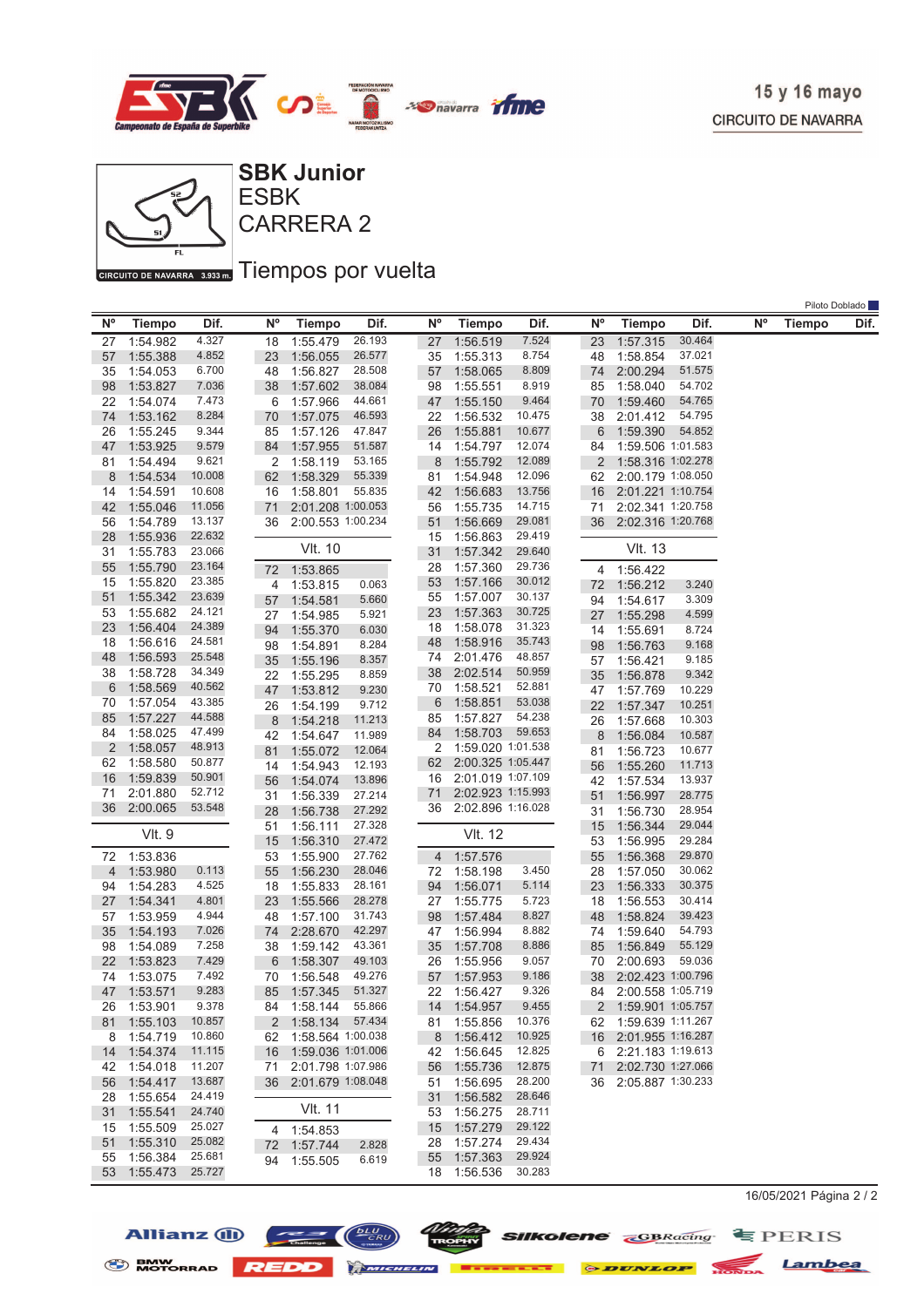

Piloto Doblado



CARRERA 2 ESBK

## GIRGUITO DE NAVARRA 3.933 mm Tiempos por vuelta

|                |               |                  |           |                   |        |           |                      |                   |           |                      |        |           | <b>LIIOIO DODIAUO</b> |      |
|----------------|---------------|------------------|-----------|-------------------|--------|-----------|----------------------|-------------------|-----------|----------------------|--------|-----------|-----------------------|------|
| N°             | <b>Tiempo</b> | Dif.             | <b>N°</b> | <b>Tiempo</b>     | Dif.   | <b>N°</b> | <b>Tiempo</b>        | Dif.              | <b>N°</b> | <b>Tiempo</b>        | Dif.   | <b>N°</b> | <b>Tiempo</b>         | Dif. |
| 27             | 1:54.982      | 4.327            | 18        | 1:55.479          | 26.193 | 27        | 1:56.519             | 7.524             | 23        | 1:57.315             | 30.464 |           |                       |      |
| 57             | 1:55.388      | 4.852            | 23        | 1:56.055          | 26.577 | 35        | 1:55.313             | 8.754             | 48        | 1:58.854             | 37.021 |           |                       |      |
| 35             | 1:54.053      | 6.700            | 48        | 1:56.827          | 28.508 | 57        | 1:58.065             | 8.809             | 74        | 2:00.294             | 51.575 |           |                       |      |
| 98             | 1:53.827      | 7.036            | 38        | 1:57.602          | 38.084 | 98        | 1:55.551             | 8.919             | 85        | 1:58.040             | 54.702 |           |                       |      |
| 22             | 1:54.074      | 7.473            | 6         | 1:57.966          | 44.661 | 47        | 1:55.150             | 9.464             | 70        | 1:59.460             | 54.765 |           |                       |      |
| 74             | 1:53.162      | 8.284            | 70        | 1:57.075          | 46.593 | 22        | 1:56.532             | 10.475            | 38        | 2:01.412             | 54.795 |           |                       |      |
| 26             | 1:55.245      | 9.344            | 85        | 1:57.126          | 47.847 | 26        | 1:55.881             | 10.677            | 6         | 1:59.390             | 54.852 |           |                       |      |
| 47             | 1:53.925      | 9.579            | 84        | 1:57.955          | 51.587 | 14        | 1:54.797             | 12.074            | 84        | 1:59.506 1:01.583    |        |           |                       |      |
| 81             | 1:54.494      | 9.621            | 2         | 1:58.119          | 53.165 | 8         | 1:55.792             | 12.089            | 2         | 1:58.316 1:02.278    |        |           |                       |      |
| 8              | 1:54.534      | 10.008           | 62        | 1:58.329          | 55.339 | 81        | 1:54.948             | 12.096            | 62        | 2:00.179 1:08.050    |        |           |                       |      |
| 14             | 1:54.591      | 10.608           | 16        | 1:58.801          | 55.835 | 42        | 1:56.683             | 13.756            | 16        | 2:01.221 1:10.754    |        |           |                       |      |
| 42             | 1:55.046      | 11.056           | 71        | 2:01.208 1:00.053 |        | 56        | 1:55.735             | 14.715            | 71        | 2:02.341 1:20.758    |        |           |                       |      |
| 56             | 1:54.789      | 13.137           | 36        | 2:00.553 1:00.234 |        | 51        | 1:56.669             | 29.081            | 36        | 2:02.316 1:20.768    |        |           |                       |      |
| 28             | 1:55.936      | 22.632           |           |                   |        | 15        | 1:56.863             | 29.419            |           |                      |        |           |                       |      |
|                |               | 23.066           |           | <b>VIt. 10</b>    |        |           |                      | 29.640            |           | <b>VIt. 13</b>       |        |           |                       |      |
| 31             | 1:55.783      |                  |           |                   |        | 31        | 1:57.342             |                   |           |                      |        |           |                       |      |
| 55             | 1:55.790      | 23.164           |           | 72 1:53.865       |        | 28        | 1:57.360             | 29.736            |           | 4 1:56.422           |        |           |                       |      |
| 15             | 1:55.820      | 23.385           | 4         | 1:53.815          | 0.063  | 53        | 1:57.166             | 30.012            | 72        | 1:56.212             | 3.240  |           |                       |      |
| 51             | 1:55.342      | 23.639           | 57        | 1:54.581          | 5.660  | 55        | 1:57.007             | 30.137            | 94        | 1:54.617             | 3.309  |           |                       |      |
| 53             | 1:55.682      | 24.121           | 27        | 1:54.985          | 5.921  | 23        | 1:57.363             | 30.725            | 27        | 1:55.298             | 4.599  |           |                       |      |
| 23             | 1:56.404      | 24.389           | 94        | 1:55.370          | 6.030  | 18        | 1:58.078             | 31.323            | 14        | 1:55.691             | 8.724  |           |                       |      |
| 18             | 1:56.616      | 24.581           | 98        | 1:54.891          | 8.284  | 48        | 1:58.916             | 35.743            | 98        | 1:56.763             | 9.168  |           |                       |      |
| 48             | 1:56.593      | 25.548           | 35        | 1:55.196          | 8.357  | 74        | 2:01.476             | 48.857            | 57        | 1:56.421             | 9.185  |           |                       |      |
| 38             | 1:58.728      | 34.349           | 22        | 1:55.295          | 8.859  | 38        | 2:02.514             | 50.959            | 35        | 1:56.878             | 9.342  |           |                       |      |
| 6              | 1:58.569      | 40.562           | 47        | 1:53.812          | 9.230  | 70        | 1:58.521             | 52.881            | 47        | 1:57.769             | 10.229 |           |                       |      |
| 70             | 1:57.054      | 43.385           | 26        | 1:54.199          | 9.712  | 6         | 1:58.851             | 53.038            | 22        | 1:57.347             | 10.251 |           |                       |      |
| 85             | 1:57.227      | 44.588           | 8         | 1:54.218          | 11.213 | 85        | 1:57.827             | 54.238            | 26        | 1:57.668             | 10.303 |           |                       |      |
| 84             | 1:58.025      | 47.499           | 42        | 1:54.647          | 11.989 | 84        | 1:58.703             | 59.653            | 8         | 1:56.084             | 10.587 |           |                       |      |
| 2              | 1:58.057      | 48.913           |           | 1:55.072          | 12.064 | 2         | 1:59.020 1:01.538    |                   |           | 1:56.723             | 10.677 |           |                       |      |
| 62             | 1:58.580      | 50.877           | 81        |                   |        | 62        |                      | 2:00.325 1:05.447 | 81        |                      |        |           |                       |      |
| 16             | 1:59.839      | 50.901           | 14        | 1:54.943          | 12.193 | 16        | 2:01.019 1:07.109    |                   | 56        | 1:55.260             | 11.713 |           |                       |      |
| 71             | 2:01.880      | 52.712           | 56        | 1:54.074          | 13.896 |           |                      | 2:02.923 1:15.993 | 42        | 1:57.534             | 13.937 |           |                       |      |
|                |               | 53.548           | 31        | 1:56.339          | 27.214 | 71        |                      |                   | 51        | 1:56.997             | 28.775 |           |                       |      |
| 36             | 2:00.065      |                  | 28        | 1:56.738          | 27.292 |           | 36 2:02.896 1:16.028 |                   | 31        | 1:56.730             | 28.954 |           |                       |      |
|                | VIt. 9        |                  | 51        | 1:56.111          | 27.328 |           | <b>VIt. 12</b>       |                   | 15        | 1:56.344             | 29.044 |           |                       |      |
|                |               |                  | 15        | 1:56.310          | 27.472 |           |                      |                   | 53        | 1:56.995             | 29.284 |           |                       |      |
| 72             | 1:53.836      |                  | 53        | 1:55.900          | 27.762 | 4         | 1:57.576             |                   | 55        | 1:56.368             | 29.870 |           |                       |      |
| $\overline{4}$ | 1:53.980      | 0.113            | 55        | 1:56.230          | 28.046 | 72        | 1:58.198             | 3.450             | 28        | 1:57.050             | 30.062 |           |                       |      |
| 94             | 1:54.283      | 4.525            | 18        | 1:55.833          | 28.161 | 94        | 1:56.071             | 5.114             | 23        | 1:56.333             | 30.375 |           |                       |      |
| 27             | 1:54.341      | 4.801            | 23        | 1:55.566          | 28.278 | 27        | 1:55.775             | 5.723             | 18        | 1:56.553             | 30.414 |           |                       |      |
| 57             | 1:53.959      | 4.944            | 48        | 1:57.100          | 31.743 | 98        | 1:57.484             | 8.827             | 48        | 1:58.824             | 39.423 |           |                       |      |
| 35             | 1:54.193      | 7.026            | 74        | 2:28.670          | 42.297 | 47        | 1:56.994             | 8.882             | 74        | 1:59.640             | 54.793 |           |                       |      |
| 98             | 1:54.089      | 7.258            | 38        | 1:59.142          | 43.361 | 35        | 1:57.708             | 8.886             | 85        | 1:56.849             | 55.129 |           |                       |      |
| 22             | 1:53.823      | 7.429            | 6         | 1:58.307          | 49.103 | 26        | 1:55.956             | 9.057             | 70        | 2:00.693             | 59.036 |           |                       |      |
| 74             | 1:53.075      | 7.492            | 70        | 1:56.548          | 49.276 | 57        | 1:57.953             | 9.186             | 38        | 2:02.423 1:00.796    |        |           |                       |      |
| 47             | 1:53.571      | 9.283            | 85        | 1:57.345          | 51.327 | 22        | 1:56.427             | 9.326             | 84        | 2:00.558 1:05.719    |        |           |                       |      |
| 26             | 1:53.901      | 9.378            | 84        | 1:58.144 55.866   |        |           | 14 1:54.957          | 9.455             |           | 2 1:59.901 1:05.757  |        |           |                       |      |
| 81             | 1:55.103      | 10.857           | 2         | 1:58.134          | 57.434 | 81        | 1:55.856             | 10.376            |           | 62 1:59.639 1:11.267 |        |           |                       |      |
| 8              | 1:54.719      | 10.860           | 62        | 1:58.564 1:00.038 |        | 8         | 1:56.412             | 10.925            | 16        | 2:01.955 1:16.287    |        |           |                       |      |
| 14             | 1:54.374      | 11.115           | 16        | 1:59.036 1:01.006 |        | 42        | 1:56.645             | 12.825            | 6         | 2:21.183 1:19.613    |        |           |                       |      |
|                | 1:54.018      | 11.207           |           | 2:01.798 1:07.986 |        |           | 1:55.736             | 12.875            |           | 2:02.730 1:27.066    |        |           |                       |      |
| 42             |               |                  | 71        |                   |        | 56        |                      |                   | 71        |                      |        |           |                       |      |
| 56             | 1:54.417      | 13.687<br>24.419 | 36        | 2:01.679 1:08.048 |        | 51        | 1:56.695             | 28.200            | 36        | 2:05.887 1:30.233    |        |           |                       |      |
| 28             | 1:55.654      |                  |           | <b>VIt. 11</b>    |        | 31        | 1:56.582             | 28.646            |           |                      |        |           |                       |      |
| 31             | 1:55.541      | 24.740           |           |                   |        | 53        | 1:56.275             | 28.711            |           |                      |        |           |                       |      |
| 15             | 1:55.509      | 25.027           |           | 4 1:54.853        |        | 15        | 1:57.279             | 29.122            |           |                      |        |           |                       |      |
| 51             | 1:55.310      | 25.082           |           | 72 1:57.744       | 2.828  | 28        | 1:57.274             | 29.434            |           |                      |        |           |                       |      |
| 55             | 1:56.384      | 25.681           | 94        | 1:55.505          | 6.619  | 55        | 1:57.363             | 29.924            |           |                      |        |           |                       |      |
| 53             | 1:55.473      | 25.727           |           |                   |        | 18        | 1:56.536             | 30.283            |           |                      |        |           |                       |      |

16/05/2021 Página 2 / 2









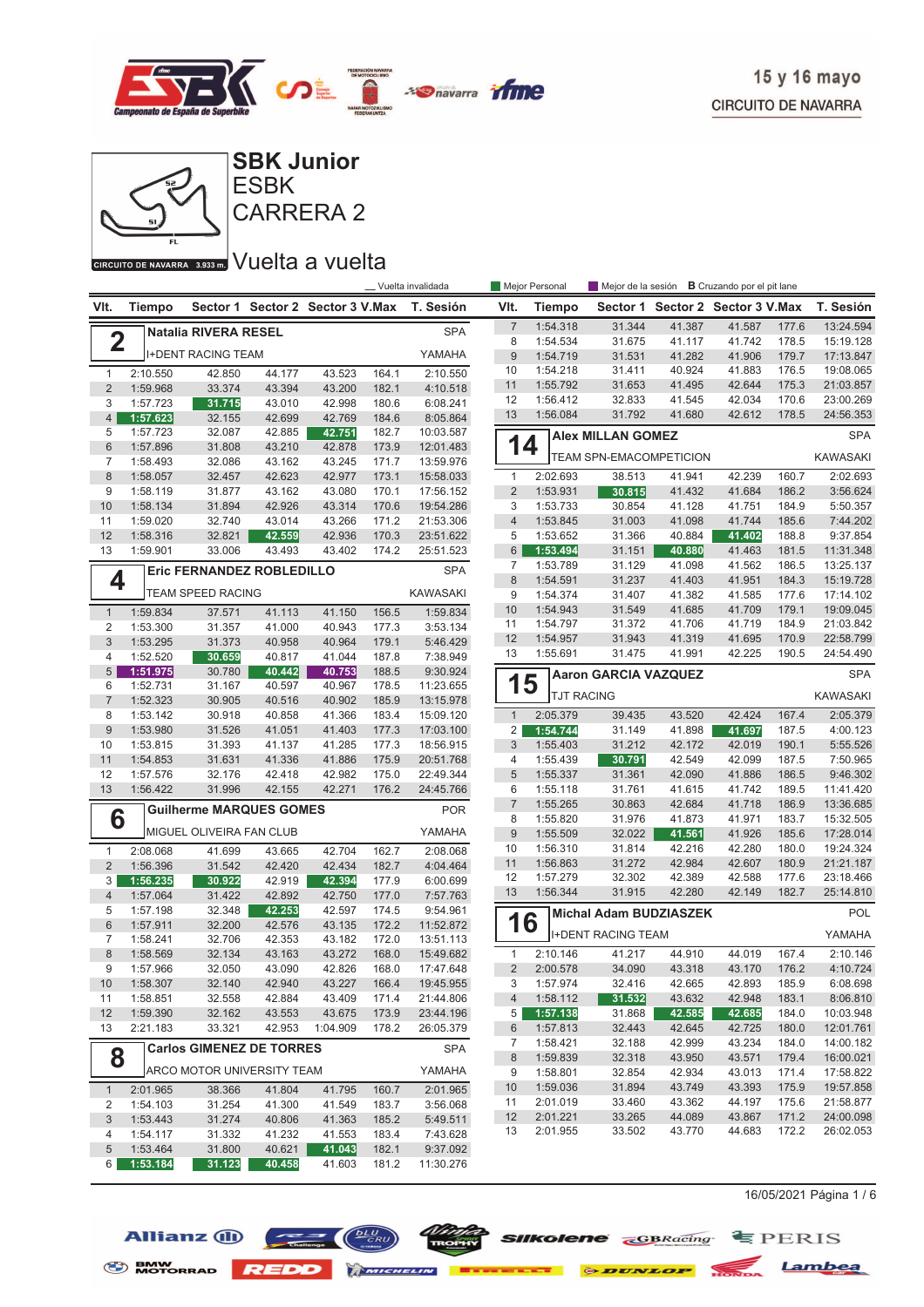



## GIRGUITO DE NAVARRA 3.933 m. VUelta a vuelta

|                           |                      |                                   |                  |                                  |                | __ Vuelta invalidada   |                                | Mejor Personal         |                                |                                  | Mejor de la sesión <b>B</b> Cruzando por el pit lane |                |                      |
|---------------------------|----------------------|-----------------------------------|------------------|----------------------------------|----------------|------------------------|--------------------------------|------------------------|--------------------------------|----------------------------------|------------------------------------------------------|----------------|----------------------|
| VIt.                      | <b>Tiempo</b>        |                                   |                  | Sector 1 Sector 2 Sector 3 V.Max |                | T. Sesión              | VIt.                           | Tiempo                 |                                | Sector 1 Sector 2 Sector 3 V.Max |                                                      |                | T. Sesión            |
|                           |                      | <b>Natalia RIVERA RESEL</b>       |                  |                                  |                | <b>SPA</b>             | $\boldsymbol{7}$               | 1:54.318               | 31.344                         | 41.387                           | 41.587                                               | 177.6          | 13:24.594            |
| $\mathbf 2$               |                      |                                   |                  |                                  |                |                        | 8                              | 1:54.534               | 31.675                         | 41.117                           | 41.742                                               | 178.5          | 15:19.128            |
|                           |                      | <b>I+DENT RACING TEAM</b>         |                  |                                  |                | YAMAHA                 | 9                              | 1:54.719               | 31.531                         | 41.282                           | 41.906                                               | 179.7          | 17:13.847            |
| $\mathbf{1}$              | 2:10.550             | 42.850                            | 44.177           | 43.523                           | 164.1          | 2:10.550               | 10                             | 1:54.218               | 31.411                         | 40.924                           | 41.883                                               | 176.5          | 19:08.065            |
| $\overline{2}$            | 1:59.968             | 33.374                            | 43.394           | 43.200                           | 182.1          | 4:10.518               | 11                             | 1:55.792               | 31.653                         | 41.495                           | 42.644                                               | 175.3          | 21:03.857            |
| 3                         | 1:57.723             | 31.715                            | 43.010           | 42.998                           | 180.6          | 6:08.241               | 12                             | 1:56.412               | 32.833                         | 41.545                           | 42.034                                               | 170.6          | 23:00.269            |
| $\overline{4}$            | 1:57.623             | 32.155                            | 42.699           | 42.769                           | 184.6          | 8:05.864               | 13                             | 1:56.084               | 31.792                         | 41.680                           | 42.612                                               | 178.5          | 24:56.353            |
| 5                         | 1:57.723             | 32.087                            | 42.885           | 42.751                           | 182.7          | 10:03.587              |                                |                        | <b>Alex MILLAN GOMEZ</b>       |                                  |                                                      |                | <b>SPA</b>           |
| $6\phantom{1}$            | 1:57.896             | 31.808                            | 43.210           | 42.878                           | 173.9          | 12:01.483              | 14                             |                        | <b>TEAM SPN-EMACOMPETICION</b> |                                  |                                                      |                | <b>KAWASAKI</b>      |
| $\overline{7}$<br>$\,8\,$ | 1:58.493<br>1:58.057 | 32.086<br>32.457                  | 43.162<br>42.623 | 43.245<br>42.977                 | 171.7<br>173.1 | 13:59.976<br>15:58.033 | $\mathbf{1}$                   | 2:02.693               | 38.513                         | 41.941                           | 42.239                                               | 160.7          | 2:02.693             |
| 9                         | 1:58.119             | 31.877                            | 43.162           | 43.080                           | 170.1          | 17:56.152              | $\overline{2}$                 | 1:53.931               | 30.815                         | 41.432                           | 41.684                                               | 186.2          | 3:56.624             |
| 10                        | 1:58.134             | 31.894                            | 42.926           | 43.314                           | 170.6          | 19:54.286              | 3                              | 1:53.733               | 30.854                         | 41.128                           | 41.751                                               | 184.9          | 5:50.357             |
| 11                        | 1:59.020             | 32.740                            | 43.014           | 43.266                           | 171.2          | 21:53.306              | $\overline{4}$                 | 1:53.845               | 31.003                         | 41.098                           | 41.744                                               | 185.6          | 7:44.202             |
| 12                        | 1:58.316             | 32.821                            | 42.559           | 42.936                           | 170.3          | 23:51.622              | 5                              | 1:53.652               | 31.366                         | 40.884                           | 41.402                                               | 188.8          | 9:37.854             |
| 13                        | 1:59.901             | 33.006                            | 43.493           | 43.402                           | 174.2          | 25:51.523              | 6                              | 1:53.494               | 31.151                         | 40.880                           | 41.463                                               | 181.5          | 11:31.348            |
|                           |                      | Eric FERNANDEZ ROBLEDILLO         |                  |                                  |                | <b>SPA</b>             | 7                              | 1:53.789               | 31.129                         | 41.098                           | 41.562                                               | 186.5          | 13:25.137            |
| 4                         |                      |                                   |                  |                                  |                |                        | 8                              | 1:54.591               | 31.237                         | 41.403                           | 41.951                                               | 184.3          | 15:19.728            |
|                           |                      | TEAM SPEED RACING                 |                  |                                  |                | <b>KAWASAKI</b>        | 9                              | 1:54.374               | 31.407                         | 41.382                           | 41.585                                               | 177.6          | 17:14.102            |
| $\mathbf{1}$              | 1:59.834             | 37.571                            | 41.113           | 41.150                           | 156.5          | 1:59.834               | 10                             | 1:54.943               | 31.549                         | 41.685                           | 41.709                                               | 179.1          | 19:09.045            |
| 2                         | 1:53.300             | 31.357                            | 41.000           | 40.943                           | 177.3          | 3:53.134               | 11                             | 1:54.797               | 31.372                         | 41.706                           | 41.719                                               | 184.9          | 21:03.842            |
| 3                         | 1:53.295             | 31.373                            | 40.958           | 40.964                           | 179.1          | 5:46.429               | 12                             | 1:54.957               | 31.943                         | 41.319                           | 41.695                                               | 170.9          | 22:58.799            |
| 4                         | 1:52.520             | 30.659                            | 40.817           | 41.044                           | 187.8          | 7:38.949               | 13                             | 1:55.691               | 31.475                         | 41.991                           | 42.225                                               | 190.5          | 24:54.490            |
| $5\overline{)}$           | 1:51.975             | 30.780                            | 40.442           | 40.753                           | 188.5          | 9:30.924               |                                |                        | <b>Aaron GARCIA VAZQUEZ</b>    |                                  |                                                      |                | <b>SPA</b>           |
| 6                         | 1:52.731             | 31.167                            | 40.597           | 40.967                           | 178.5          | 11:23.655              | 1                              | 5<br><b>TJT RACING</b> |                                |                                  |                                                      |                | <b>KAWASAKI</b>      |
| $\overline{7}$            | 1:52.323             | 30.905                            | 40.516           | 40.902                           | 185.9          | 13:15.978              |                                |                        |                                |                                  |                                                      |                |                      |
| 8<br>$9\,$                | 1:53.142<br>1:53.980 | 30.918<br>31.526                  | 40.858<br>41.051 | 41.366<br>41.403                 | 183.4<br>177.3 | 15:09.120<br>17:03.100 | $\mathbf{1}$<br>$\overline{2}$ | 2:05.379<br>1:54.744   | 39.435<br>31.149               | 43.520<br>41.898                 | 42.424<br>41.697                                     | 167.4<br>187.5 | 2:05.379<br>4:00.123 |
| 10                        | 1:53.815             | 31.393                            | 41.137           | 41.285                           | 177.3          | 18:56.915              | $\sqrt{3}$                     | 1:55.403               | 31.212                         | 42.172                           | 42.019                                               | 190.1          | 5:55.526             |
| 11                        | 1:54.853             | 31.631                            | 41.336           | 41.886                           | 175.9          | 20:51.768              | 4                              | 1:55.439               | 30.791                         | 42.549                           | 42.099                                               | 187.5          | 7:50.965             |
| 12                        | 1:57.576             | 32.176                            | 42.418           | 42.982                           | 175.0          | 22:49.344              | 5                              | 1:55.337               | 31.361                         | 42.090                           | 41.886                                               | 186.5          | 9:46.302             |
| 13                        | 1:56.422             | 31.996                            | 42.155           | 42.271                           | 176.2          | 24:45.766              | 6                              | 1:55.118               | 31.761                         | 41.615                           | 41.742                                               | 189.5          | 11:41.420            |
|                           |                      | <b>Guilherme MARQUES GOMES</b>    |                  |                                  |                | <b>POR</b>             | $\overline{7}$                 | 1:55.265               | 30.863                         | 42.684                           | 41.718                                               | 186.9          | 13:36.685            |
| 6                         |                      |                                   |                  |                                  |                |                        | 8                              | 1:55.820               | 31.976                         | 41.873                           | 41.971                                               | 183.7          | 15:32.505            |
|                           |                      | MIGUEL OLIVEIRA FAN CLUB          |                  |                                  |                | YAMAHA                 | 9                              | 1:55.509               | 32.022                         | 41.561                           | 41.926                                               | 185.6          | 17:28.014            |
| $\mathbf{1}$              | 2:08.068             | 41.699                            | 43.665           | 42.704                           | 162.7          | 2:08.068               | 10                             | 1:56.310               | 31.814                         | 42.216                           | 42.280                                               | 180.0          | 19:24.324            |
| 2                         | 1:56.396             | 31.542                            | 42.420           | 42.434                           | 182.7          | 4:04.464               | 11                             | 1:56.863               | 31.272                         | 42.984                           | 42.607                                               | 180.9          | 21:21.187            |
| 3                         | 1:56.235             | 30.922                            | 42.919           | 42.394                           | 177.9          | 6:00.699               | 12                             | 1:57.279               | 32.302                         | 42.389                           | 42.588                                               | 177.6          | 23:18.466            |
| $\overline{4}$            | 1:57.064             | 31.422                            | 42.892           | 42.750                           | 177.0          | 7:57.763               | 13                             | 1:56.344               | 31.915                         | 42.280                           | 42.149                                               | 182.7          | 25:14.810            |
| 5                         | 1:57.198             | 32.348                            | 42.253           | 42.597                           | 174.5          | 9:54.961               |                                |                        | Michal Adam BUDZIASZEK         |                                  |                                                      |                | POL                  |
| $6\phantom{1}$            | 1:57.911             | 32.200                            | 42.576           | 43.135                           | 172.2          | 11:52.872              | 16                             |                        | <b>I+DENT RACING TEAM</b>      |                                  |                                                      |                | YAMAHA               |
| 7                         | 1:58.241             | 32.706                            | 42.353           | 43.182                           | 172.0          | 13:51.113              |                                |                        |                                |                                  |                                                      |                |                      |
| 8<br>9                    | 1:58.569<br>1:57.966 | 32.134<br>32.050                  | 43.163<br>43.090 | 43.272<br>42.826                 | 168.0<br>168.0 | 15:49.682<br>17:47.648 | $\mathbf{1}$<br>$\overline{2}$ | 2:10.146<br>2:00.578   | 41.217<br>34.090               | 44.910<br>43.318                 | 44.019<br>43.170                                     | 167.4<br>176.2 | 2:10.146<br>4:10.724 |
| 10                        | 1:58.307             | 32.140                            | 42.940           | 43.227                           | 166.4          | 19:45.955              | 3                              | 1:57.974               | 32.416                         | 42.665                           | 42.893                                               | 185.9          | 6:08.698             |
| 11                        | 1:58.851             | 32.558                            | 42.884           | 43.409                           | 171.4          | 21:44.806              | $\overline{4}$                 | 1:58.112               | 31.532                         | 43.632                           | 42.948                                               | 183.1          | 8:06.810             |
| 12                        | 1:59.390             | 32.162                            | 43.553           | 43.675                           | 173.9          | 23:44.196              | 5                              | 1:57.138               | 31.868                         | 42.585                           | 42.685                                               | 184.0          | 10:03.948            |
| 13                        | 2:21.183             | 33.321                            | 42.953           | 1:04.909                         | 178.2          | 26:05.379              | 6                              | 1:57.813               | 32.443                         | 42.645                           | 42.725                                               | 180.0          | 12:01.761            |
|                           |                      | <b>Carlos GIMENEZ DE TORRES</b>   |                  |                                  |                |                        | 7                              | 1:58.421               | 32.188                         | 42.999                           | 43.234                                               | 184.0          | 14:00.182            |
| 8                         |                      |                                   |                  |                                  |                | <b>SPA</b>             | 8                              | 1:59.839               | 32.318                         | 43.950                           | 43.571                                               | 179.4          | 16:00.021            |
|                           |                      | <b>ARCO MOTOR UNIVERSITY TEAM</b> |                  |                                  |                | YAMAHA                 | 9                              | 1:58.801               | 32.854                         | 42.934                           | 43.013                                               | 171.4          | 17:58.822            |
| $\mathbf{1}$              | 2:01.965             | 38.366                            | 41.804           | 41.795                           | 160.7          | 2:01.965               | 10                             | 1:59.036               | 31.894                         | 43.749                           | 43.393                                               | 175.9          | 19:57.858            |
| 2                         | 1:54.103             | 31.254                            | 41.300           | 41.549                           | 183.7          | 3:56.068               | 11                             | 2:01.019               | 33.460                         | 43.362                           | 44.197                                               | 175.6          | 21:58.877            |
| 3                         | 1:53.443             | 31.274                            | 40.806           | 41.363                           | 185.2          | 5:49.511               | 12                             | 2:01.221               | 33.265                         | 44.089                           | 43.867                                               | 171.2          | 24:00.098            |
| 4                         | 1:54.117             | 31.332                            | 41.232           | 41.553                           | 183.4          | 7:43.628               | 13                             | 2:01.955               | 33.502                         | 43.770                           | 44.683                                               | 172.2          | 26:02.053            |
| 5                         | 1:53.464             | 31.800                            | 40.621           | 41.043                           | 182.1          | 9:37.092               |                                |                        |                                |                                  |                                                      |                |                      |
| $6 \mid$                  | 1:53.184             | 31.123                            | 40.458           | 41.603                           | 181.2          | 11:30.276              |                                |                        |                                |                                  |                                                      |                |                      |

 $16/05/2021$  Página 1 / 6





*Ninte* **SIIKolene** *GBRacing* **E** PERIS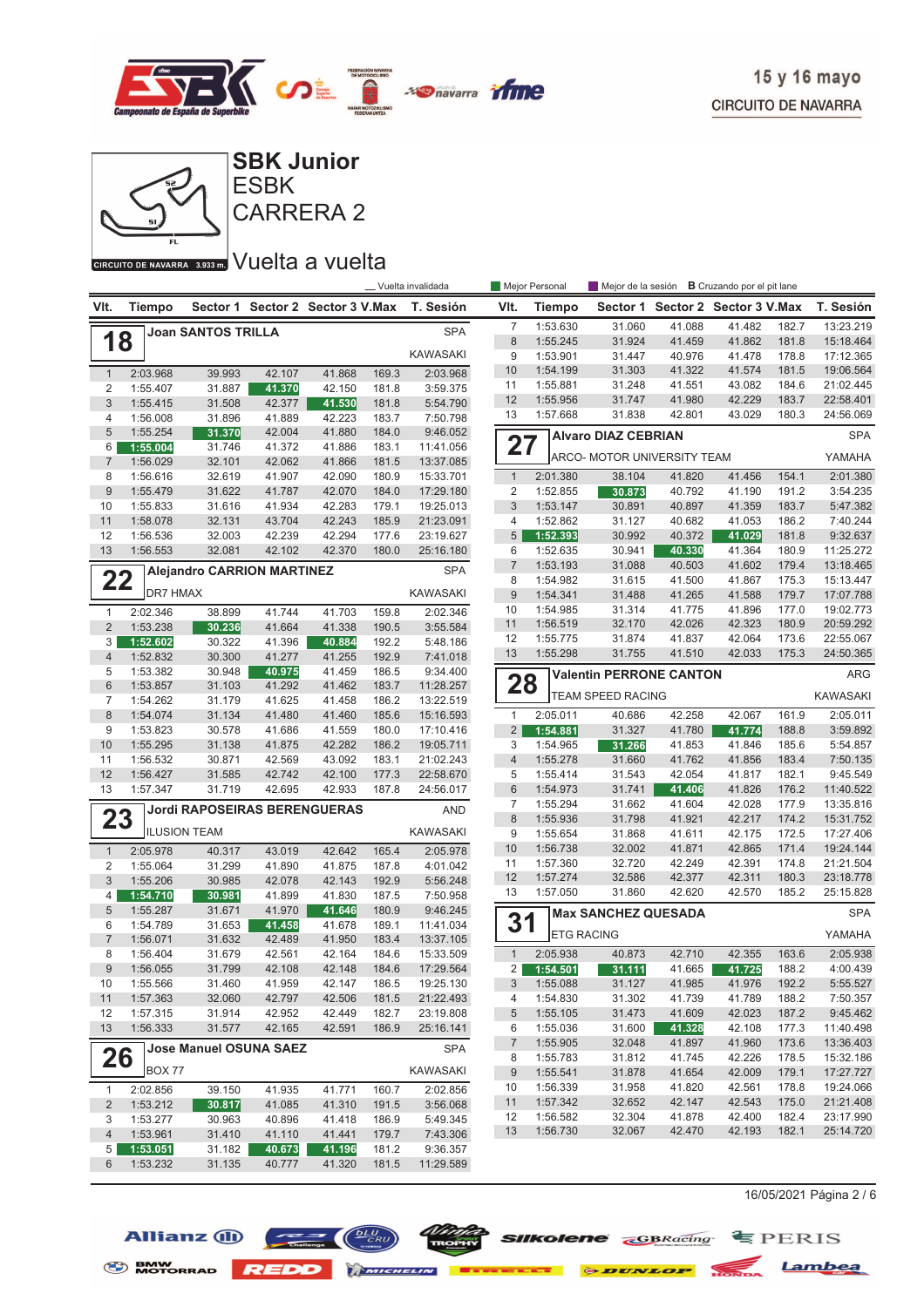



**CIRCUITO DE NAVARRA** 3.939mm Vuelta a vuelta

|                     |                      |                                   |                  |                                  |                | __ Vuelta invalidada   |                     | Mejor Personal       | Mejor de la sesión             |                                  | <b>B</b> Cruzando por el pit lane |                |                        |
|---------------------|----------------------|-----------------------------------|------------------|----------------------------------|----------------|------------------------|---------------------|----------------------|--------------------------------|----------------------------------|-----------------------------------|----------------|------------------------|
| VIt.                | <b>Tiempo</b>        |                                   |                  | Sector 1 Sector 2 Sector 3 V.Max |                | T. Sesión              | VIt.                | Tiempo               |                                | Sector 1 Sector 2 Sector 3 V.Max |                                   |                | T. Sesión              |
|                     |                      | <b>Joan SANTOS TRILLA</b>         |                  |                                  |                | <b>SPA</b>             | $\overline{7}$      | 1:53.630             | 31.060                         | 41.088                           | 41.482                            | 182.7          | 13:23.219              |
| 18                  |                      |                                   |                  |                                  |                |                        | $\boldsymbol{8}$    | 1:55.245             | 31.924                         | 41.459                           | 41.862                            | 181.8          | 15:18.464              |
|                     |                      |                                   |                  |                                  |                | KAWASAKI               | 9                   | 1:53.901             | 31.447                         | 40.976                           | 41.478                            | 178.8          | 17:12.365              |
| $\mathbf{1}$        | 2:03.968             | 39.993                            | 42.107           | 41.868                           | 169.3          | 2:03.968               | 10                  | 1:54.199             | 31.303                         | 41.322                           | 41.574                            | 181.5          | 19:06.564              |
| $\overline{c}$      | 1:55.407             | 31.887                            | 41.370           | 42.150                           | 181.8          | 3:59.375               | 11                  | 1:55.881             | 31.248                         | 41.551                           | 43.082                            | 184.6          | 21:02.445              |
| $\mathfrak{S}$      | 1:55.415             | 31.508                            | 42.377           | 41.530                           | 181.8          | 5:54.790               | 12                  | 1:55.956             | 31.747                         | 41.980                           | 42.229                            | 183.7          | 22:58.401              |
| 4                   | 1:56.008             | 31.896                            | 41.889           | 42.223                           | 183.7          | 7:50.798               | 13                  | 1:57.668             | 31.838                         | 42.801                           | 43.029                            | 180.3          | 24:56.069              |
| 5                   | 1:55.254             | 31.370                            | 42.004           | 41.880                           | 184.0          | 9:46.052               |                     |                      | <b>Alvaro DIAZ CEBRIAN</b>     |                                  |                                   |                | <b>SPA</b>             |
| 6                   | 1:55.004             | 31.746                            | 41.372           | 41.886                           | 183.1          | 11:41.056              | 27                  |                      | ARCO- MOTOR UNIVERSITY TEAM    |                                  |                                   |                | YAMAHA                 |
| $\overline{7}$      | 1:56.029             | 32.101                            | 42.062           | 41.866<br>42.090                 | 181.5<br>180.9 | 13:37.085              | $\mathbf{1}$        | 2:01.380             | 38.104                         | 41.820                           | 41.456                            | 154.1          | 2:01.380               |
| 8<br>$9$            | 1:56.616<br>1:55.479 | 32.619<br>31.622                  | 41.907<br>41.787 | 42.070                           | 184.0          | 15:33.701<br>17:29.180 | 2                   | 1:52.855             | 30.873                         | 40.792                           | 41.190                            | 191.2          | 3:54.235               |
| 10                  | 1:55.833             | 31.616                            | 41.934           | 42.283                           | 179.1          | 19:25.013              | 3                   | 1:53.147             | 30.891                         | 40.897                           | 41.359                            | 183.7          | 5:47.382               |
| 11                  | 1:58.078             | 32.131                            | 43.704           | 42.243                           | 185.9          | 21:23.091              | 4                   | 1:52.862             | 31.127                         | 40.682                           | 41.053                            | 186.2          | 7:40.244               |
| 12                  | 1:56.536             | 32.003                            | 42.239           | 42.294                           | 177.6          | 23:19.627              | 5                   | 1:52.393             | 30.992                         | 40.372                           | 41.029                            | 181.8          | 9:32.637               |
| 13                  | 1:56.553             | 32.081                            | 42.102           | 42.370                           | 180.0          | 25:16.180              | 6                   | 1:52.635             | 30.941                         | 40.330                           | 41.364                            | 180.9          | 11:25.272              |
|                     |                      |                                   |                  |                                  |                |                        | $\overline{7}$      | 1:53.193             | 31.088                         | 40.503                           | 41.602                            | 179.4          | 13:18.465              |
| 22                  |                      | <b>Alejandro CARRION MARTINEZ</b> |                  |                                  |                | <b>SPA</b>             | 8                   | 1:54.982             | 31.615                         | 41.500                           | 41.867                            | 175.3          | 15:13.447              |
|                     | <b>DR7 HMAX</b>      |                                   |                  |                                  |                | KAWASAKI               | 9                   | 1:54.341             | 31.488                         | 41.265                           | 41.588                            | 179.7          | 17:07.788              |
| $\mathbf{1}$        | 2:02.346             | 38.899                            | 41.744           | 41.703                           | 159.8          | 2:02.346               | 10                  | 1:54.985             | 31.314                         | 41.775                           | 41.896                            | 177.0          | 19:02.773              |
| $\overline{2}$      | 1:53.238             | 30.236                            | 41.664           | 41.338                           | 190.5          | 3:55.584               | 11                  | 1:56.519             | 32.170                         | 42.026                           | 42.323                            | 180.9          | 20:59.292              |
| 3                   | 1:52.602             | 30.322                            | 41.396           | 40.884                           | 192.2          | 5:48.186               | 12                  | 1:55.775             | 31.874                         | 41.837                           | 42.064                            | 173.6          | 22:55.067              |
| 4                   | 1:52.832             | 30.300                            | 41.277           | 41.255                           | 192.9          | 7:41.018               | 13                  | 1:55.298             | 31.755                         | 41.510                           | 42.033                            | 175.3          | 24:50.365              |
| 5                   | 1:53.382             | 30.948                            | 40.975           | 41.459                           | 186.5          | 9:34.400               |                     |                      | <b>Valentin PERRONE CANTON</b> |                                  |                                   |                | ARG                    |
| 6                   | 1:53.857             | 31.103                            | 41.292           | 41.462                           | 183.7          | 11:28.257              | 28                  |                      |                                |                                  |                                   |                | <b>KAWASAKI</b>        |
| $\overline{7}$      | 1:54.262             | 31.179                            | 41.625           | 41.458                           | 186.2          | 13:22.519              |                     |                      | <b>TEAM SPEED RACING</b>       |                                  |                                   |                |                        |
| $\,8\,$             | 1:54.074             | 31.134                            | 41.480           | 41.460                           | 185.6          | 15:16.593              | $\mathbf{1}$        | 2:05.011             | 40.686                         | 42.258                           | 42.067                            | 161.9          | 2:05.011               |
| 9                   | 1:53.823             | 30.578                            | 41.686           | 41.559                           | 180.0          | 17:10.416              | $\overline{2}$      | 1:54.881             | 31.327                         | 41.780                           | 41.774                            | 188.8          | 3:59.892               |
| 10                  | 1:55.295             | 31.138                            | 41.875           | 42.282                           | 186.2          | 19:05.711              | 3                   | 1:54.965             | 31.266                         | 41.853                           | 41.846                            | 185.6          | 5:54.857               |
| 11<br>12            | 1:56.532<br>1:56.427 | 30.871<br>31.585                  | 42.569<br>42.742 | 43.092<br>42.100                 | 183.1<br>177.3 | 21:02.243<br>22:58.670 | $\overline{4}$<br>5 | 1:55.278<br>1:55.414 | 31.660<br>31.543               | 41.762<br>42.054                 | 41.856<br>41.817                  | 183.4<br>182.1 | 7:50.135<br>9:45.549   |
| 13                  | 1:57.347             | 31.719                            | 42.695           | 42.933                           | 187.8          | 24:56.017              | $6\phantom{1}$      | 1:54.973             | 31.741                         | 41.406                           | 41.826                            | 176.2          | 11:40.522              |
|                     |                      |                                   |                  |                                  |                |                        | 7                   | 1:55.294             | 31.662                         | 41.604                           | 42.028                            | 177.9          | 13:35.816              |
| 23                  |                      | Jordi RAPOSEIRAS BERENGUERAS      |                  |                                  |                | <b>AND</b>             | $\boldsymbol{8}$    | 1:55.936             | 31.798                         | 41.921                           | 42.217                            | 174.2          | 15:31.752              |
|                     |                      | <b>ILUSION TEAM</b>               |                  |                                  |                | <b>KAWASAKI</b>        | 9                   | 1:55.654             | 31.868                         | 41.611                           | 42.175                            | 172.5          | 17:27.406              |
| $\mathbf{1}$        | 2:05.978             | 40.317                            | 43.019           | 42.642                           | 165.4          | 2:05.978               | 10                  | 1:56.738             | 32.002                         | 41.871                           | 42.865                            | 171.4          | 19:24.144              |
| $\overline{c}$      | 1:55.064             | 31.299                            | 41.890           | 41.875                           | 187.8          | 4:01.042               | 11                  | 1:57.360             | 32.720                         | 42.249                           | 42.391                            | 174.8          | 21:21.504              |
| 3                   | 1:55.206             | 30.985                            | 42.078           | 42.143                           | 192.9          | 5:56.248               | 12                  | 1:57.274             | 32.586                         | 42.377                           | 42.311                            | 180.3          | 23:18.778              |
| 4                   | 1:54.710             | 30.981                            | 41.899           | 41.830                           | 187.5          | 7:50.958               | 13                  | 1:57.050             | 31.860                         | 42.620                           | 42.570                            | 185.2          | 25:15.828              |
| 5                   | 1:55.287             | 31.671                            | 41.970           | 41.646                           | 180.9          | 9:46.245               |                     |                      | <b>Max SANCHEZ QUESADA</b>     |                                  |                                   |                | <b>SPA</b>             |
| 6                   | 1:54.789             | 31.653                            | 41.458           | 41.678                           | 189.1          | 11:41.034              | 31                  |                      |                                |                                  |                                   |                |                        |
| $\overline{7}$      | 1:56.071             | 31.632                            | 42.489           | 41.950                           | 183.4          | 13:37.105              |                     |                      | <b>ETG RACING</b>              |                                  |                                   |                | YAMAHA                 |
| 8                   | 1:56.404             | 31.679                            | 42.561           | 42.164                           | 184.6          | 15:33.509              | $\mathbf{1}$        | 2:05.938             | 40.873                         | 42.710                           | 42.355                            | 163.6          | 2:05.938               |
| 9                   | 1:56.055             | 31.799                            | 42.108           | 42.148                           | 184.6          | 17:29.564              | 2                   | 1:54.501             | 31.111                         | 41.665                           | 41.725                            | 188.2          | 4:00.439               |
| 10                  | 1:55.566             | 31.460                            | 41.959           | 42.147                           | 186.5          | 19:25.130              | $\sqrt{3}$          | 1:55.088             | 31.127                         | 41.985                           | 41.976                            | 192.2          | 5:55.527               |
| 11                  | 1:57.363             | 32.060                            | 42.797           | 42.506                           | 181.5          | 21:22.493              | 4                   | 1:54.830             | 31.302                         | 41.739                           | 41.789                            | 188.2          | 7:50.357               |
| 12                  | 1:57.315             | 31.914                            | 42.952           | 42.449                           | 182.7          | 23:19.808              | 5                   | 1:55.105             | 31.473                         | 41.609                           | 42.023                            | 187.2          | 9:45.462               |
| 13                  | 1:56.333             | 31.577                            | 42.165           | 42.591                           | 186.9          | 25:16.141              | 6                   | 1:55.036             | 31.600                         | 41.328                           | 42.108                            | 177.3          | 11:40.498              |
|                     |                      | <b>Jose Manuel OSUNA SAEZ</b>     |                  |                                  |                | <b>SPA</b>             | $\overline{7}$      | 1:55.905             | 32.048                         | 41.897                           | 41.960                            | 173.6          | 13:36.403              |
| 26                  | BOX 77               |                                   |                  |                                  |                | KAWASAKI               | 8                   | 1:55.783<br>1:55.541 | 31.812                         | 41.745                           | 42.226                            | 178.5          | 15:32.186<br>17:27.727 |
|                     |                      |                                   |                  |                                  |                |                        | 9<br>10             | 1:56.339             | 31.878<br>31.958               | 41.654<br>41.820                 | 42.009<br>42.561                  | 179.1<br>178.8 | 19:24.066              |
| $\mathbf{1}$        | 2:02.856             | 39.150                            | 41.935           | 41.771                           | 160.7          | 2:02.856               | 11                  | 1:57.342             | 32.652                         | 42.147                           | 42.543                            | 175.0          | 21:21.408              |
| $\overline{c}$      | 1:53.212<br>1:53.277 | 30.817<br>30.963                  | 41.085           | 41.310                           | 191.5          | 3:56.068<br>5:49.345   | 12                  | 1:56.582             | 32.304                         | 41.878                           | 42.400                            | 182.4          | 23:17.990              |
| 3<br>$\overline{4}$ | 1:53.961             | 31.410                            | 40.896<br>41.110 | 41.418<br>41.441                 | 186.9<br>179.7 | 7:43.306               | 13                  | 1:56.730             | 32.067                         | 42.470                           | 42.193                            | 182.1          | 25:14.720              |
| 5                   | 1:53.051             | 31.182                            | 40.673           | 41.196                           | 181.2          | 9:36.357               |                     |                      |                                |                                  |                                   |                |                        |
| 6                   | 1:53.232             | 31.135                            | 40.777           | 41.320                           | 181.5          | 11:29.589              |                     |                      |                                |                                  |                                   |                |                        |
|                     |                      |                                   |                  |                                  |                |                        |                     |                      |                                |                                  |                                   |                |                        |

16/05/2021 Página 2 / 6



 $\frac{Wt}{1000}$  SIIKolene  $\frac{C_{\text{BRacing}}}{1000}$   $\equiv$  PERIS

BMW MOTORRAD REDD MINIMULATE DESCRIPTION DE LAMBEA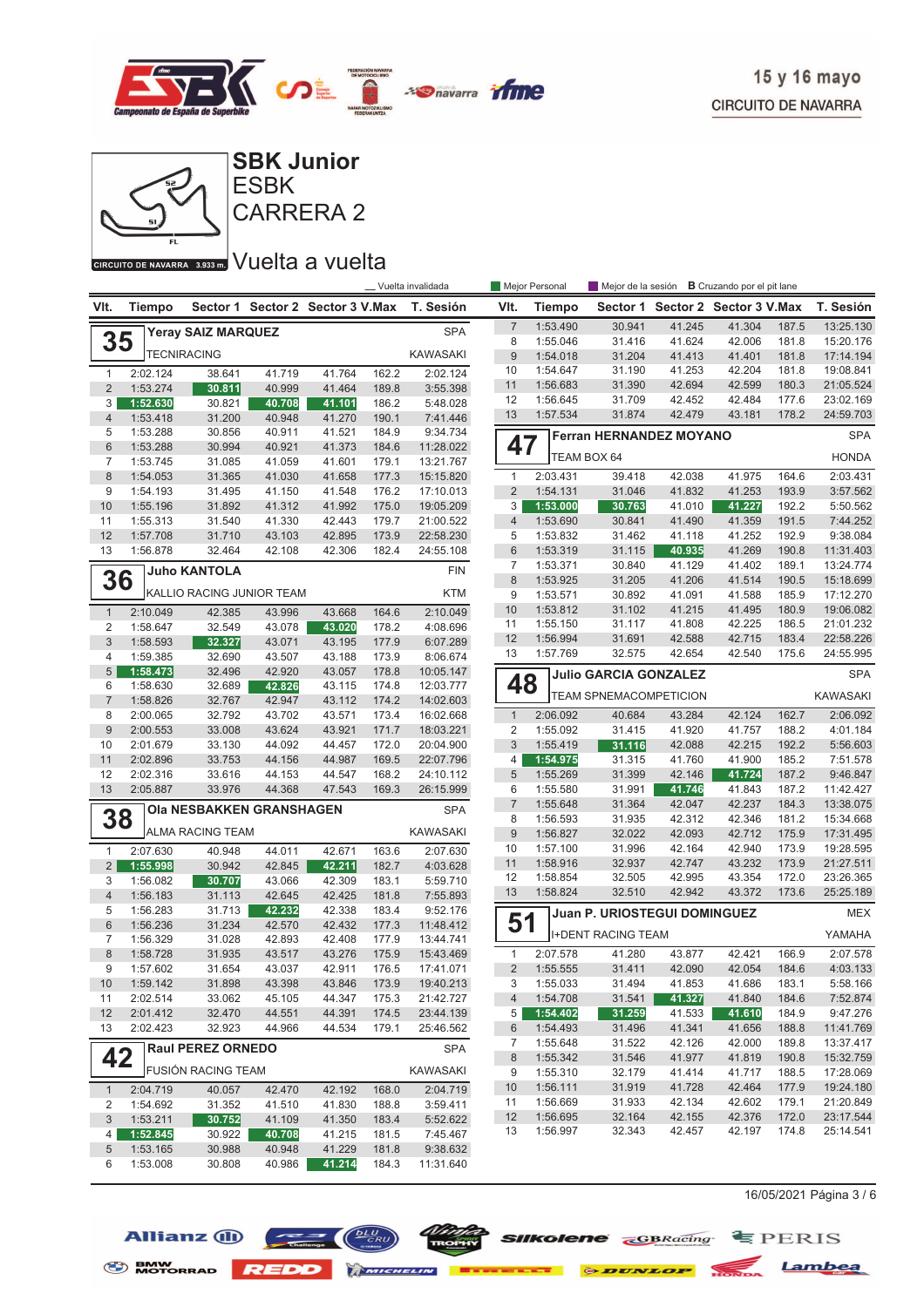



## CIRCUITO DE NAVARRA 3.933 m. VUEIta a vuelta

| VIt.<br>VIt.<br><b>Tiempo</b><br>Sector 1 Sector 2 Sector 3 V.Max<br>T. Sesión<br>Sector 1 Sector 2 Sector 3 V.Max<br>Tiempo<br>$\overline{7}$<br>1:53.490<br>41.245<br>30.941<br>41.304<br>187.5<br><b>SPA</b><br><b>Yeray SAIZ MARQUEZ</b><br>35<br>8<br>1:55.046<br>31.416<br>41.624<br>42.006<br>181.8<br><b>TECNIRACING</b><br><b>KAWASAKI</b><br>9<br>1:54.018<br>31.204<br>41.413<br>41.401<br>181.8<br>10<br>1:54.647<br>31.190<br>41.253<br>42.204<br>181.8<br>2:02.124<br>2:02.124<br>38.641<br>41.719<br>41.764<br>162.2<br>$\mathbf{1}$<br>11<br>31.390<br>42.694<br>42.599<br>1:56.683<br>180.3<br>$\overline{2}$<br>1:53.274<br>30.811<br>40.999<br>41.464<br>189.8<br>3:55.398<br>12<br>1:56.645<br>31.709<br>42.452<br>42.484<br>177.6<br>3<br>30.821<br>5:48.028<br>1:52.630<br>40.708<br>41.101<br>186.2<br>13<br>31.874<br>1:57.534<br>42.479<br>43.181<br>178.2<br>24:59.703<br>$\overline{4}$<br>1:53.418<br>31.200<br>40.948<br>41.270<br>190.1<br>7:41.446<br>5<br>1:53.288<br>30.856<br>184.9<br>9:34.734<br>40.911<br>41.521<br><b>Ferran HERNANDEZ MOYANO</b><br>47<br>$6\phantom{1}$<br>1:53.288<br>30.994<br>40.921<br>41.373<br>184.6<br>11:28.022<br><b>HONDA</b><br>TEAM BOX 64<br>$\overline{7}$<br>1:53.745<br>13:21.767<br>31.085<br>41.059<br>41.601<br>179.1<br>8<br>2:03.431<br>1:54.053<br>31.365<br>41.030<br>41.658<br>177.3<br>$\mathbf{1}$<br>39.418<br>42.038<br>41.975<br>164.6<br>2:03.431<br>15:15.820<br>9<br>$\overline{2}$<br>41.832<br>41.253<br>1:54.193<br>31.495<br>41.150<br>41.548<br>176.2<br>17:10.013<br>1:54.131<br>31.046<br>193.9<br>3:57.562<br>10<br>31.892<br>41.312<br>41.992<br>175.0<br>3<br>1:53.000<br>30.763<br>41.010<br>41.227<br>192.2<br>5:50.562<br>1:55.196<br>19:05.209<br>31.540<br>41.330<br>42.443<br>179.7<br>1:53.690<br>30.841<br>41.490<br>41.359<br>191.5<br>7:44.252<br>11<br>1:55.313<br>21:00.522<br>$\overline{4}$<br>12<br>5<br>9:38.084<br>1:57.708<br>31.710<br>43.103<br>42.895<br>173.9<br>22:58.230<br>1:53.832<br>31.462<br>41.118<br>41.252<br>192.9<br>13<br>6<br>40.935<br>41.269<br>190.8<br>1:56.878<br>32.464<br>42.108<br>42.306<br>182.4<br>24:55.108<br>1:53.319<br>31.115<br>11:31.403<br>41.129<br>7<br>1:53.371<br>30.840<br>41.402<br>189.1<br><b>Juho KANTOLA</b><br><b>FIN</b><br>36<br>$\boldsymbol{8}$<br>1:53.925<br>31.205<br>41.206<br>41.514<br>190.5<br><b>I</b> KALLIO RACING JUNIOR TEAM<br><b>KTM</b><br>9<br>1:53.571<br>30.892<br>185.9<br>41.091<br>41.588<br>10<br>1:53.812<br>31.102<br>41.215<br>41.495<br>180.9<br>2:10.049<br>$\mathbf{1}$<br>2:10.049<br>42.385<br>43.996<br>43.668<br>164.6<br>11<br>1:55.150<br>31.117<br>41.808<br>42.225<br>186.5<br>$\overline{2}$<br>1:58.647<br>32.549<br>178.2<br>4:08.696<br>43.078<br>43.020<br>12<br>42.715<br>1:56.994<br>31.691<br>42.588<br>183.4<br>3<br>1:58.593<br>32.327<br>43.071<br>43.195<br>177.9<br>6:07.289<br>13<br>1:57.769<br>32.575<br>42.654<br>42.540<br>175.6<br>4<br>1:59.385<br>8:06.674<br>32.690<br>43.507<br>43.188<br>173.9<br>$\sqrt{5}$<br>1:58.473<br>32.496<br>42.920<br>43.057<br>178.8<br>10:05.147<br><b>Julio GARCIA GONZALEZ</b><br>48<br>6<br>1:58.630<br>12:03.777<br>32.689<br>42.826<br>43.115<br>174.8<br><b>TEAM SPNEMACOMPETICION</b><br><b>KAWASAKI</b><br>$\overline{7}$<br>1:58.826<br>42.947<br>43.112<br>174.2<br>32.767<br>14:02.603<br>8<br>32.792<br>43.702<br>43.571<br>16:02.668<br>2:06.092<br>40.684<br>43.284<br>42.124<br>162.7<br>2:00.065<br>173.4<br>$\mathbf{1}$<br>$9\,$<br>2:00.553<br>43.624<br>43.921<br>$\overline{\mathbf{c}}$<br>1:55.092<br>41.920<br>41.757<br>188.2<br>33.008<br>171.7<br>18:03.221<br>31.415<br>$\sqrt{3}$<br>42.215<br>192.2<br>5:56.603<br>10<br>2:01.679<br>33.130<br>44.092<br>44.457<br>172.0<br>20:04.900<br>1:55.419<br>31.116<br>42.088<br>11<br>169.5<br>1:54.975<br>185.2<br>2:02.896<br>33.753<br>44.156<br>44.987<br>22:07.796<br>4<br>31.315<br>41.760<br>41.900<br>7:51.578<br>12<br>2:02.316<br>33.616<br>168.2<br>5<br>1:55.269<br>31.399<br>41.724<br>187.2<br>44.153<br>44.547<br>24:10.112<br>42.146<br>9:46.847<br>13<br>33.976<br>44.368<br>6<br>187.2<br>2:05.887<br>47.543<br>169.3<br>26:15.999<br>1:55.580<br>31.991<br>41.746<br>41.843<br>11:42.427<br>$\overline{7}$<br>42.047<br>42.237<br>184.3<br>13:38.075<br>1:55.648<br>31.364<br><b>SPA</b><br>Ola NESBAKKEN GRANSHAGEN<br>38<br>8<br>1:56.593<br>31.935<br>42.312<br>42.346<br>181.2<br>15:34.668<br><b>KAWASAKI</b><br><b>ALMA RACING TEAM</b><br>$9\,$<br>32.022<br>42.093<br>1:56.827<br>42.712<br>175.9<br>10<br>31.996<br>42.164<br>173.9<br>1:57.100<br>42.940<br>2:07.630<br>$\mathbf{1}$<br>2:07.630<br>40.948<br>44.011<br>42.671<br>163.6<br>32.937<br>42.747<br>173.9<br>11<br>1:58.916<br>43.232<br>$\overline{2}$<br>1:55.998<br>30.942<br>42.211<br>182.7<br>42.845<br>4:03.628<br>12<br>172.0<br>1:58.854<br>32.505<br>42.995<br>43.354<br>3<br>1:56.082<br>30.707<br>43.066<br>42.309<br>183.1<br>5:59.710<br>1:58.824<br>32.510<br>42.942<br>43.372<br>13<br>173.6<br>$\overline{4}$<br>31.113<br>42.645<br>42.425<br>181.8<br>7:55.893<br>1:56.183<br>5<br>42.232<br>1:56.283<br>31.713<br>42.338<br>183.4<br>9:52.176<br><b>Juan P. URIOSTEGUI DOMINGUEZ</b><br>51<br>$6\phantom{1}$<br>42.432<br>1:56.236<br>31.234<br>42.570<br>177.3<br>11:48.412<br><b>I+DENT RACING TEAM</b><br>YAMAHA<br>$\overline{7}$<br>31.028<br>42.893<br>42.408<br>1:56.329<br>177.9<br>13:44.741<br>$\bf 8$<br>175.9<br>2:07.578<br>41.280<br>43.877<br>42.421<br>1:58.728<br>31.935<br>43.517<br>43.276<br>15:43.469<br>1<br>166.9<br>$\overline{2}$<br>9<br>1:57.602<br>31.654<br>43.037<br>42.911<br>176.5<br>17:41.071<br>1:55.555<br>31.411<br>42.090<br>42.054<br>184.6<br>31.898<br>43.398<br>43.846<br>19:40.213<br>3<br>1:55.033<br>31.494<br>41.853<br>41.686<br>183.1<br>1:59.142<br>173.9<br>10<br>21:42.727<br>7:52.874<br>2:02.514<br>33.062<br>45.105<br>44.347<br>$\overline{4}$<br>1:54.708<br>31.541<br>41.327<br>41.840<br>184.6<br>11<br>175.3<br>12<br>2:01.412<br>32.470<br>44.551<br>44.391<br>174.5<br>23:44.139<br>1:54.402<br>31.259<br>41.533<br>184.9<br>9:47.276<br>5 <sup>1</sup><br>41.610<br>13<br>2:02.423<br>32.923<br>44.966<br>44.534<br>179.1<br>25:46.562<br>1:54.493<br>31.496<br>41.341<br>41.656<br>188.8<br>11:41.769<br>6<br>1:55.648<br>31.522<br>42.126<br>42.000<br>189.8<br>13:37.417<br>7<br><b>SPA</b><br><b>Raul PEREZ ORNEDO</b><br>42<br>1:55.342<br>31.546<br>41.977<br>41.819<br>190.8<br>15:32.759<br>8<br>FUSIÓN RACING TEAM<br><b>KAWASAKI</b><br>17:28.069<br>1:55.310<br>32.179<br>41.414<br>41.717<br>188.5<br>9<br>19:24.180<br>1:56.111<br>31.919<br>41.728<br>42.464<br>177.9<br>10<br>2:04.719<br>$\mathbf{1}$<br>2:04.719<br>40.057<br>42.470<br>42.192<br>168.0<br>11<br>1:56.669<br>31.933<br>42.134<br>42.602<br>179.1<br>3:59.411<br>2<br>1:54.692<br>31.352<br>41.510<br>41.830<br>188.8<br>32.164<br>42.155<br>42.376<br>12<br>1:56.695<br>172.0<br>3<br>1:53.211<br>30.752<br>5:52.622<br>41.109<br>41.350<br>183.4<br>1:56.997<br>32.343<br>42.457<br>42.197<br>174.8<br>13<br>1:52.845<br>4<br>30.922<br>40.708<br>41.215<br>181.5<br>7:45.467 |  |  |  | __ Vuelta invalidada | Mejor Personal | Mejor de la sesión <b>B</b> Cruzando por el pit lane |  |            |
|----------------------------------------------------------------------------------------------------------------------------------------------------------------------------------------------------------------------------------------------------------------------------------------------------------------------------------------------------------------------------------------------------------------------------------------------------------------------------------------------------------------------------------------------------------------------------------------------------------------------------------------------------------------------------------------------------------------------------------------------------------------------------------------------------------------------------------------------------------------------------------------------------------------------------------------------------------------------------------------------------------------------------------------------------------------------------------------------------------------------------------------------------------------------------------------------------------------------------------------------------------------------------------------------------------------------------------------------------------------------------------------------------------------------------------------------------------------------------------------------------------------------------------------------------------------------------------------------------------------------------------------------------------------------------------------------------------------------------------------------------------------------------------------------------------------------------------------------------------------------------------------------------------------------------------------------------------------------------------------------------------------------------------------------------------------------------------------------------------------------------------------------------------------------------------------------------------------------------------------------------------------------------------------------------------------------------------------------------------------------------------------------------------------------------------------------------------------------------------------------------------------------------------------------------------------------------------------------------------------------------------------------------------------------------------------------------------------------------------------------------------------------------------------------------------------------------------------------------------------------------------------------------------------------------------------------------------------------------------------------------------------------------------------------------------------------------------------------------------------------------------------------------------------------------------------------------------------------------------------------------------------------------------------------------------------------------------------------------------------------------------------------------------------------------------------------------------------------------------------------------------------------------------------------------------------------------------------------------------------------------------------------------------------------------------------------------------------------------------------------------------------------------------------------------------------------------------------------------------------------------------------------------------------------------------------------------------------------------------------------------------------------------------------------------------------------------------------------------------------------------------------------------------------------------------------------------------------------------------------------------------------------------------------------------------------------------------------------------------------------------------------------------------------------------------------------------------------------------------------------------------------------------------------------------------------------------------------------------------------------------------------------------------------------------------------------------------------------------------------------------------------------------------------------------------------------------------------------------------------------------------------------------------------------------------------------------------------------------------------------------------------------------------------------------------------------------------------------------------------------------------------------------------------------------------------------------------------------------------------------------------------------------------------------------------------------------------------------------------------------------------------------------------------------------------------------------------------------------------------------------------------------------------------------------------------------------------------------------------------------------------------------------------------------------------------------------------------------------------------------------------------------------------------------------------------------------------------------------------------------------------------------------------------------------------------------------------------------------------------------------------------------------------------------------------------------------------------------------------------------------------------------------------------------------------------------------------------------------------------------------------------------------------------------------------------------------------------------------------------------------------------------------------------------------------------------------------------------------------------------------------------------------------------------------------------------------------------------------------------------------------------------------------------------------------------------------------------------------------------------------------------------------------------------------------------------------------------------------------------------------------------------------------------------------------------------------------------------------------------------------------------------------------------------------------------------------------------------------------------------------------------------------------------------------------|--|--|--|----------------------|----------------|------------------------------------------------------|--|------------|
|                                                                                                                                                                                                                                                                                                                                                                                                                                                                                                                                                                                                                                                                                                                                                                                                                                                                                                                                                                                                                                                                                                                                                                                                                                                                                                                                                                                                                                                                                                                                                                                                                                                                                                                                                                                                                                                                                                                                                                                                                                                                                                                                                                                                                                                                                                                                                                                                                                                                                                                                                                                                                                                                                                                                                                                                                                                                                                                                                                                                                                                                                                                                                                                                                                                                                                                                                                                                                                                                                                                                                                                                                                                                                                                                                                                                                                                                                                                                                                                                                                                                                                                                                                                                                                                                                                                                                                                                                                                                                                                                                                                                                                                                                                                                                                                                                                                                                                                                                                                                                                                                                                                                                                                                                                                                                                                                                                                                                                                                                                                                                                                                                                                                                                                                                                                                                                                                                                                                                                                                                                                                                                                                                                                                                                                                                                                                                                                                                                                                                                                                                                                                                                                                                                                                                                                                                                                                                                                                                                                                                                                                                                                                                                                  |  |  |  |                      |                |                                                      |  | T. Sesión  |
|                                                                                                                                                                                                                                                                                                                                                                                                                                                                                                                                                                                                                                                                                                                                                                                                                                                                                                                                                                                                                                                                                                                                                                                                                                                                                                                                                                                                                                                                                                                                                                                                                                                                                                                                                                                                                                                                                                                                                                                                                                                                                                                                                                                                                                                                                                                                                                                                                                                                                                                                                                                                                                                                                                                                                                                                                                                                                                                                                                                                                                                                                                                                                                                                                                                                                                                                                                                                                                                                                                                                                                                                                                                                                                                                                                                                                                                                                                                                                                                                                                                                                                                                                                                                                                                                                                                                                                                                                                                                                                                                                                                                                                                                                                                                                                                                                                                                                                                                                                                                                                                                                                                                                                                                                                                                                                                                                                                                                                                                                                                                                                                                                                                                                                                                                                                                                                                                                                                                                                                                                                                                                                                                                                                                                                                                                                                                                                                                                                                                                                                                                                                                                                                                                                                                                                                                                                                                                                                                                                                                                                                                                                                                                                                  |  |  |  |                      |                |                                                      |  | 13:25.130  |
|                                                                                                                                                                                                                                                                                                                                                                                                                                                                                                                                                                                                                                                                                                                                                                                                                                                                                                                                                                                                                                                                                                                                                                                                                                                                                                                                                                                                                                                                                                                                                                                                                                                                                                                                                                                                                                                                                                                                                                                                                                                                                                                                                                                                                                                                                                                                                                                                                                                                                                                                                                                                                                                                                                                                                                                                                                                                                                                                                                                                                                                                                                                                                                                                                                                                                                                                                                                                                                                                                                                                                                                                                                                                                                                                                                                                                                                                                                                                                                                                                                                                                                                                                                                                                                                                                                                                                                                                                                                                                                                                                                                                                                                                                                                                                                                                                                                                                                                                                                                                                                                                                                                                                                                                                                                                                                                                                                                                                                                                                                                                                                                                                                                                                                                                                                                                                                                                                                                                                                                                                                                                                                                                                                                                                                                                                                                                                                                                                                                                                                                                                                                                                                                                                                                                                                                                                                                                                                                                                                                                                                                                                                                                                                                  |  |  |  |                      |                |                                                      |  | 15:20.176  |
|                                                                                                                                                                                                                                                                                                                                                                                                                                                                                                                                                                                                                                                                                                                                                                                                                                                                                                                                                                                                                                                                                                                                                                                                                                                                                                                                                                                                                                                                                                                                                                                                                                                                                                                                                                                                                                                                                                                                                                                                                                                                                                                                                                                                                                                                                                                                                                                                                                                                                                                                                                                                                                                                                                                                                                                                                                                                                                                                                                                                                                                                                                                                                                                                                                                                                                                                                                                                                                                                                                                                                                                                                                                                                                                                                                                                                                                                                                                                                                                                                                                                                                                                                                                                                                                                                                                                                                                                                                                                                                                                                                                                                                                                                                                                                                                                                                                                                                                                                                                                                                                                                                                                                                                                                                                                                                                                                                                                                                                                                                                                                                                                                                                                                                                                                                                                                                                                                                                                                                                                                                                                                                                                                                                                                                                                                                                                                                                                                                                                                                                                                                                                                                                                                                                                                                                                                                                                                                                                                                                                                                                                                                                                                                                  |  |  |  |                      |                |                                                      |  | 17:14.194  |
|                                                                                                                                                                                                                                                                                                                                                                                                                                                                                                                                                                                                                                                                                                                                                                                                                                                                                                                                                                                                                                                                                                                                                                                                                                                                                                                                                                                                                                                                                                                                                                                                                                                                                                                                                                                                                                                                                                                                                                                                                                                                                                                                                                                                                                                                                                                                                                                                                                                                                                                                                                                                                                                                                                                                                                                                                                                                                                                                                                                                                                                                                                                                                                                                                                                                                                                                                                                                                                                                                                                                                                                                                                                                                                                                                                                                                                                                                                                                                                                                                                                                                                                                                                                                                                                                                                                                                                                                                                                                                                                                                                                                                                                                                                                                                                                                                                                                                                                                                                                                                                                                                                                                                                                                                                                                                                                                                                                                                                                                                                                                                                                                                                                                                                                                                                                                                                                                                                                                                                                                                                                                                                                                                                                                                                                                                                                                                                                                                                                                                                                                                                                                                                                                                                                                                                                                                                                                                                                                                                                                                                                                                                                                                                                  |  |  |  |                      |                |                                                      |  | 19:08.841  |
|                                                                                                                                                                                                                                                                                                                                                                                                                                                                                                                                                                                                                                                                                                                                                                                                                                                                                                                                                                                                                                                                                                                                                                                                                                                                                                                                                                                                                                                                                                                                                                                                                                                                                                                                                                                                                                                                                                                                                                                                                                                                                                                                                                                                                                                                                                                                                                                                                                                                                                                                                                                                                                                                                                                                                                                                                                                                                                                                                                                                                                                                                                                                                                                                                                                                                                                                                                                                                                                                                                                                                                                                                                                                                                                                                                                                                                                                                                                                                                                                                                                                                                                                                                                                                                                                                                                                                                                                                                                                                                                                                                                                                                                                                                                                                                                                                                                                                                                                                                                                                                                                                                                                                                                                                                                                                                                                                                                                                                                                                                                                                                                                                                                                                                                                                                                                                                                                                                                                                                                                                                                                                                                                                                                                                                                                                                                                                                                                                                                                                                                                                                                                                                                                                                                                                                                                                                                                                                                                                                                                                                                                                                                                                                                  |  |  |  |                      |                |                                                      |  | 21:05.524  |
|                                                                                                                                                                                                                                                                                                                                                                                                                                                                                                                                                                                                                                                                                                                                                                                                                                                                                                                                                                                                                                                                                                                                                                                                                                                                                                                                                                                                                                                                                                                                                                                                                                                                                                                                                                                                                                                                                                                                                                                                                                                                                                                                                                                                                                                                                                                                                                                                                                                                                                                                                                                                                                                                                                                                                                                                                                                                                                                                                                                                                                                                                                                                                                                                                                                                                                                                                                                                                                                                                                                                                                                                                                                                                                                                                                                                                                                                                                                                                                                                                                                                                                                                                                                                                                                                                                                                                                                                                                                                                                                                                                                                                                                                                                                                                                                                                                                                                                                                                                                                                                                                                                                                                                                                                                                                                                                                                                                                                                                                                                                                                                                                                                                                                                                                                                                                                                                                                                                                                                                                                                                                                                                                                                                                                                                                                                                                                                                                                                                                                                                                                                                                                                                                                                                                                                                                                                                                                                                                                                                                                                                                                                                                                                                  |  |  |  |                      |                |                                                      |  | 23:02.169  |
|                                                                                                                                                                                                                                                                                                                                                                                                                                                                                                                                                                                                                                                                                                                                                                                                                                                                                                                                                                                                                                                                                                                                                                                                                                                                                                                                                                                                                                                                                                                                                                                                                                                                                                                                                                                                                                                                                                                                                                                                                                                                                                                                                                                                                                                                                                                                                                                                                                                                                                                                                                                                                                                                                                                                                                                                                                                                                                                                                                                                                                                                                                                                                                                                                                                                                                                                                                                                                                                                                                                                                                                                                                                                                                                                                                                                                                                                                                                                                                                                                                                                                                                                                                                                                                                                                                                                                                                                                                                                                                                                                                                                                                                                                                                                                                                                                                                                                                                                                                                                                                                                                                                                                                                                                                                                                                                                                                                                                                                                                                                                                                                                                                                                                                                                                                                                                                                                                                                                                                                                                                                                                                                                                                                                                                                                                                                                                                                                                                                                                                                                                                                                                                                                                                                                                                                                                                                                                                                                                                                                                                                                                                                                                                                  |  |  |  |                      |                |                                                      |  |            |
|                                                                                                                                                                                                                                                                                                                                                                                                                                                                                                                                                                                                                                                                                                                                                                                                                                                                                                                                                                                                                                                                                                                                                                                                                                                                                                                                                                                                                                                                                                                                                                                                                                                                                                                                                                                                                                                                                                                                                                                                                                                                                                                                                                                                                                                                                                                                                                                                                                                                                                                                                                                                                                                                                                                                                                                                                                                                                                                                                                                                                                                                                                                                                                                                                                                                                                                                                                                                                                                                                                                                                                                                                                                                                                                                                                                                                                                                                                                                                                                                                                                                                                                                                                                                                                                                                                                                                                                                                                                                                                                                                                                                                                                                                                                                                                                                                                                                                                                                                                                                                                                                                                                                                                                                                                                                                                                                                                                                                                                                                                                                                                                                                                                                                                                                                                                                                                                                                                                                                                                                                                                                                                                                                                                                                                                                                                                                                                                                                                                                                                                                                                                                                                                                                                                                                                                                                                                                                                                                                                                                                                                                                                                                                                                  |  |  |  |                      |                |                                                      |  | <b>SPA</b> |
|                                                                                                                                                                                                                                                                                                                                                                                                                                                                                                                                                                                                                                                                                                                                                                                                                                                                                                                                                                                                                                                                                                                                                                                                                                                                                                                                                                                                                                                                                                                                                                                                                                                                                                                                                                                                                                                                                                                                                                                                                                                                                                                                                                                                                                                                                                                                                                                                                                                                                                                                                                                                                                                                                                                                                                                                                                                                                                                                                                                                                                                                                                                                                                                                                                                                                                                                                                                                                                                                                                                                                                                                                                                                                                                                                                                                                                                                                                                                                                                                                                                                                                                                                                                                                                                                                                                                                                                                                                                                                                                                                                                                                                                                                                                                                                                                                                                                                                                                                                                                                                                                                                                                                                                                                                                                                                                                                                                                                                                                                                                                                                                                                                                                                                                                                                                                                                                                                                                                                                                                                                                                                                                                                                                                                                                                                                                                                                                                                                                                                                                                                                                                                                                                                                                                                                                                                                                                                                                                                                                                                                                                                                                                                                                  |  |  |  |                      |                |                                                      |  |            |
|                                                                                                                                                                                                                                                                                                                                                                                                                                                                                                                                                                                                                                                                                                                                                                                                                                                                                                                                                                                                                                                                                                                                                                                                                                                                                                                                                                                                                                                                                                                                                                                                                                                                                                                                                                                                                                                                                                                                                                                                                                                                                                                                                                                                                                                                                                                                                                                                                                                                                                                                                                                                                                                                                                                                                                                                                                                                                                                                                                                                                                                                                                                                                                                                                                                                                                                                                                                                                                                                                                                                                                                                                                                                                                                                                                                                                                                                                                                                                                                                                                                                                                                                                                                                                                                                                                                                                                                                                                                                                                                                                                                                                                                                                                                                                                                                                                                                                                                                                                                                                                                                                                                                                                                                                                                                                                                                                                                                                                                                                                                                                                                                                                                                                                                                                                                                                                                                                                                                                                                                                                                                                                                                                                                                                                                                                                                                                                                                                                                                                                                                                                                                                                                                                                                                                                                                                                                                                                                                                                                                                                                                                                                                                                                  |  |  |  |                      |                |                                                      |  |            |
|                                                                                                                                                                                                                                                                                                                                                                                                                                                                                                                                                                                                                                                                                                                                                                                                                                                                                                                                                                                                                                                                                                                                                                                                                                                                                                                                                                                                                                                                                                                                                                                                                                                                                                                                                                                                                                                                                                                                                                                                                                                                                                                                                                                                                                                                                                                                                                                                                                                                                                                                                                                                                                                                                                                                                                                                                                                                                                                                                                                                                                                                                                                                                                                                                                                                                                                                                                                                                                                                                                                                                                                                                                                                                                                                                                                                                                                                                                                                                                                                                                                                                                                                                                                                                                                                                                                                                                                                                                                                                                                                                                                                                                                                                                                                                                                                                                                                                                                                                                                                                                                                                                                                                                                                                                                                                                                                                                                                                                                                                                                                                                                                                                                                                                                                                                                                                                                                                                                                                                                                                                                                                                                                                                                                                                                                                                                                                                                                                                                                                                                                                                                                                                                                                                                                                                                                                                                                                                                                                                                                                                                                                                                                                                                  |  |  |  |                      |                |                                                      |  |            |
|                                                                                                                                                                                                                                                                                                                                                                                                                                                                                                                                                                                                                                                                                                                                                                                                                                                                                                                                                                                                                                                                                                                                                                                                                                                                                                                                                                                                                                                                                                                                                                                                                                                                                                                                                                                                                                                                                                                                                                                                                                                                                                                                                                                                                                                                                                                                                                                                                                                                                                                                                                                                                                                                                                                                                                                                                                                                                                                                                                                                                                                                                                                                                                                                                                                                                                                                                                                                                                                                                                                                                                                                                                                                                                                                                                                                                                                                                                                                                                                                                                                                                                                                                                                                                                                                                                                                                                                                                                                                                                                                                                                                                                                                                                                                                                                                                                                                                                                                                                                                                                                                                                                                                                                                                                                                                                                                                                                                                                                                                                                                                                                                                                                                                                                                                                                                                                                                                                                                                                                                                                                                                                                                                                                                                                                                                                                                                                                                                                                                                                                                                                                                                                                                                                                                                                                                                                                                                                                                                                                                                                                                                                                                                                                  |  |  |  |                      |                |                                                      |  |            |
|                                                                                                                                                                                                                                                                                                                                                                                                                                                                                                                                                                                                                                                                                                                                                                                                                                                                                                                                                                                                                                                                                                                                                                                                                                                                                                                                                                                                                                                                                                                                                                                                                                                                                                                                                                                                                                                                                                                                                                                                                                                                                                                                                                                                                                                                                                                                                                                                                                                                                                                                                                                                                                                                                                                                                                                                                                                                                                                                                                                                                                                                                                                                                                                                                                                                                                                                                                                                                                                                                                                                                                                                                                                                                                                                                                                                                                                                                                                                                                                                                                                                                                                                                                                                                                                                                                                                                                                                                                                                                                                                                                                                                                                                                                                                                                                                                                                                                                                                                                                                                                                                                                                                                                                                                                                                                                                                                                                                                                                                                                                                                                                                                                                                                                                                                                                                                                                                                                                                                                                                                                                                                                                                                                                                                                                                                                                                                                                                                                                                                                                                                                                                                                                                                                                                                                                                                                                                                                                                                                                                                                                                                                                                                                                  |  |  |  |                      |                |                                                      |  |            |
|                                                                                                                                                                                                                                                                                                                                                                                                                                                                                                                                                                                                                                                                                                                                                                                                                                                                                                                                                                                                                                                                                                                                                                                                                                                                                                                                                                                                                                                                                                                                                                                                                                                                                                                                                                                                                                                                                                                                                                                                                                                                                                                                                                                                                                                                                                                                                                                                                                                                                                                                                                                                                                                                                                                                                                                                                                                                                                                                                                                                                                                                                                                                                                                                                                                                                                                                                                                                                                                                                                                                                                                                                                                                                                                                                                                                                                                                                                                                                                                                                                                                                                                                                                                                                                                                                                                                                                                                                                                                                                                                                                                                                                                                                                                                                                                                                                                                                                                                                                                                                                                                                                                                                                                                                                                                                                                                                                                                                                                                                                                                                                                                                                                                                                                                                                                                                                                                                                                                                                                                                                                                                                                                                                                                                                                                                                                                                                                                                                                                                                                                                                                                                                                                                                                                                                                                                                                                                                                                                                                                                                                                                                                                                                                  |  |  |  |                      |                |                                                      |  |            |
|                                                                                                                                                                                                                                                                                                                                                                                                                                                                                                                                                                                                                                                                                                                                                                                                                                                                                                                                                                                                                                                                                                                                                                                                                                                                                                                                                                                                                                                                                                                                                                                                                                                                                                                                                                                                                                                                                                                                                                                                                                                                                                                                                                                                                                                                                                                                                                                                                                                                                                                                                                                                                                                                                                                                                                                                                                                                                                                                                                                                                                                                                                                                                                                                                                                                                                                                                                                                                                                                                                                                                                                                                                                                                                                                                                                                                                                                                                                                                                                                                                                                                                                                                                                                                                                                                                                                                                                                                                                                                                                                                                                                                                                                                                                                                                                                                                                                                                                                                                                                                                                                                                                                                                                                                                                                                                                                                                                                                                                                                                                                                                                                                                                                                                                                                                                                                                                                                                                                                                                                                                                                                                                                                                                                                                                                                                                                                                                                                                                                                                                                                                                                                                                                                                                                                                                                                                                                                                                                                                                                                                                                                                                                                                                  |  |  |  |                      |                |                                                      |  |            |
|                                                                                                                                                                                                                                                                                                                                                                                                                                                                                                                                                                                                                                                                                                                                                                                                                                                                                                                                                                                                                                                                                                                                                                                                                                                                                                                                                                                                                                                                                                                                                                                                                                                                                                                                                                                                                                                                                                                                                                                                                                                                                                                                                                                                                                                                                                                                                                                                                                                                                                                                                                                                                                                                                                                                                                                                                                                                                                                                                                                                                                                                                                                                                                                                                                                                                                                                                                                                                                                                                                                                                                                                                                                                                                                                                                                                                                                                                                                                                                                                                                                                                                                                                                                                                                                                                                                                                                                                                                                                                                                                                                                                                                                                                                                                                                                                                                                                                                                                                                                                                                                                                                                                                                                                                                                                                                                                                                                                                                                                                                                                                                                                                                                                                                                                                                                                                                                                                                                                                                                                                                                                                                                                                                                                                                                                                                                                                                                                                                                                                                                                                                                                                                                                                                                                                                                                                                                                                                                                                                                                                                                                                                                                                                                  |  |  |  |                      |                |                                                      |  | 13:24.774  |
|                                                                                                                                                                                                                                                                                                                                                                                                                                                                                                                                                                                                                                                                                                                                                                                                                                                                                                                                                                                                                                                                                                                                                                                                                                                                                                                                                                                                                                                                                                                                                                                                                                                                                                                                                                                                                                                                                                                                                                                                                                                                                                                                                                                                                                                                                                                                                                                                                                                                                                                                                                                                                                                                                                                                                                                                                                                                                                                                                                                                                                                                                                                                                                                                                                                                                                                                                                                                                                                                                                                                                                                                                                                                                                                                                                                                                                                                                                                                                                                                                                                                                                                                                                                                                                                                                                                                                                                                                                                                                                                                                                                                                                                                                                                                                                                                                                                                                                                                                                                                                                                                                                                                                                                                                                                                                                                                                                                                                                                                                                                                                                                                                                                                                                                                                                                                                                                                                                                                                                                                                                                                                                                                                                                                                                                                                                                                                                                                                                                                                                                                                                                                                                                                                                                                                                                                                                                                                                                                                                                                                                                                                                                                                                                  |  |  |  |                      |                |                                                      |  | 15:18.699  |
|                                                                                                                                                                                                                                                                                                                                                                                                                                                                                                                                                                                                                                                                                                                                                                                                                                                                                                                                                                                                                                                                                                                                                                                                                                                                                                                                                                                                                                                                                                                                                                                                                                                                                                                                                                                                                                                                                                                                                                                                                                                                                                                                                                                                                                                                                                                                                                                                                                                                                                                                                                                                                                                                                                                                                                                                                                                                                                                                                                                                                                                                                                                                                                                                                                                                                                                                                                                                                                                                                                                                                                                                                                                                                                                                                                                                                                                                                                                                                                                                                                                                                                                                                                                                                                                                                                                                                                                                                                                                                                                                                                                                                                                                                                                                                                                                                                                                                                                                                                                                                                                                                                                                                                                                                                                                                                                                                                                                                                                                                                                                                                                                                                                                                                                                                                                                                                                                                                                                                                                                                                                                                                                                                                                                                                                                                                                                                                                                                                                                                                                                                                                                                                                                                                                                                                                                                                                                                                                                                                                                                                                                                                                                                                                  |  |  |  |                      |                |                                                      |  | 17:12.270  |
|                                                                                                                                                                                                                                                                                                                                                                                                                                                                                                                                                                                                                                                                                                                                                                                                                                                                                                                                                                                                                                                                                                                                                                                                                                                                                                                                                                                                                                                                                                                                                                                                                                                                                                                                                                                                                                                                                                                                                                                                                                                                                                                                                                                                                                                                                                                                                                                                                                                                                                                                                                                                                                                                                                                                                                                                                                                                                                                                                                                                                                                                                                                                                                                                                                                                                                                                                                                                                                                                                                                                                                                                                                                                                                                                                                                                                                                                                                                                                                                                                                                                                                                                                                                                                                                                                                                                                                                                                                                                                                                                                                                                                                                                                                                                                                                                                                                                                                                                                                                                                                                                                                                                                                                                                                                                                                                                                                                                                                                                                                                                                                                                                                                                                                                                                                                                                                                                                                                                                                                                                                                                                                                                                                                                                                                                                                                                                                                                                                                                                                                                                                                                                                                                                                                                                                                                                                                                                                                                                                                                                                                                                                                                                                                  |  |  |  |                      |                |                                                      |  | 19:06.082  |
|                                                                                                                                                                                                                                                                                                                                                                                                                                                                                                                                                                                                                                                                                                                                                                                                                                                                                                                                                                                                                                                                                                                                                                                                                                                                                                                                                                                                                                                                                                                                                                                                                                                                                                                                                                                                                                                                                                                                                                                                                                                                                                                                                                                                                                                                                                                                                                                                                                                                                                                                                                                                                                                                                                                                                                                                                                                                                                                                                                                                                                                                                                                                                                                                                                                                                                                                                                                                                                                                                                                                                                                                                                                                                                                                                                                                                                                                                                                                                                                                                                                                                                                                                                                                                                                                                                                                                                                                                                                                                                                                                                                                                                                                                                                                                                                                                                                                                                                                                                                                                                                                                                                                                                                                                                                                                                                                                                                                                                                                                                                                                                                                                                                                                                                                                                                                                                                                                                                                                                                                                                                                                                                                                                                                                                                                                                                                                                                                                                                                                                                                                                                                                                                                                                                                                                                                                                                                                                                                                                                                                                                                                                                                                                                  |  |  |  |                      |                |                                                      |  | 21:01.232  |
|                                                                                                                                                                                                                                                                                                                                                                                                                                                                                                                                                                                                                                                                                                                                                                                                                                                                                                                                                                                                                                                                                                                                                                                                                                                                                                                                                                                                                                                                                                                                                                                                                                                                                                                                                                                                                                                                                                                                                                                                                                                                                                                                                                                                                                                                                                                                                                                                                                                                                                                                                                                                                                                                                                                                                                                                                                                                                                                                                                                                                                                                                                                                                                                                                                                                                                                                                                                                                                                                                                                                                                                                                                                                                                                                                                                                                                                                                                                                                                                                                                                                                                                                                                                                                                                                                                                                                                                                                                                                                                                                                                                                                                                                                                                                                                                                                                                                                                                                                                                                                                                                                                                                                                                                                                                                                                                                                                                                                                                                                                                                                                                                                                                                                                                                                                                                                                                                                                                                                                                                                                                                                                                                                                                                                                                                                                                                                                                                                                                                                                                                                                                                                                                                                                                                                                                                                                                                                                                                                                                                                                                                                                                                                                                  |  |  |  |                      |                |                                                      |  | 22:58.226  |
|                                                                                                                                                                                                                                                                                                                                                                                                                                                                                                                                                                                                                                                                                                                                                                                                                                                                                                                                                                                                                                                                                                                                                                                                                                                                                                                                                                                                                                                                                                                                                                                                                                                                                                                                                                                                                                                                                                                                                                                                                                                                                                                                                                                                                                                                                                                                                                                                                                                                                                                                                                                                                                                                                                                                                                                                                                                                                                                                                                                                                                                                                                                                                                                                                                                                                                                                                                                                                                                                                                                                                                                                                                                                                                                                                                                                                                                                                                                                                                                                                                                                                                                                                                                                                                                                                                                                                                                                                                                                                                                                                                                                                                                                                                                                                                                                                                                                                                                                                                                                                                                                                                                                                                                                                                                                                                                                                                                                                                                                                                                                                                                                                                                                                                                                                                                                                                                                                                                                                                                                                                                                                                                                                                                                                                                                                                                                                                                                                                                                                                                                                                                                                                                                                                                                                                                                                                                                                                                                                                                                                                                                                                                                                                                  |  |  |  |                      |                |                                                      |  | 24:55.995  |
|                                                                                                                                                                                                                                                                                                                                                                                                                                                                                                                                                                                                                                                                                                                                                                                                                                                                                                                                                                                                                                                                                                                                                                                                                                                                                                                                                                                                                                                                                                                                                                                                                                                                                                                                                                                                                                                                                                                                                                                                                                                                                                                                                                                                                                                                                                                                                                                                                                                                                                                                                                                                                                                                                                                                                                                                                                                                                                                                                                                                                                                                                                                                                                                                                                                                                                                                                                                                                                                                                                                                                                                                                                                                                                                                                                                                                                                                                                                                                                                                                                                                                                                                                                                                                                                                                                                                                                                                                                                                                                                                                                                                                                                                                                                                                                                                                                                                                                                                                                                                                                                                                                                                                                                                                                                                                                                                                                                                                                                                                                                                                                                                                                                                                                                                                                                                                                                                                                                                                                                                                                                                                                                                                                                                                                                                                                                                                                                                                                                                                                                                                                                                                                                                                                                                                                                                                                                                                                                                                                                                                                                                                                                                                                                  |  |  |  |                      |                |                                                      |  | <b>SPA</b> |
|                                                                                                                                                                                                                                                                                                                                                                                                                                                                                                                                                                                                                                                                                                                                                                                                                                                                                                                                                                                                                                                                                                                                                                                                                                                                                                                                                                                                                                                                                                                                                                                                                                                                                                                                                                                                                                                                                                                                                                                                                                                                                                                                                                                                                                                                                                                                                                                                                                                                                                                                                                                                                                                                                                                                                                                                                                                                                                                                                                                                                                                                                                                                                                                                                                                                                                                                                                                                                                                                                                                                                                                                                                                                                                                                                                                                                                                                                                                                                                                                                                                                                                                                                                                                                                                                                                                                                                                                                                                                                                                                                                                                                                                                                                                                                                                                                                                                                                                                                                                                                                                                                                                                                                                                                                                                                                                                                                                                                                                                                                                                                                                                                                                                                                                                                                                                                                                                                                                                                                                                                                                                                                                                                                                                                                                                                                                                                                                                                                                                                                                                                                                                                                                                                                                                                                                                                                                                                                                                                                                                                                                                                                                                                                                  |  |  |  |                      |                |                                                      |  |            |
|                                                                                                                                                                                                                                                                                                                                                                                                                                                                                                                                                                                                                                                                                                                                                                                                                                                                                                                                                                                                                                                                                                                                                                                                                                                                                                                                                                                                                                                                                                                                                                                                                                                                                                                                                                                                                                                                                                                                                                                                                                                                                                                                                                                                                                                                                                                                                                                                                                                                                                                                                                                                                                                                                                                                                                                                                                                                                                                                                                                                                                                                                                                                                                                                                                                                                                                                                                                                                                                                                                                                                                                                                                                                                                                                                                                                                                                                                                                                                                                                                                                                                                                                                                                                                                                                                                                                                                                                                                                                                                                                                                                                                                                                                                                                                                                                                                                                                                                                                                                                                                                                                                                                                                                                                                                                                                                                                                                                                                                                                                                                                                                                                                                                                                                                                                                                                                                                                                                                                                                                                                                                                                                                                                                                                                                                                                                                                                                                                                                                                                                                                                                                                                                                                                                                                                                                                                                                                                                                                                                                                                                                                                                                                                                  |  |  |  |                      |                |                                                      |  |            |
|                                                                                                                                                                                                                                                                                                                                                                                                                                                                                                                                                                                                                                                                                                                                                                                                                                                                                                                                                                                                                                                                                                                                                                                                                                                                                                                                                                                                                                                                                                                                                                                                                                                                                                                                                                                                                                                                                                                                                                                                                                                                                                                                                                                                                                                                                                                                                                                                                                                                                                                                                                                                                                                                                                                                                                                                                                                                                                                                                                                                                                                                                                                                                                                                                                                                                                                                                                                                                                                                                                                                                                                                                                                                                                                                                                                                                                                                                                                                                                                                                                                                                                                                                                                                                                                                                                                                                                                                                                                                                                                                                                                                                                                                                                                                                                                                                                                                                                                                                                                                                                                                                                                                                                                                                                                                                                                                                                                                                                                                                                                                                                                                                                                                                                                                                                                                                                                                                                                                                                                                                                                                                                                                                                                                                                                                                                                                                                                                                                                                                                                                                                                                                                                                                                                                                                                                                                                                                                                                                                                                                                                                                                                                                                                  |  |  |  |                      |                |                                                      |  | 2:06.092   |
|                                                                                                                                                                                                                                                                                                                                                                                                                                                                                                                                                                                                                                                                                                                                                                                                                                                                                                                                                                                                                                                                                                                                                                                                                                                                                                                                                                                                                                                                                                                                                                                                                                                                                                                                                                                                                                                                                                                                                                                                                                                                                                                                                                                                                                                                                                                                                                                                                                                                                                                                                                                                                                                                                                                                                                                                                                                                                                                                                                                                                                                                                                                                                                                                                                                                                                                                                                                                                                                                                                                                                                                                                                                                                                                                                                                                                                                                                                                                                                                                                                                                                                                                                                                                                                                                                                                                                                                                                                                                                                                                                                                                                                                                                                                                                                                                                                                                                                                                                                                                                                                                                                                                                                                                                                                                                                                                                                                                                                                                                                                                                                                                                                                                                                                                                                                                                                                                                                                                                                                                                                                                                                                                                                                                                                                                                                                                                                                                                                                                                                                                                                                                                                                                                                                                                                                                                                                                                                                                                                                                                                                                                                                                                                                  |  |  |  |                      |                |                                                      |  | 4:01.184   |
|                                                                                                                                                                                                                                                                                                                                                                                                                                                                                                                                                                                                                                                                                                                                                                                                                                                                                                                                                                                                                                                                                                                                                                                                                                                                                                                                                                                                                                                                                                                                                                                                                                                                                                                                                                                                                                                                                                                                                                                                                                                                                                                                                                                                                                                                                                                                                                                                                                                                                                                                                                                                                                                                                                                                                                                                                                                                                                                                                                                                                                                                                                                                                                                                                                                                                                                                                                                                                                                                                                                                                                                                                                                                                                                                                                                                                                                                                                                                                                                                                                                                                                                                                                                                                                                                                                                                                                                                                                                                                                                                                                                                                                                                                                                                                                                                                                                                                                                                                                                                                                                                                                                                                                                                                                                                                                                                                                                                                                                                                                                                                                                                                                                                                                                                                                                                                                                                                                                                                                                                                                                                                                                                                                                                                                                                                                                                                                                                                                                                                                                                                                                                                                                                                                                                                                                                                                                                                                                                                                                                                                                                                                                                                                                  |  |  |  |                      |                |                                                      |  |            |
|                                                                                                                                                                                                                                                                                                                                                                                                                                                                                                                                                                                                                                                                                                                                                                                                                                                                                                                                                                                                                                                                                                                                                                                                                                                                                                                                                                                                                                                                                                                                                                                                                                                                                                                                                                                                                                                                                                                                                                                                                                                                                                                                                                                                                                                                                                                                                                                                                                                                                                                                                                                                                                                                                                                                                                                                                                                                                                                                                                                                                                                                                                                                                                                                                                                                                                                                                                                                                                                                                                                                                                                                                                                                                                                                                                                                                                                                                                                                                                                                                                                                                                                                                                                                                                                                                                                                                                                                                                                                                                                                                                                                                                                                                                                                                                                                                                                                                                                                                                                                                                                                                                                                                                                                                                                                                                                                                                                                                                                                                                                                                                                                                                                                                                                                                                                                                                                                                                                                                                                                                                                                                                                                                                                                                                                                                                                                                                                                                                                                                                                                                                                                                                                                                                                                                                                                                                                                                                                                                                                                                                                                                                                                                                                  |  |  |  |                      |                |                                                      |  |            |
|                                                                                                                                                                                                                                                                                                                                                                                                                                                                                                                                                                                                                                                                                                                                                                                                                                                                                                                                                                                                                                                                                                                                                                                                                                                                                                                                                                                                                                                                                                                                                                                                                                                                                                                                                                                                                                                                                                                                                                                                                                                                                                                                                                                                                                                                                                                                                                                                                                                                                                                                                                                                                                                                                                                                                                                                                                                                                                                                                                                                                                                                                                                                                                                                                                                                                                                                                                                                                                                                                                                                                                                                                                                                                                                                                                                                                                                                                                                                                                                                                                                                                                                                                                                                                                                                                                                                                                                                                                                                                                                                                                                                                                                                                                                                                                                                                                                                                                                                                                                                                                                                                                                                                                                                                                                                                                                                                                                                                                                                                                                                                                                                                                                                                                                                                                                                                                                                                                                                                                                                                                                                                                                                                                                                                                                                                                                                                                                                                                                                                                                                                                                                                                                                                                                                                                                                                                                                                                                                                                                                                                                                                                                                                                                  |  |  |  |                      |                |                                                      |  |            |
|                                                                                                                                                                                                                                                                                                                                                                                                                                                                                                                                                                                                                                                                                                                                                                                                                                                                                                                                                                                                                                                                                                                                                                                                                                                                                                                                                                                                                                                                                                                                                                                                                                                                                                                                                                                                                                                                                                                                                                                                                                                                                                                                                                                                                                                                                                                                                                                                                                                                                                                                                                                                                                                                                                                                                                                                                                                                                                                                                                                                                                                                                                                                                                                                                                                                                                                                                                                                                                                                                                                                                                                                                                                                                                                                                                                                                                                                                                                                                                                                                                                                                                                                                                                                                                                                                                                                                                                                                                                                                                                                                                                                                                                                                                                                                                                                                                                                                                                                                                                                                                                                                                                                                                                                                                                                                                                                                                                                                                                                                                                                                                                                                                                                                                                                                                                                                                                                                                                                                                                                                                                                                                                                                                                                                                                                                                                                                                                                                                                                                                                                                                                                                                                                                                                                                                                                                                                                                                                                                                                                                                                                                                                                                                                  |  |  |  |                      |                |                                                      |  |            |
|                                                                                                                                                                                                                                                                                                                                                                                                                                                                                                                                                                                                                                                                                                                                                                                                                                                                                                                                                                                                                                                                                                                                                                                                                                                                                                                                                                                                                                                                                                                                                                                                                                                                                                                                                                                                                                                                                                                                                                                                                                                                                                                                                                                                                                                                                                                                                                                                                                                                                                                                                                                                                                                                                                                                                                                                                                                                                                                                                                                                                                                                                                                                                                                                                                                                                                                                                                                                                                                                                                                                                                                                                                                                                                                                                                                                                                                                                                                                                                                                                                                                                                                                                                                                                                                                                                                                                                                                                                                                                                                                                                                                                                                                                                                                                                                                                                                                                                                                                                                                                                                                                                                                                                                                                                                                                                                                                                                                                                                                                                                                                                                                                                                                                                                                                                                                                                                                                                                                                                                                                                                                                                                                                                                                                                                                                                                                                                                                                                                                                                                                                                                                                                                                                                                                                                                                                                                                                                                                                                                                                                                                                                                                                                                  |  |  |  |                      |                |                                                      |  |            |
|                                                                                                                                                                                                                                                                                                                                                                                                                                                                                                                                                                                                                                                                                                                                                                                                                                                                                                                                                                                                                                                                                                                                                                                                                                                                                                                                                                                                                                                                                                                                                                                                                                                                                                                                                                                                                                                                                                                                                                                                                                                                                                                                                                                                                                                                                                                                                                                                                                                                                                                                                                                                                                                                                                                                                                                                                                                                                                                                                                                                                                                                                                                                                                                                                                                                                                                                                                                                                                                                                                                                                                                                                                                                                                                                                                                                                                                                                                                                                                                                                                                                                                                                                                                                                                                                                                                                                                                                                                                                                                                                                                                                                                                                                                                                                                                                                                                                                                                                                                                                                                                                                                                                                                                                                                                                                                                                                                                                                                                                                                                                                                                                                                                                                                                                                                                                                                                                                                                                                                                                                                                                                                                                                                                                                                                                                                                                                                                                                                                                                                                                                                                                                                                                                                                                                                                                                                                                                                                                                                                                                                                                                                                                                                                  |  |  |  |                      |                |                                                      |  | 17:31.495  |
|                                                                                                                                                                                                                                                                                                                                                                                                                                                                                                                                                                                                                                                                                                                                                                                                                                                                                                                                                                                                                                                                                                                                                                                                                                                                                                                                                                                                                                                                                                                                                                                                                                                                                                                                                                                                                                                                                                                                                                                                                                                                                                                                                                                                                                                                                                                                                                                                                                                                                                                                                                                                                                                                                                                                                                                                                                                                                                                                                                                                                                                                                                                                                                                                                                                                                                                                                                                                                                                                                                                                                                                                                                                                                                                                                                                                                                                                                                                                                                                                                                                                                                                                                                                                                                                                                                                                                                                                                                                                                                                                                                                                                                                                                                                                                                                                                                                                                                                                                                                                                                                                                                                                                                                                                                                                                                                                                                                                                                                                                                                                                                                                                                                                                                                                                                                                                                                                                                                                                                                                                                                                                                                                                                                                                                                                                                                                                                                                                                                                                                                                                                                                                                                                                                                                                                                                                                                                                                                                                                                                                                                                                                                                                                                  |  |  |  |                      |                |                                                      |  | 19:28.595  |
|                                                                                                                                                                                                                                                                                                                                                                                                                                                                                                                                                                                                                                                                                                                                                                                                                                                                                                                                                                                                                                                                                                                                                                                                                                                                                                                                                                                                                                                                                                                                                                                                                                                                                                                                                                                                                                                                                                                                                                                                                                                                                                                                                                                                                                                                                                                                                                                                                                                                                                                                                                                                                                                                                                                                                                                                                                                                                                                                                                                                                                                                                                                                                                                                                                                                                                                                                                                                                                                                                                                                                                                                                                                                                                                                                                                                                                                                                                                                                                                                                                                                                                                                                                                                                                                                                                                                                                                                                                                                                                                                                                                                                                                                                                                                                                                                                                                                                                                                                                                                                                                                                                                                                                                                                                                                                                                                                                                                                                                                                                                                                                                                                                                                                                                                                                                                                                                                                                                                                                                                                                                                                                                                                                                                                                                                                                                                                                                                                                                                                                                                                                                                                                                                                                                                                                                                                                                                                                                                                                                                                                                                                                                                                                                  |  |  |  |                      |                |                                                      |  | 21:27.511  |
|                                                                                                                                                                                                                                                                                                                                                                                                                                                                                                                                                                                                                                                                                                                                                                                                                                                                                                                                                                                                                                                                                                                                                                                                                                                                                                                                                                                                                                                                                                                                                                                                                                                                                                                                                                                                                                                                                                                                                                                                                                                                                                                                                                                                                                                                                                                                                                                                                                                                                                                                                                                                                                                                                                                                                                                                                                                                                                                                                                                                                                                                                                                                                                                                                                                                                                                                                                                                                                                                                                                                                                                                                                                                                                                                                                                                                                                                                                                                                                                                                                                                                                                                                                                                                                                                                                                                                                                                                                                                                                                                                                                                                                                                                                                                                                                                                                                                                                                                                                                                                                                                                                                                                                                                                                                                                                                                                                                                                                                                                                                                                                                                                                                                                                                                                                                                                                                                                                                                                                                                                                                                                                                                                                                                                                                                                                                                                                                                                                                                                                                                                                                                                                                                                                                                                                                                                                                                                                                                                                                                                                                                                                                                                                                  |  |  |  |                      |                |                                                      |  | 23:26.365  |
|                                                                                                                                                                                                                                                                                                                                                                                                                                                                                                                                                                                                                                                                                                                                                                                                                                                                                                                                                                                                                                                                                                                                                                                                                                                                                                                                                                                                                                                                                                                                                                                                                                                                                                                                                                                                                                                                                                                                                                                                                                                                                                                                                                                                                                                                                                                                                                                                                                                                                                                                                                                                                                                                                                                                                                                                                                                                                                                                                                                                                                                                                                                                                                                                                                                                                                                                                                                                                                                                                                                                                                                                                                                                                                                                                                                                                                                                                                                                                                                                                                                                                                                                                                                                                                                                                                                                                                                                                                                                                                                                                                                                                                                                                                                                                                                                                                                                                                                                                                                                                                                                                                                                                                                                                                                                                                                                                                                                                                                                                                                                                                                                                                                                                                                                                                                                                                                                                                                                                                                                                                                                                                                                                                                                                                                                                                                                                                                                                                                                                                                                                                                                                                                                                                                                                                                                                                                                                                                                                                                                                                                                                                                                                                                  |  |  |  |                      |                |                                                      |  | 25:25.189  |
|                                                                                                                                                                                                                                                                                                                                                                                                                                                                                                                                                                                                                                                                                                                                                                                                                                                                                                                                                                                                                                                                                                                                                                                                                                                                                                                                                                                                                                                                                                                                                                                                                                                                                                                                                                                                                                                                                                                                                                                                                                                                                                                                                                                                                                                                                                                                                                                                                                                                                                                                                                                                                                                                                                                                                                                                                                                                                                                                                                                                                                                                                                                                                                                                                                                                                                                                                                                                                                                                                                                                                                                                                                                                                                                                                                                                                                                                                                                                                                                                                                                                                                                                                                                                                                                                                                                                                                                                                                                                                                                                                                                                                                                                                                                                                                                                                                                                                                                                                                                                                                                                                                                                                                                                                                                                                                                                                                                                                                                                                                                                                                                                                                                                                                                                                                                                                                                                                                                                                                                                                                                                                                                                                                                                                                                                                                                                                                                                                                                                                                                                                                                                                                                                                                                                                                                                                                                                                                                                                                                                                                                                                                                                                                                  |  |  |  |                      |                |                                                      |  | <b>MEX</b> |
|                                                                                                                                                                                                                                                                                                                                                                                                                                                                                                                                                                                                                                                                                                                                                                                                                                                                                                                                                                                                                                                                                                                                                                                                                                                                                                                                                                                                                                                                                                                                                                                                                                                                                                                                                                                                                                                                                                                                                                                                                                                                                                                                                                                                                                                                                                                                                                                                                                                                                                                                                                                                                                                                                                                                                                                                                                                                                                                                                                                                                                                                                                                                                                                                                                                                                                                                                                                                                                                                                                                                                                                                                                                                                                                                                                                                                                                                                                                                                                                                                                                                                                                                                                                                                                                                                                                                                                                                                                                                                                                                                                                                                                                                                                                                                                                                                                                                                                                                                                                                                                                                                                                                                                                                                                                                                                                                                                                                                                                                                                                                                                                                                                                                                                                                                                                                                                                                                                                                                                                                                                                                                                                                                                                                                                                                                                                                                                                                                                                                                                                                                                                                                                                                                                                                                                                                                                                                                                                                                                                                                                                                                                                                                                                  |  |  |  |                      |                |                                                      |  |            |
|                                                                                                                                                                                                                                                                                                                                                                                                                                                                                                                                                                                                                                                                                                                                                                                                                                                                                                                                                                                                                                                                                                                                                                                                                                                                                                                                                                                                                                                                                                                                                                                                                                                                                                                                                                                                                                                                                                                                                                                                                                                                                                                                                                                                                                                                                                                                                                                                                                                                                                                                                                                                                                                                                                                                                                                                                                                                                                                                                                                                                                                                                                                                                                                                                                                                                                                                                                                                                                                                                                                                                                                                                                                                                                                                                                                                                                                                                                                                                                                                                                                                                                                                                                                                                                                                                                                                                                                                                                                                                                                                                                                                                                                                                                                                                                                                                                                                                                                                                                                                                                                                                                                                                                                                                                                                                                                                                                                                                                                                                                                                                                                                                                                                                                                                                                                                                                                                                                                                                                                                                                                                                                                                                                                                                                                                                                                                                                                                                                                                                                                                                                                                                                                                                                                                                                                                                                                                                                                                                                                                                                                                                                                                                                                  |  |  |  |                      |                |                                                      |  |            |
|                                                                                                                                                                                                                                                                                                                                                                                                                                                                                                                                                                                                                                                                                                                                                                                                                                                                                                                                                                                                                                                                                                                                                                                                                                                                                                                                                                                                                                                                                                                                                                                                                                                                                                                                                                                                                                                                                                                                                                                                                                                                                                                                                                                                                                                                                                                                                                                                                                                                                                                                                                                                                                                                                                                                                                                                                                                                                                                                                                                                                                                                                                                                                                                                                                                                                                                                                                                                                                                                                                                                                                                                                                                                                                                                                                                                                                                                                                                                                                                                                                                                                                                                                                                                                                                                                                                                                                                                                                                                                                                                                                                                                                                                                                                                                                                                                                                                                                                                                                                                                                                                                                                                                                                                                                                                                                                                                                                                                                                                                                                                                                                                                                                                                                                                                                                                                                                                                                                                                                                                                                                                                                                                                                                                                                                                                                                                                                                                                                                                                                                                                                                                                                                                                                                                                                                                                                                                                                                                                                                                                                                                                                                                                                                  |  |  |  |                      |                |                                                      |  | 2:07.578   |
|                                                                                                                                                                                                                                                                                                                                                                                                                                                                                                                                                                                                                                                                                                                                                                                                                                                                                                                                                                                                                                                                                                                                                                                                                                                                                                                                                                                                                                                                                                                                                                                                                                                                                                                                                                                                                                                                                                                                                                                                                                                                                                                                                                                                                                                                                                                                                                                                                                                                                                                                                                                                                                                                                                                                                                                                                                                                                                                                                                                                                                                                                                                                                                                                                                                                                                                                                                                                                                                                                                                                                                                                                                                                                                                                                                                                                                                                                                                                                                                                                                                                                                                                                                                                                                                                                                                                                                                                                                                                                                                                                                                                                                                                                                                                                                                                                                                                                                                                                                                                                                                                                                                                                                                                                                                                                                                                                                                                                                                                                                                                                                                                                                                                                                                                                                                                                                                                                                                                                                                                                                                                                                                                                                                                                                                                                                                                                                                                                                                                                                                                                                                                                                                                                                                                                                                                                                                                                                                                                                                                                                                                                                                                                                                  |  |  |  |                      |                |                                                      |  | 4:03.133   |
|                                                                                                                                                                                                                                                                                                                                                                                                                                                                                                                                                                                                                                                                                                                                                                                                                                                                                                                                                                                                                                                                                                                                                                                                                                                                                                                                                                                                                                                                                                                                                                                                                                                                                                                                                                                                                                                                                                                                                                                                                                                                                                                                                                                                                                                                                                                                                                                                                                                                                                                                                                                                                                                                                                                                                                                                                                                                                                                                                                                                                                                                                                                                                                                                                                                                                                                                                                                                                                                                                                                                                                                                                                                                                                                                                                                                                                                                                                                                                                                                                                                                                                                                                                                                                                                                                                                                                                                                                                                                                                                                                                                                                                                                                                                                                                                                                                                                                                                                                                                                                                                                                                                                                                                                                                                                                                                                                                                                                                                                                                                                                                                                                                                                                                                                                                                                                                                                                                                                                                                                                                                                                                                                                                                                                                                                                                                                                                                                                                                                                                                                                                                                                                                                                                                                                                                                                                                                                                                                                                                                                                                                                                                                                                                  |  |  |  |                      |                |                                                      |  | 5:58.166   |
|                                                                                                                                                                                                                                                                                                                                                                                                                                                                                                                                                                                                                                                                                                                                                                                                                                                                                                                                                                                                                                                                                                                                                                                                                                                                                                                                                                                                                                                                                                                                                                                                                                                                                                                                                                                                                                                                                                                                                                                                                                                                                                                                                                                                                                                                                                                                                                                                                                                                                                                                                                                                                                                                                                                                                                                                                                                                                                                                                                                                                                                                                                                                                                                                                                                                                                                                                                                                                                                                                                                                                                                                                                                                                                                                                                                                                                                                                                                                                                                                                                                                                                                                                                                                                                                                                                                                                                                                                                                                                                                                                                                                                                                                                                                                                                                                                                                                                                                                                                                                                                                                                                                                                                                                                                                                                                                                                                                                                                                                                                                                                                                                                                                                                                                                                                                                                                                                                                                                                                                                                                                                                                                                                                                                                                                                                                                                                                                                                                                                                                                                                                                                                                                                                                                                                                                                                                                                                                                                                                                                                                                                                                                                                                                  |  |  |  |                      |                |                                                      |  |            |
|                                                                                                                                                                                                                                                                                                                                                                                                                                                                                                                                                                                                                                                                                                                                                                                                                                                                                                                                                                                                                                                                                                                                                                                                                                                                                                                                                                                                                                                                                                                                                                                                                                                                                                                                                                                                                                                                                                                                                                                                                                                                                                                                                                                                                                                                                                                                                                                                                                                                                                                                                                                                                                                                                                                                                                                                                                                                                                                                                                                                                                                                                                                                                                                                                                                                                                                                                                                                                                                                                                                                                                                                                                                                                                                                                                                                                                                                                                                                                                                                                                                                                                                                                                                                                                                                                                                                                                                                                                                                                                                                                                                                                                                                                                                                                                                                                                                                                                                                                                                                                                                                                                                                                                                                                                                                                                                                                                                                                                                                                                                                                                                                                                                                                                                                                                                                                                                                                                                                                                                                                                                                                                                                                                                                                                                                                                                                                                                                                                                                                                                                                                                                                                                                                                                                                                                                                                                                                                                                                                                                                                                                                                                                                                                  |  |  |  |                      |                |                                                      |  |            |
|                                                                                                                                                                                                                                                                                                                                                                                                                                                                                                                                                                                                                                                                                                                                                                                                                                                                                                                                                                                                                                                                                                                                                                                                                                                                                                                                                                                                                                                                                                                                                                                                                                                                                                                                                                                                                                                                                                                                                                                                                                                                                                                                                                                                                                                                                                                                                                                                                                                                                                                                                                                                                                                                                                                                                                                                                                                                                                                                                                                                                                                                                                                                                                                                                                                                                                                                                                                                                                                                                                                                                                                                                                                                                                                                                                                                                                                                                                                                                                                                                                                                                                                                                                                                                                                                                                                                                                                                                                                                                                                                                                                                                                                                                                                                                                                                                                                                                                                                                                                                                                                                                                                                                                                                                                                                                                                                                                                                                                                                                                                                                                                                                                                                                                                                                                                                                                                                                                                                                                                                                                                                                                                                                                                                                                                                                                                                                                                                                                                                                                                                                                                                                                                                                                                                                                                                                                                                                                                                                                                                                                                                                                                                                                                  |  |  |  |                      |                |                                                      |  |            |
|                                                                                                                                                                                                                                                                                                                                                                                                                                                                                                                                                                                                                                                                                                                                                                                                                                                                                                                                                                                                                                                                                                                                                                                                                                                                                                                                                                                                                                                                                                                                                                                                                                                                                                                                                                                                                                                                                                                                                                                                                                                                                                                                                                                                                                                                                                                                                                                                                                                                                                                                                                                                                                                                                                                                                                                                                                                                                                                                                                                                                                                                                                                                                                                                                                                                                                                                                                                                                                                                                                                                                                                                                                                                                                                                                                                                                                                                                                                                                                                                                                                                                                                                                                                                                                                                                                                                                                                                                                                                                                                                                                                                                                                                                                                                                                                                                                                                                                                                                                                                                                                                                                                                                                                                                                                                                                                                                                                                                                                                                                                                                                                                                                                                                                                                                                                                                                                                                                                                                                                                                                                                                                                                                                                                                                                                                                                                                                                                                                                                                                                                                                                                                                                                                                                                                                                                                                                                                                                                                                                                                                                                                                                                                                                  |  |  |  |                      |                |                                                      |  |            |
|                                                                                                                                                                                                                                                                                                                                                                                                                                                                                                                                                                                                                                                                                                                                                                                                                                                                                                                                                                                                                                                                                                                                                                                                                                                                                                                                                                                                                                                                                                                                                                                                                                                                                                                                                                                                                                                                                                                                                                                                                                                                                                                                                                                                                                                                                                                                                                                                                                                                                                                                                                                                                                                                                                                                                                                                                                                                                                                                                                                                                                                                                                                                                                                                                                                                                                                                                                                                                                                                                                                                                                                                                                                                                                                                                                                                                                                                                                                                                                                                                                                                                                                                                                                                                                                                                                                                                                                                                                                                                                                                                                                                                                                                                                                                                                                                                                                                                                                                                                                                                                                                                                                                                                                                                                                                                                                                                                                                                                                                                                                                                                                                                                                                                                                                                                                                                                                                                                                                                                                                                                                                                                                                                                                                                                                                                                                                                                                                                                                                                                                                                                                                                                                                                                                                                                                                                                                                                                                                                                                                                                                                                                                                                                                  |  |  |  |                      |                |                                                      |  |            |
|                                                                                                                                                                                                                                                                                                                                                                                                                                                                                                                                                                                                                                                                                                                                                                                                                                                                                                                                                                                                                                                                                                                                                                                                                                                                                                                                                                                                                                                                                                                                                                                                                                                                                                                                                                                                                                                                                                                                                                                                                                                                                                                                                                                                                                                                                                                                                                                                                                                                                                                                                                                                                                                                                                                                                                                                                                                                                                                                                                                                                                                                                                                                                                                                                                                                                                                                                                                                                                                                                                                                                                                                                                                                                                                                                                                                                                                                                                                                                                                                                                                                                                                                                                                                                                                                                                                                                                                                                                                                                                                                                                                                                                                                                                                                                                                                                                                                                                                                                                                                                                                                                                                                                                                                                                                                                                                                                                                                                                                                                                                                                                                                                                                                                                                                                                                                                                                                                                                                                                                                                                                                                                                                                                                                                                                                                                                                                                                                                                                                                                                                                                                                                                                                                                                                                                                                                                                                                                                                                                                                                                                                                                                                                                                  |  |  |  |                      |                |                                                      |  |            |
|                                                                                                                                                                                                                                                                                                                                                                                                                                                                                                                                                                                                                                                                                                                                                                                                                                                                                                                                                                                                                                                                                                                                                                                                                                                                                                                                                                                                                                                                                                                                                                                                                                                                                                                                                                                                                                                                                                                                                                                                                                                                                                                                                                                                                                                                                                                                                                                                                                                                                                                                                                                                                                                                                                                                                                                                                                                                                                                                                                                                                                                                                                                                                                                                                                                                                                                                                                                                                                                                                                                                                                                                                                                                                                                                                                                                                                                                                                                                                                                                                                                                                                                                                                                                                                                                                                                                                                                                                                                                                                                                                                                                                                                                                                                                                                                                                                                                                                                                                                                                                                                                                                                                                                                                                                                                                                                                                                                                                                                                                                                                                                                                                                                                                                                                                                                                                                                                                                                                                                                                                                                                                                                                                                                                                                                                                                                                                                                                                                                                                                                                                                                                                                                                                                                                                                                                                                                                                                                                                                                                                                                                                                                                                                                  |  |  |  |                      |                |                                                      |  | 21:20.849  |
|                                                                                                                                                                                                                                                                                                                                                                                                                                                                                                                                                                                                                                                                                                                                                                                                                                                                                                                                                                                                                                                                                                                                                                                                                                                                                                                                                                                                                                                                                                                                                                                                                                                                                                                                                                                                                                                                                                                                                                                                                                                                                                                                                                                                                                                                                                                                                                                                                                                                                                                                                                                                                                                                                                                                                                                                                                                                                                                                                                                                                                                                                                                                                                                                                                                                                                                                                                                                                                                                                                                                                                                                                                                                                                                                                                                                                                                                                                                                                                                                                                                                                                                                                                                                                                                                                                                                                                                                                                                                                                                                                                                                                                                                                                                                                                                                                                                                                                                                                                                                                                                                                                                                                                                                                                                                                                                                                                                                                                                                                                                                                                                                                                                                                                                                                                                                                                                                                                                                                                                                                                                                                                                                                                                                                                                                                                                                                                                                                                                                                                                                                                                                                                                                                                                                                                                                                                                                                                                                                                                                                                                                                                                                                                                  |  |  |  |                      |                |                                                      |  | 23:17.544  |
|                                                                                                                                                                                                                                                                                                                                                                                                                                                                                                                                                                                                                                                                                                                                                                                                                                                                                                                                                                                                                                                                                                                                                                                                                                                                                                                                                                                                                                                                                                                                                                                                                                                                                                                                                                                                                                                                                                                                                                                                                                                                                                                                                                                                                                                                                                                                                                                                                                                                                                                                                                                                                                                                                                                                                                                                                                                                                                                                                                                                                                                                                                                                                                                                                                                                                                                                                                                                                                                                                                                                                                                                                                                                                                                                                                                                                                                                                                                                                                                                                                                                                                                                                                                                                                                                                                                                                                                                                                                                                                                                                                                                                                                                                                                                                                                                                                                                                                                                                                                                                                                                                                                                                                                                                                                                                                                                                                                                                                                                                                                                                                                                                                                                                                                                                                                                                                                                                                                                                                                                                                                                                                                                                                                                                                                                                                                                                                                                                                                                                                                                                                                                                                                                                                                                                                                                                                                                                                                                                                                                                                                                                                                                                                                  |  |  |  |                      |                |                                                      |  | 25:14.541  |
| 5<br>1:53.165<br>30.988<br>40.948<br>41.229<br>181.8<br>9:38.632                                                                                                                                                                                                                                                                                                                                                                                                                                                                                                                                                                                                                                                                                                                                                                                                                                                                                                                                                                                                                                                                                                                                                                                                                                                                                                                                                                                                                                                                                                                                                                                                                                                                                                                                                                                                                                                                                                                                                                                                                                                                                                                                                                                                                                                                                                                                                                                                                                                                                                                                                                                                                                                                                                                                                                                                                                                                                                                                                                                                                                                                                                                                                                                                                                                                                                                                                                                                                                                                                                                                                                                                                                                                                                                                                                                                                                                                                                                                                                                                                                                                                                                                                                                                                                                                                                                                                                                                                                                                                                                                                                                                                                                                                                                                                                                                                                                                                                                                                                                                                                                                                                                                                                                                                                                                                                                                                                                                                                                                                                                                                                                                                                                                                                                                                                                                                                                                                                                                                                                                                                                                                                                                                                                                                                                                                                                                                                                                                                                                                                                                                                                                                                                                                                                                                                                                                                                                                                                                                                                                                                                                                                                 |  |  |  |                      |                |                                                      |  |            |
| 41.214<br>6<br>1:53.008<br>30.808<br>40.986<br>184.3<br>11:31.640                                                                                                                                                                                                                                                                                                                                                                                                                                                                                                                                                                                                                                                                                                                                                                                                                                                                                                                                                                                                                                                                                                                                                                                                                                                                                                                                                                                                                                                                                                                                                                                                                                                                                                                                                                                                                                                                                                                                                                                                                                                                                                                                                                                                                                                                                                                                                                                                                                                                                                                                                                                                                                                                                                                                                                                                                                                                                                                                                                                                                                                                                                                                                                                                                                                                                                                                                                                                                                                                                                                                                                                                                                                                                                                                                                                                                                                                                                                                                                                                                                                                                                                                                                                                                                                                                                                                                                                                                                                                                                                                                                                                                                                                                                                                                                                                                                                                                                                                                                                                                                                                                                                                                                                                                                                                                                                                                                                                                                                                                                                                                                                                                                                                                                                                                                                                                                                                                                                                                                                                                                                                                                                                                                                                                                                                                                                                                                                                                                                                                                                                                                                                                                                                                                                                                                                                                                                                                                                                                                                                                                                                                                                |  |  |  |                      |                |                                                      |  |            |

 $16/05/2021$  Página 3 / 6





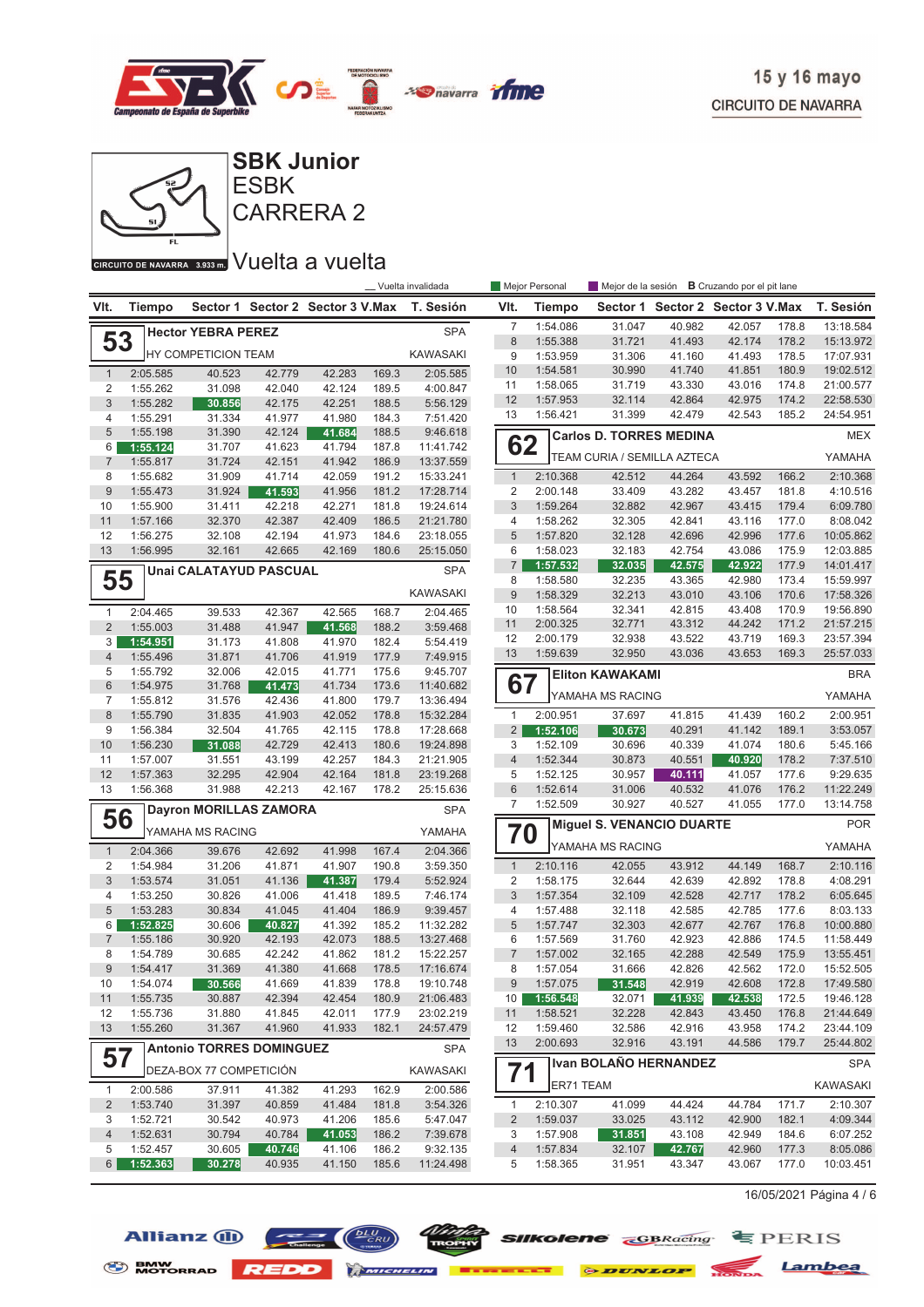



## **CIRCUITO DE NAVARRA** 3.939mm Vuelta a vuelta

|                                |                      |                                 |                  |                                  |                | __ Vuelta invalidada |                         | Mejor Personal       | Mejor de la sesión             |                                  | <b>B</b> Cruzando por el pit lane |                |                        |
|--------------------------------|----------------------|---------------------------------|------------------|----------------------------------|----------------|----------------------|-------------------------|----------------------|--------------------------------|----------------------------------|-----------------------------------|----------------|------------------------|
| VIt.                           | <b>Tiempo</b>        |                                 |                  | Sector 1 Sector 2 Sector 3 V.Max |                | T. Sesión            | VIt.                    | Tiempo               |                                | Sector 1 Sector 2 Sector 3 V.Max |                                   |                | T. Sesión              |
|                                |                      | <b>Hector YEBRA PEREZ</b>       |                  |                                  |                | <b>SPA</b>           | $\overline{7}$          | 1:54.086             | 31.047                         | 40.982                           | 42.057                            | 178.8          | 13:18.584              |
| 53                             |                      |                                 |                  |                                  |                |                      | 8                       | 1:55.388             | 31.721                         | 41.493                           | 42.174                            | 178.2          | 15:13.972              |
|                                |                      | <b>HY COMPETICION TEAM</b>      |                  |                                  |                | <b>KAWASAKI</b>      | 9                       | 1:53.959             | 31.306                         | 41.160                           | 41.493                            | 178.5          | 17:07.931              |
| $\mathbf{1}$                   | 2:05.585             | 40.523                          | 42.779           | 42.283                           | 169.3          | 2:05.585             | 10                      | 1:54.581             | 30.990                         | 41.740                           | 41.851                            | 180.9          | 19:02.512              |
| $\overline{2}$                 | 1:55.262             | 31.098                          | 42.040           | 42.124                           | 189.5          | 4:00.847             | 11                      | 1:58.065             | 31.719                         | 43.330                           | 43.016                            | 174.8          | 21:00.577              |
| $\mathfrak{S}$                 | 1:55.282             | 30.856                          | 42.175           | 42.251                           | 188.5          | 5:56.129             | 12                      | 1:57.953             | 32.114                         | 42.864                           | 42.975                            | 174.2          | 22:58.530              |
| 4                              | 1:55.291             | 31.334                          | 41.977           | 41.980                           | 184.3          | 7:51.420             | 13                      | 1:56.421             | 31.399                         | 42.479                           | 42.543                            | 185.2          | 24:54.951              |
| 5                              | 1:55.198             | 31.390                          | 42.124           | 41.684                           | 188.5          | 9:46.618             |                         |                      | <b>Carlos D. TORRES MEDINA</b> |                                  |                                   |                | <b>MEX</b>             |
| 6                              | 1:55.124             | 31.707                          | 41.623           | 41.794                           | 187.8          | 11:41.742            | 62                      |                      | TEAM CURIA / SEMILLA AZTECA    |                                  |                                   |                | YAMAHA                 |
| $\overline{7}$                 | 1:55.817             | 31.724                          | 42.151           | 41.942                           | 186.9          | 13:37.559            |                         |                      |                                |                                  |                                   |                |                        |
| 8                              | 1:55.682             | 31.909                          | 41.714           | 42.059                           | 191.2          | 15:33.241            | $\mathbf{1}$            | 2:10.368             | 42.512                         | 44.264                           | 43.592                            | 166.2          | 2:10.368               |
| 9                              | 1:55.473             | 31.924                          | 41.593           | 41.956                           | 181.2          | 17:28.714            | $\overline{\mathbf{c}}$ | 2:00.148             | 33.409                         | 43.282                           | 43.457                            | 181.8          | 4:10.516               |
| 10                             | 1:55.900             | 31.411                          | 42.218           | 42.271                           | 181.8          | 19:24.614            | $\sqrt{3}$              | 1:59.264             | 32.882                         | 42.967                           | 43.415                            | 179.4          | 6:09.780               |
| 11                             | 1:57.166             | 32.370                          | 42.387           | 42.409                           | 186.5          | 21:21.780            | 4                       | 1:58.262             | 32.305                         | 42.841                           | 43.116                            | 177.0          | 8:08.042               |
| 12<br>13                       | 1:56.275             | 32.108                          | 42.194           | 41.973                           | 184.6          | 23:18.055            | $\sqrt{5}$<br>6         | 1:57.820             | 32.128                         | 42.696                           | 42.996                            | 177.6          | 10:05.862              |
|                                | 1:56.995             | 32.161                          | 42.665           | 42.169                           | 180.6          | 25:15.050            | $\overline{7}$          | 1:58.023<br>1:57.532 | 32.183<br>32.035               | 42.754<br>42.575                 | 43.086<br>42.922                  | 175.9<br>177.9 | 12:03.885<br>14:01.417 |
|                                |                      | <b>Unai CALATAYUD PASCUAL</b>   |                  |                                  |                | <b>SPA</b>           | 8                       | 1:58.580             | 32.235                         | 43.365                           | 42.980                            | 173.4          | 15:59.997              |
| 55                             |                      |                                 |                  |                                  |                | <b>KAWASAKI</b>      | 9                       | 1:58.329             | 32.213                         | 43.010                           | 43.106                            | 170.6          | 17:58.326              |
|                                |                      |                                 |                  |                                  |                |                      | 10                      | 1:58.564             | 32.341                         | 42.815                           | 43.408                            | 170.9          | 19:56.890              |
| $\mathbf{1}$<br>$\overline{2}$ | 2:04.465<br>1:55.003 | 39.533                          | 42.367           | 42.565                           | 168.7          | 2:04.465<br>3:59.468 | 11                      | 2:00.325             | 32.771                         | 43.312                           | 44.242                            | 171.2          | 21:57.215              |
|                                |                      | 31.488                          | 41.947           | 41.568                           | 188.2          |                      | 12                      | 2:00.179             | 32.938                         | 43.522                           | 43.719                            | 169.3          | 23:57.394              |
| 3<br>$\overline{4}$            | 1:54.951<br>1:55.496 | 31.173<br>31.871                | 41.808<br>41.706 | 41.970<br>41.919                 | 182.4<br>177.9 | 5:54.419<br>7:49.915 | 13                      | 1:59.639             | 32.950                         | 43.036                           | 43.653                            | 169.3          | 25:57.033              |
| 5                              | 1:55.792             | 32.006                          | 42.015           | 41.771                           | 175.6          | 9:45.707             |                         |                      |                                |                                  |                                   |                |                        |
| $6\phantom{1}$                 | 1:54.975             | 31.768                          | 41.473           | 41.734                           | 173.6          | 11:40.682            | 67                      |                      | <b>Eliton KAWAKAMI</b>         |                                  |                                   |                | <b>BRA</b>             |
| $\overline{7}$                 | 1:55.812             | 31.576                          | 42.436           | 41.800                           | 179.7          | 13:36.494            |                         |                      | YAMAHA MS RACING               |                                  |                                   |                | YAMAHA                 |
| $\,8\,$                        | 1:55.790             | 31.835                          | 41.903           | 42.052                           | 178.8          | 15:32.284            | $\mathbf{1}$            | 2:00.951             | 37.697                         | 41.815                           | 41.439                            | 160.2          | 2:00.951               |
| 9                              | 1:56.384             | 32.504                          | 41.765           | 42.115                           | 178.8          | 17:28.668            | $\overline{2}$          | 1:52.106             | 30.673                         | 40.291                           | 41.142                            | 189.1          | 3:53.057               |
| 10                             | 1:56.230             | 31.088                          | 42.729           | 42.413                           | 180.6          | 19:24.898            | 3                       | 1:52.109             | 30.696                         | 40.339                           | 41.074                            | 180.6          | 5:45.166               |
| 11                             | 1:57.007             | 31.551                          | 43.199           | 42.257                           | 184.3          | 21:21.905            | $\overline{4}$          | 1:52.344             | 30.873                         | 40.551                           | 40.920                            | 178.2          | 7:37.510               |
| 12                             | 1:57.363             | 32.295                          | 42.904           | 42.164                           | 181.8          | 23:19.268            | 5                       | 1:52.125             | 30.957                         | 40.111                           | 41.057                            | 177.6          | 9:29.635               |
| 13                             | 1:56.368             | 31.988                          | 42.213           | 42.167                           | 178.2          | 25:15.636            | 6                       | 1:52.614             | 31.006                         | 40.532                           | 41.076                            | 176.2          | 11:22.249              |
|                                |                      |                                 |                  |                                  |                |                      | $\overline{7}$          | 1:52.509             | 30.927                         | 40.527                           | 41.055                            | 177.0          | 13:14.758              |
| 56                             |                      | <b>Dayron MORILLAS ZAMORA</b>   |                  |                                  |                | <b>SPA</b>           |                         |                      | Miguel S. VENANCIO DUARTE      |                                  |                                   |                | <b>POR</b>             |
|                                |                      | YAMAHA MS RACING                |                  |                                  |                | YAMAHA               | 70                      |                      |                                |                                  |                                   |                |                        |
| $\mathbf{1}$                   | 2:04.366             | 39.676                          | 42.692           | 41.998                           | 167.4          | 2:04.366             |                         |                      | YAMAHA MS RACING               |                                  |                                   |                | YAMAHA                 |
| 2                              | 1:54.984             | 31.206                          | 41.871           | 41.907                           | 190.8          | 3:59.350             | $\mathbf{1}$            | 2:10.116             | 42.055                         | 43.912                           | 44.149                            | 168.7          | 2:10.116               |
| $\sqrt{3}$                     | 1:53.574             | 31.051                          | 41.136           | 41.387                           | 179.4          | 5:52.924             | $\overline{\mathbf{c}}$ | 1:58.175             | 32.644                         | 42.639                           | 42.892                            | 178.8          | 4:08.291               |
| 4                              | 1:53.250             | 30.826                          | 41.006           | 41.418                           | 189.5          | 7:46.174             | 3                       | 1:57.354             | 32.109                         | 42.528                           | 42.717                            | 178.2          | 6:05.645               |
| 5                              | 1:53.283             | 30.834                          | 41.045           | 41.404                           | 186.9          | 9:39.457             | 4                       | 1:57.488             | 32.118                         | 42.585                           | 42.785                            | 177.6          | 8:03.133               |
| 6                              | 1:52.825             | 30.606                          | 40.827           | 41.392                           | 185.2          | 11:32.282            | $\sqrt{5}$              | 1:57.747             | 32.303                         | 42.677                           | 42.767                            | 176.8          | 10:00.880              |
| $\overline{7}$                 | 1:55.186             | 30.920                          | 42.193           | 42.073                           | 188.5          | 13:27.468            | 6                       | 1:57.569             | 31.760                         | 42.923                           | 42.886                            | 174.5          | 11:58.449              |
| 8                              | 1:54.789             | 30.685                          | 42.242           | 41.862                           | 181.2          | 15:22.257            | $\overline{7}$          | 1:57.002             | 32.165                         | 42.288                           | 42.549                            | 175.9          | 13:55.451              |
| $9\,$                          | 1:54.417             | 31.369                          | 41.380           | 41.668                           | 178.5          | 17:16.674            | 8                       | 1:57.054             | 31.666                         | 42.826                           | 42.562                            | 172.0          | 15:52.505              |
| 10                             | 1:54.074             | 30.566                          | 41.669           | 41.839                           | 178.8          | 19:10.748            | $\boldsymbol{9}$        | 1:57.075             | 31.548                         | 42.919                           | 42.608                            | 172.8          | 17:49.580              |
| 11                             | 1:55.735             | 30.887                          | 42.394           | 42.454                           | 180.9          | 21:06.483            | 10 <sup>1</sup>         | 1:56.548             | 32.071                         | 41.939                           | 42.538                            | 172.5          | 19:46.128              |
| 12                             | 1:55.736             | 31.880                          | 41.845           | 42.011                           | 177.9          | 23:02.219            | 11                      | 1:58.521             | 32.228                         | 42.843                           | 43.450                            | 176.8          | 21:44.649              |
| 13                             | 1:55.260             | 31.367                          | 41.960           | 41.933                           | 182.1          | 24:57.479            | 12                      | 1:59.460             | 32.586                         | 42.916                           | 43.958                            | 174.2          | 23:44.109              |
|                                |                      | <b>Antonio TORRES DOMINGUEZ</b> |                  |                                  |                | <b>SPA</b>           | 13                      | 2:00.693             | 32.916                         | 43.191                           | 44.586                            | 179.7          | 25:44.802              |
| 57                             |                      | DEZA-BOX 77 COMPETICIÓN         |                  |                                  |                | KAWASAKI             | 71                      |                      | Ivan BOLAÑO HERNANDEZ          |                                  |                                   |                | <b>SPA</b>             |
| $\mathbf{1}$                   | 2:00.586             | 37.911                          | 41.382           | 41.293                           | 162.9          | 2:00.586             |                         | ER71 TEAM            |                                |                                  |                                   |                | <b>KAWASAKI</b>        |
| $\overline{2}$                 | 1:53.740             | 31.397                          | 40.859           | 41.484                           | 181.8          | 3:54.326             | $\mathbf{1}$            | 2:10.307             | 41.099                         | 44.424                           | 44.784                            | 171.7          | 2:10.307               |
| 3                              | 1:52.721             | 30.542                          | 40.973           | 41.206                           | 185.6          | 5:47.047             | $\overline{2}$          | 1:59.037             | 33.025                         | 43.112                           | 42.900                            | 182.1          | 4:09.344               |
| $\overline{4}$                 | 1:52.631             | 30.794                          | 40.784           | 41.053                           | 186.2          | 7:39.678             | 3                       | 1:57.908             | 31.851                         | 43.108                           | 42.949                            | 184.6          | 6:07.252               |
| 5                              | 1:52.457             | 30.605                          | 40.746           | 41.106                           | 186.2          | 9:32.135             | $\overline{4}$          | 1:57.834             | 32.107                         | 42.767                           | 42.960                            | 177.3          | 8:05.086               |
| $6\overline{6}$                | 1:52.363             | 30.278                          | 40.935           | 41.150                           | 185.6          | 11:24.498            | 5                       | 1:58.365             | 31.951                         | 43.347                           | 43.067                            | 177.0          | 10:03.451              |
|                                |                      |                                 |                  |                                  |                |                      |                         |                      |                                |                                  |                                   |                |                        |

 $16/05/2021$  Página 4 / 6



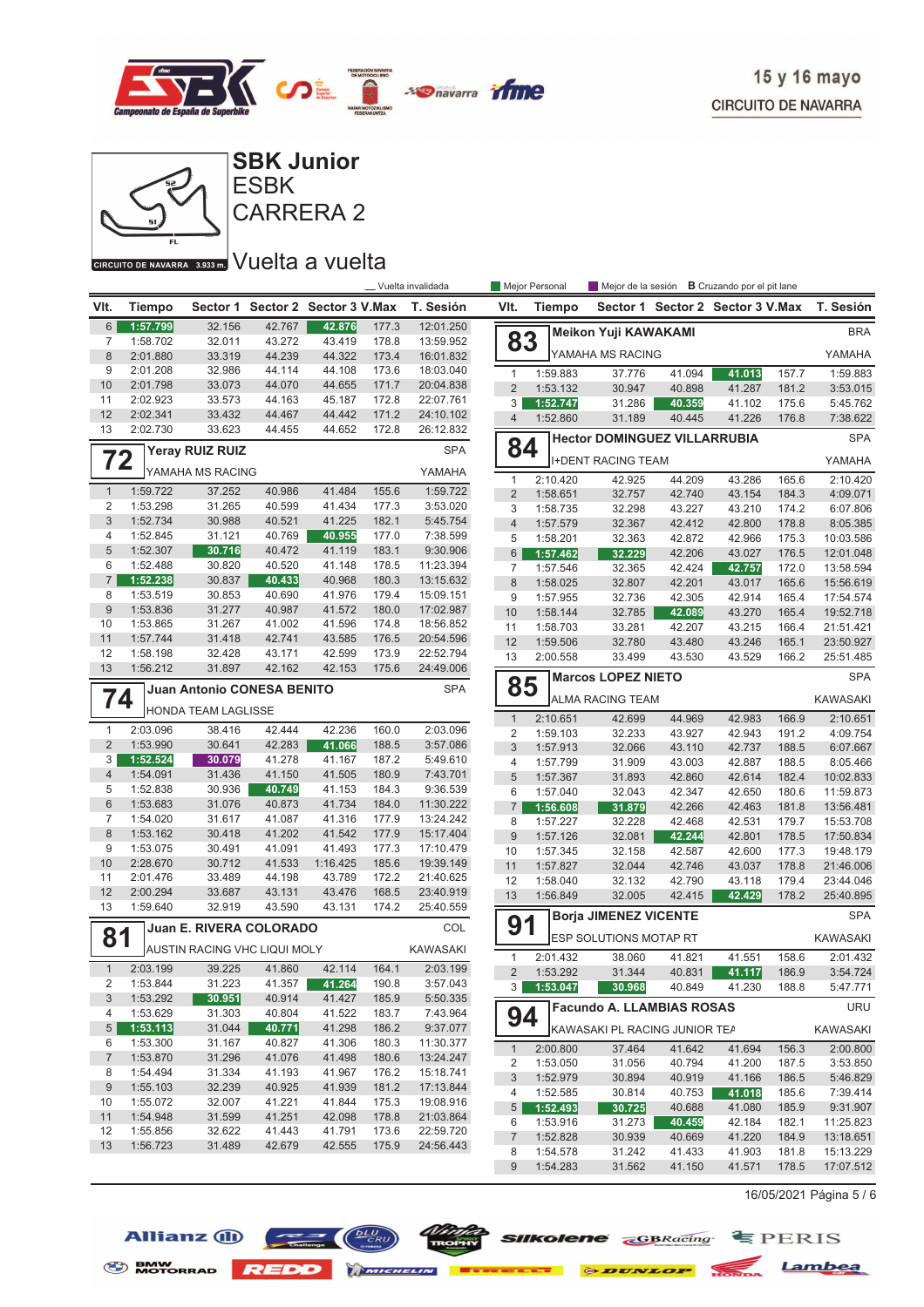



## GIRGUITO DE NAVARRA 3.933 m. VUelta a vuelta

|                 | Vuelta invalidada<br><b>B</b> Cruzando por el pit lane<br>Mejor Personal<br>Mejor de la sesión |                              |                  |                         |                |                        |                  |               |                                     |        |                                  |       |                 |
|-----------------|------------------------------------------------------------------------------------------------|------------------------------|------------------|-------------------------|----------------|------------------------|------------------|---------------|-------------------------------------|--------|----------------------------------|-------|-----------------|
| VIt.            | Tiempo                                                                                         | Sector 1                     |                  | Sector 2 Sector 3 V.Max |                | T. Sesión              | VIt.             | <b>Tiempo</b> |                                     |        | Sector 1 Sector 2 Sector 3 V.Max |       | T. Sesión       |
| $6\,$           | 1:57.799                                                                                       | 32.156                       | 42.767           | 42.876                  | 177.3          | 12:01.250              |                  |               | <b>Meikon Yuji KAWAKAMI</b>         |        |                                  |       | <b>BRA</b>      |
| 7               | 1:58.702                                                                                       | 32.011                       | 43.272           | 43.419                  | 178.8          | 13:59.952              | 83               |               |                                     |        |                                  |       |                 |
| 8               | 2:01.880                                                                                       | 33.319                       | 44.239           | 44.322                  | 173.4          | 16:01.832              |                  |               | YAMAHA MS RACING                    |        |                                  |       | YAMAHA          |
| 9<br>10         | 2:01.208<br>2:01.798                                                                           | 32.986<br>33.073             | 44.114<br>44.070 | 44.108<br>44.655        | 173.6<br>171.7 | 18:03.040<br>20:04.838 | $\mathbf{1}$     | 1:59.883      | 37.776                              | 41.094 | 41.013                           | 157.7 | 1:59.883        |
| 11              | 2:02.923                                                                                       | 33.573                       | 44.163           | 45.187                  | 172.8          | 22:07.761              | $\overline{2}$   | 1:53.132      | 30.947                              | 40.898 | 41.287                           | 181.2 | 3:53.015        |
| 12              | 2:02.341                                                                                       | 33.432                       | 44.467           | 44.442                  | 171.2          | 24:10.102              | 3                | 1:52.747      | 31.286                              | 40.359 | 41.102                           | 175.6 | 5:45.762        |
| 13              | 2:02.730                                                                                       | 33.623                       | 44.455           | 44.652                  | 172.8          | 26:12.832              | $\overline{4}$   | 1:52.860      | 31.189                              | 40.445 | 41.226                           | 176.8 | 7:38.622        |
|                 |                                                                                                | Yeray RUIZ RUIZ              |                  |                         |                | <b>SPA</b>             | 84               |               | <b>Hector DOMINGUEZ VILLARRUBIA</b> |        |                                  |       | <b>SPA</b>      |
| 72              |                                                                                                |                              |                  |                         |                |                        |                  |               | <b>I+DENT RACING TEAM</b>           |        |                                  |       | YAMAHA          |
|                 |                                                                                                | YAMAHA MS RACING             |                  |                         |                | YAMAHA                 | $\mathbf{1}$     | 2:10.420      | 42.925                              | 44.209 | 43.286                           | 165.6 | 2:10.420        |
| $\mathbf{1}$    | 1:59.722                                                                                       | 37.252                       | 40.986           | 41.484                  | 155.6          | 1:59.722               | $\overline{2}$   | 1:58.651      | 32.757                              | 42.740 | 43.154                           | 184.3 | 4:09.071        |
| 2               | 1:53.298                                                                                       | 31.265                       | 40.599           | 41.434                  | 177.3          | 3:53.020               | 3                | 1:58.735      | 32.298                              | 43.227 | 43.210                           | 174.2 | 6:07.806        |
| 3               | 1:52.734                                                                                       | 30.988                       | 40.521           | 41.225                  | 182.1          | 5:45.754               | $\overline{4}$   | 1:57.579      | 32.367                              | 42.412 | 42.800                           | 178.8 | 8:05.385        |
| 4               | 1:52.845                                                                                       | 31.121                       | 40.769           | 40.955                  | 177.0          | 7:38.599               | 5                | 1:58.201      | 32.363                              | 42.872 | 42.966                           | 175.3 | 10:03.586       |
| 5<br>6          | 1:52.307<br>1:52.488                                                                           | 30.716<br>30.820             | 40.472<br>40.520 | 41.119<br>41.148        | 183.1<br>178.5 | 9:30.906<br>11:23.394  | 6                | 1:57.462      | 32.229                              | 42.206 | 43.027                           | 176.5 | 12:01.048       |
| $\overline{7}$  | 1:52.238                                                                                       |                              | 40.433           | 40.968                  | 180.3          |                        | $\overline{7}$   | 1:57.546      | 32.365                              | 42.424 | 42.757                           | 172.0 | 13:58.594       |
| 8               | 1:53.519                                                                                       | 30.837<br>30.853             | 40.690           | 41.976                  | 179.4          | 13:15.632<br>15:09.151 | 8                | 1:58.025      | 32.807                              | 42.201 | 43.017                           | 165.6 | 15:56.619       |
| $9\,$           | 1:53.836                                                                                       | 31.277                       | 40.987           | 41.572                  | 180.0          | 17:02.987              | 9                | 1:57.955      | 32.736                              | 42.305 | 42.914                           | 165.4 | 17:54.574       |
| 10              | 1:53.865                                                                                       | 31.267                       | 41.002           | 41.596                  | 174.8          | 18:56.852              | 10               | 1:58.144      | 32.785                              | 42.089 | 43.270                           | 165.4 | 19:52.718       |
| 11              | 1:57.744                                                                                       | 31.418                       | 42.741           | 43.585                  | 176.5          | 20:54.596              | 11               | 1:58.703      | 33.281                              | 42.207 | 43.215                           | 166.4 | 21:51.421       |
| 12              | 1:58.198                                                                                       | 32.428                       | 43.171           | 42.599                  | 173.9          | 22:52.794              | 12               | 1:59.506      | 32.780                              | 43.480 | 43.246                           | 165.1 | 23:50.927       |
| 13              | 1:56.212                                                                                       | 31.897                       | 42.162           | 42.153                  | 175.6          | 24:49.006              | 13               | 2:00.558      | 33.499                              | 43.530 | 43.529                           | 166.2 | 25:51.485       |
|                 |                                                                                                | Juan Antonio CONESA BENITO   |                  |                         |                | <b>SPA</b>             | 85               |               | <b>Marcos LOPEZ NIETO</b>           |        |                                  |       | <b>SPA</b>      |
| 74              |                                                                                                |                              |                  |                         |                |                        |                  |               | <b>ALMA RACING TEAM</b>             |        |                                  |       | <b>KAWASAKI</b> |
|                 |                                                                                                | HONDA TEAM LAGLISSE          |                  |                         |                |                        | $\mathbf{1}$     | 2:10.651      | 42.699                              | 44.969 | 42.983                           | 166.9 | 2:10.651        |
| $\mathbf{1}$    | 2:03.096                                                                                       | 38.416                       | 42.444           | 42.236                  | 160.0          | 2:03.096               | $\overline{2}$   | 1:59.103      | 32.233                              | 43.927 | 42.943                           | 191.2 | 4:09.754        |
| $\overline{2}$  | 1:53.990                                                                                       | 30.641                       | 42.283           | 41.066                  | 188.5          | 3:57.086               | 3                | 1:57.913      | 32.066                              | 43.110 | 42.737                           | 188.5 | 6:07.667        |
| 3               | 1:52.524                                                                                       | 30.079                       | 41.278           | 41.167                  | 187.2          | 5:49.610               | $\overline{4}$   | 1:57.799      | 31.909                              | 43.003 | 42.887                           | 188.5 | 8:05.466        |
| $\overline{4}$  | 1:54.091                                                                                       | 31.436                       | 41.150           | 41.505                  | 180.9          | 7:43.701               | 5                | 1:57.367      | 31.893                              | 42.860 | 42.614                           | 182.4 | 10:02.833       |
| 5               | 1:52.838                                                                                       | 30.936                       | 40.749           | 41.153                  | 184.3          | 9:36.539               | 6                | 1:57.040      | 32.043                              | 42.347 | 42.650                           | 180.6 | 11:59.873       |
| $6\phantom{1}$  | 1:53.683                                                                                       | 31.076                       | 40.873           | 41.734                  | 184.0          | 11:30.222              | 7                | 1:56.608      | 31.879                              | 42.266 | 42.463                           | 181.8 | 13:56.481       |
| $\overline{7}$  | 1:54.020                                                                                       | 31.617                       | 41.087           | 41.316                  | 177.9          | 13:24.242              | 8                | 1:57.227      | 32.228                              | 42.468 | 42.531                           | 179.7 | 15:53.708       |
| 8               | 1:53.162                                                                                       | 30.418                       | 41.202           | 41.542                  | 177.9          | 15:17.404              | $9$              | 1:57.126      | 32.081                              | 42.244 | 42.801                           | 178.5 | 17:50.834       |
| 9               | 1:53.075                                                                                       | 30.491                       | 41.091           | 41.493                  | 177.3          | 17:10.479              | 10               | 1:57.345      | 32.158                              | 42.587 | 42.600                           | 177.3 | 19:48.179       |
| 10              | 2:28.670                                                                                       | 30.712                       | 41.533           | 1:16.425                | 185.6          | 19:39.149              | 11               | 1:57.827      | 32.044                              | 42.746 | 43.037                           | 178.8 | 21:46.006       |
| 11              | 2:01.476                                                                                       | 33.489                       | 44.198           | 43.789                  | 172.2          | 21:40.625              | 12               | 1:58.040      | 32.132                              | 42.790 | 43.118                           | 179.4 | 23:44.046       |
| 12<br>13        | 2:00.294<br>1:59.640                                                                           | 33.687<br>32.919             | 43.131<br>43.590 | 43.476<br>43.131        | 168.5<br>174.2 | 23:40.919<br>25:40.559 | 13               | 1:56.849      | 32.005                              | 42.415 | 42.429                           | 178.2 | 25:40.895       |
|                 |                                                                                                |                              |                  |                         |                |                        | 91               |               | <b>Borja JIMENEZ VICENTE</b>        |        |                                  |       | <b>SPA</b>      |
| 81              |                                                                                                | Juan E. RIVERA COLORADO      |                  |                         |                | COL                    |                  |               | <b>ESP SOLUTIONS MOTAP RT</b>       |        |                                  |       | <b>KAWASAKI</b> |
|                 |                                                                                                | AUSTIN RACING VHC LIQUI MOLY |                  |                         |                | <b>KAWASAKI</b>        | $\mathbf{1}$     | 2:01.432      | 38.060                              | 41.821 | 41.551                           | 158.6 | 2:01.432        |
| $\mathbf{1}$    | 2:03.199                                                                                       | 39.225                       | 41.860           | 42.114                  | 164.1          | 2:03.199               | $\overline{2}$   | 1:53.292      | 31.344                              | 40.831 | 41.117                           | 186.9 | 3:54.724        |
| $\overline{c}$  | 1:53.844                                                                                       | 31.223                       | 41.357           | 41.264                  | 190.8          | 3:57.043               | 3 <sup>1</sup>   | 1:53.047      | 30.968                              | 40.849 | 41.230                           | 188.8 | 5:47.771        |
| 3               | 1:53.292                                                                                       | 30.951                       | 40.914           | 41.427                  | 185.9          | 5:50.335               |                  |               | <b>Facundo A. LLAMBIAS ROSAS</b>    |        |                                  |       | <b>URU</b>      |
| 4               | 1:53.629                                                                                       | 31.303                       | 40.804           | 41.522                  | 183.7          | 7:43.964               | 94               |               |                                     |        |                                  |       |                 |
| $5\phantom{.0}$ | 1:53.113                                                                                       | 31.044                       | 40.771           | 41.298                  | 186.2          | 9:37.077               |                  |               | KAWASAKI PL RACING JUNIOR TEA       |        |                                  |       | KAWASAKI        |
| 6               | 1:53.300                                                                                       | 31.167                       | 40.827           | 41.306                  | 180.3          | 11:30.377              | $\mathbf{1}$     | 2:00.800      | 37.464                              | 41.642 | 41.694                           | 156.3 | 2:00.800        |
| $\overline{7}$  | 1:53.870                                                                                       | 31.296                       | 41.076           | 41.498                  | 180.6          | 13:24.247              | 2                | 1:53.050      | 31.056                              | 40.794 | 41.200                           | 187.5 | 3:53.850        |
| 8               | 1:54.494                                                                                       | 31.334                       | 41.193           | 41.967                  | 176.2          | 15:18.741              | $\mathfrak{Z}$   | 1:52.979      | 30.894                              | 40.919 | 41.166                           | 186.5 | 5:46.829        |
| 9               | 1:55.103                                                                                       | 32.239                       | 40.925           | 41.939                  | 181.2          | 17:13.844              | 4                | 1:52.585      | 30.814                              | 40.753 | 41.018                           | 185.6 | 7:39.414        |
| 10              | 1:55.072                                                                                       | 32.007                       | 41.221           | 41.844                  | 175.3          | 19:08.916              | $\overline{5}$   | 1:52.493      | 30.725                              | 40.688 | 41.080                           | 185.9 | 9:31.907        |
| 11              | 1:54.948                                                                                       | 31.599                       | 41.251           | 42.098                  | 178.8          | 21:03.864              | 6                | 1:53.916      | 31.273                              | 40.459 | 42.184                           | 182.1 | 11:25.823       |
| 12              | 1:55.856                                                                                       | 32.622                       | 41.443           | 41.791                  | 173.6          | 22:59.720              | $\overline{7}$   | 1:52.828      | 30.939                              | 40.669 | 41.220                           | 184.9 | 13:18.651       |
| 13              | 1:56.723                                                                                       | 31.489                       | 42.679           | 42.555                  | 175.9          | 24:56.443              | 8                | 1:54.578      | 31.242                              | 41.433 | 41.903                           | 181.8 | 15:13.229       |
|                 |                                                                                                |                              |                  |                         |                |                        | $\boldsymbol{9}$ | 1:54.283      | 31.562                              | 41.150 | 41.571                           | 178.5 | 17:07.512       |

 $16/05/2021$  Página 5 / 6







BMW NOTORRAD REDD MINIMUM EXECUTE & DUNLOP NOTION Lambea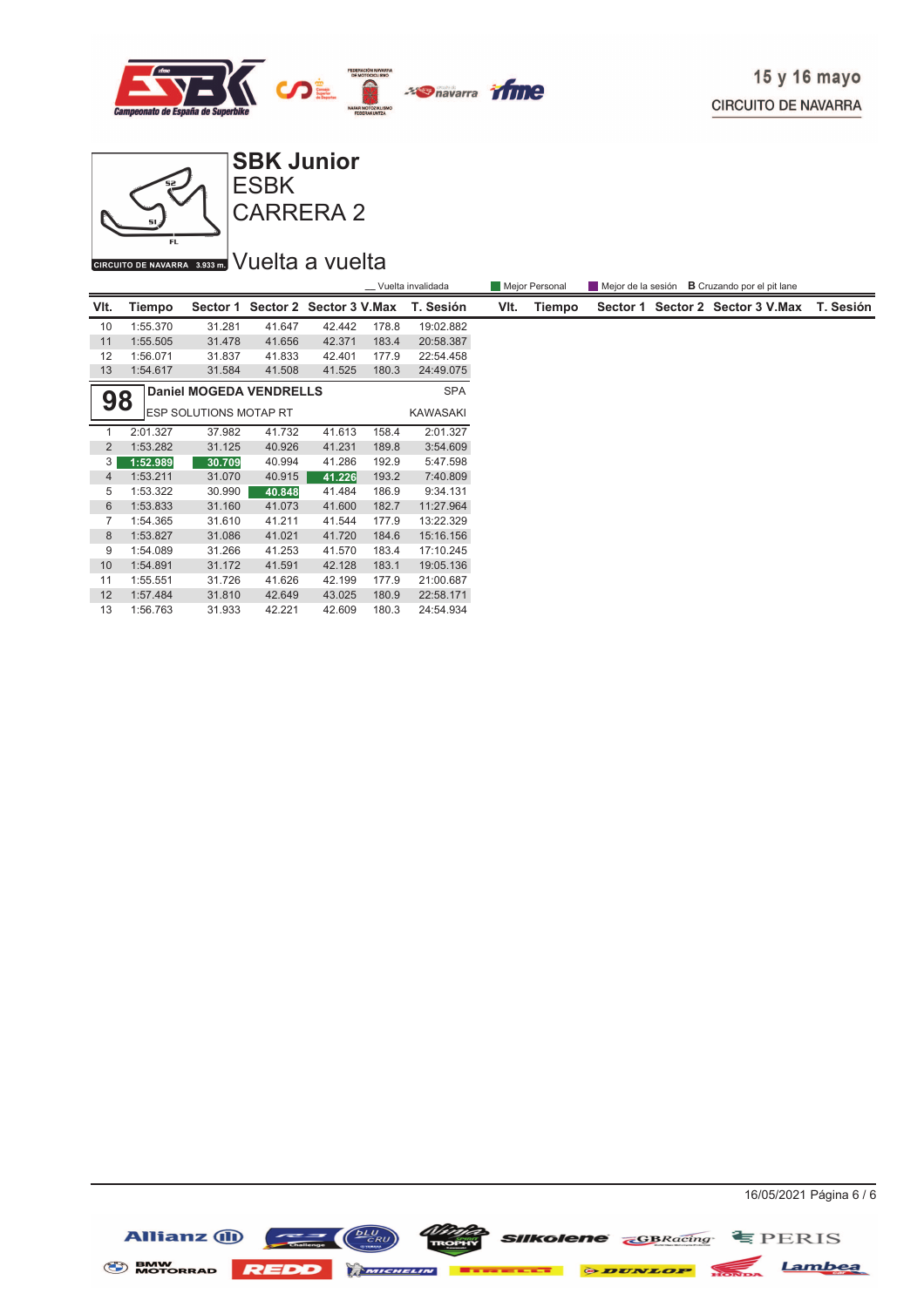



CARRERA 2

## CIRCUITO DE NAVARRA 3.933 m. VUelta a vuelta

|                                      |          |                               |        |                         |       | _ Vuelta invalidada |      | Mejor Personal | Mejor de la sesión |                         |           |
|--------------------------------------|----------|-------------------------------|--------|-------------------------|-------|---------------------|------|----------------|--------------------|-------------------------|-----------|
| VIt.                                 | Tiempo   | Sector 1                      |        | Sector 2 Sector 3 V.Max |       | T. Sesión           | VIt. | Tiempo         | Sector 1           | Sector 2 Sector 3 V.Max | T. Sesión |
| 10                                   | 1:55.370 | 31.281                        | 41.647 | 42.442                  | 178.8 | 19:02.882           |      |                |                    |                         |           |
| 11                                   | 1:55.505 | 31.478                        | 41.656 | 42.371                  | 183.4 | 20:58.387           |      |                |                    |                         |           |
| 12                                   | 1:56.071 | 31.837                        | 41.833 | 42.401                  | 177.9 | 22:54.458           |      |                |                    |                         |           |
| 13                                   | 1:54.617 | 31.584                        | 41.508 | 41.525                  | 180.3 | 24:49.075           |      |                |                    |                         |           |
| <b>Daniel MOGEDA VENDRELLS</b><br>98 |          |                               |        |                         |       | <b>SPA</b>          |      |                |                    |                         |           |
|                                      |          | <b>ESP SOLUTIONS MOTAP RT</b> |        |                         |       | KAWASAKI            |      |                |                    |                         |           |
|                                      | 2:01.327 | 37.982                        | 41.732 | 41.613                  | 158.4 | 2:01.327            |      |                |                    |                         |           |
| $\overline{2}$                       | 1:53.282 | 31.125                        | 40.926 | 41.231                  | 189.8 | 3:54.609            |      |                |                    |                         |           |
| 3                                    | 1:52.989 | 30.709                        | 40.994 | 41.286                  | 192.9 | 5:47.598            |      |                |                    |                         |           |
| $\overline{4}$                       | 1:53.211 | 31.070                        | 40.915 | 41.226                  | 193.2 | 7:40.809            |      |                |                    |                         |           |
| 5                                    | 1:53.322 | 30.990                        | 40.848 | 41.484                  | 186.9 | 9:34.131            |      |                |                    |                         |           |
| 6                                    | 1:53.833 | 31.160                        | 41.073 | 41.600                  | 182.7 | 11:27.964           |      |                |                    |                         |           |
| 7                                    | 1:54.365 | 31.610                        | 41.211 | 41.544                  | 177.9 | 13:22.329           |      |                |                    |                         |           |
| 8                                    | 1:53.827 | 31.086                        | 41.021 | 41.720                  | 184.6 | 15:16.156           |      |                |                    |                         |           |
| 9                                    | 1:54.089 | 31.266                        | 41.253 | 41.570                  | 183.4 | 17:10.245           |      |                |                    |                         |           |
| 10                                   | 1:54.891 | 31.172                        | 41.591 | 42.128                  | 183.1 | 19:05.136           |      |                |                    |                         |           |
| 11                                   | 1:55.551 | 31.726                        | 41.626 | 42.199                  | 177.9 | 21:00.687           |      |                |                    |                         |           |
| 12                                   | 1:57.484 | 31.810                        | 42.649 | 43.025                  | 180.9 | 22:58.171           |      |                |                    |                         |           |
| 13                                   | 1:56.763 | 31.933                        | 42.221 | 42.609                  | 180.3 | 24:54.934           |      |                |                    |                         |           |